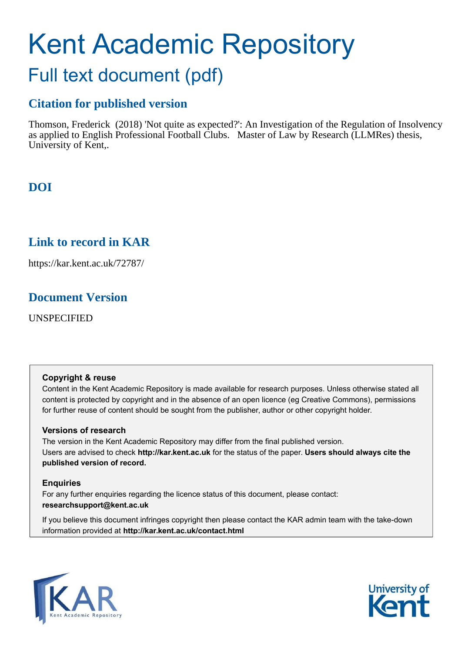# Kent Academic Repository Full text document (pdf)

## **Citation for published version**

Thomson, Frederick (2018) 'Not quite as expected?': An Investigation of the Regulation of Insolvency as applied to English Professional Football Clubs. Master of Law by Research (LLMRes) thesis, University of Kent,.

## **DOI**

## **Link to record in KAR**

https://kar.kent.ac.uk/72787/

## **Document Version**

UNSPECIFIED

#### **Copyright & reuse**

Content in the Kent Academic Repository is made available for research purposes. Unless otherwise stated all content is protected by copyright and in the absence of an open licence (eg Creative Commons), permissions for further reuse of content should be sought from the publisher, author or other copyright holder.

#### **Versions of research**

The version in the Kent Academic Repository may differ from the final published version. Users are advised to check **http://kar.kent.ac.uk** for the status of the paper. **Users should always cite the published version of record.**

#### **Enquiries**

For any further enquiries regarding the licence status of this document, please contact: **researchsupport@kent.ac.uk**

If you believe this document infringes copyright then please contact the KAR admin team with the take-down information provided at **http://kar.kent.ac.uk/contact.html**



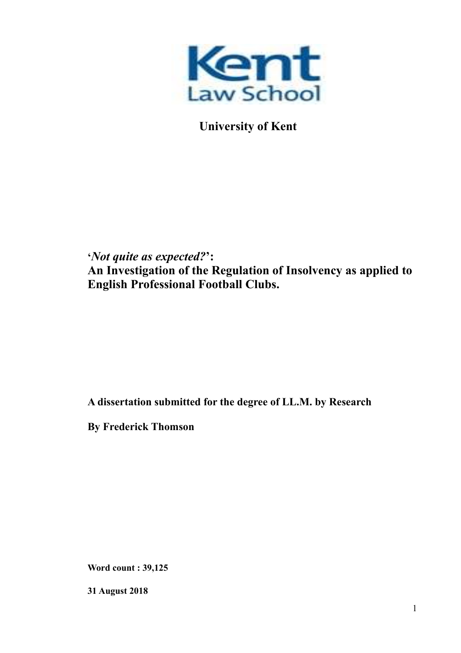

 **University of Kent** 

## **'***Not quite as expected?***': An Investigation of the Regulation of Insolvency as applied to English Professional Football Clubs.**

## **A dissertation submitted for the degree of LL.M. by Research**

**By Frederick Thomson** 

**Word count : 39,125** 

**31 August 2018**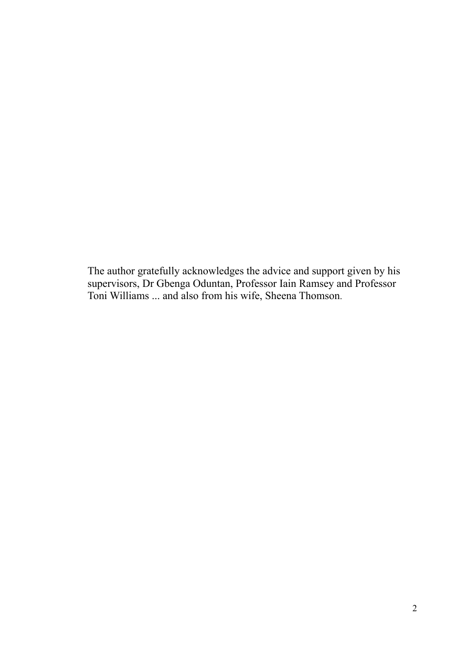The author gratefully acknowledges the advice and support given by his supervisors, Dr Gbenga Oduntan, Professor Iain Ramsey and Professor Toni Williams ... and also from his wife, Sheena Thomson.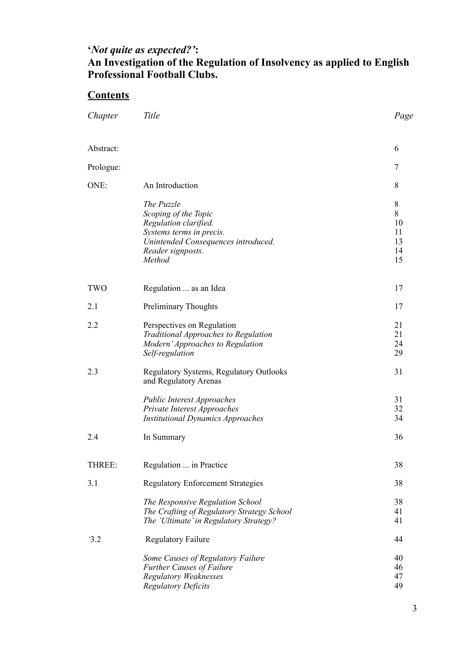# **'***Not quite as expected?'***:**

## **An Investigation of the Regulation of Insolvency as applied to English Professional Football Clubs.**

## **Contents**

| Chapter    | Title                                                                                                                                                         | Page                                       |
|------------|---------------------------------------------------------------------------------------------------------------------------------------------------------------|--------------------------------------------|
| Abstract:  |                                                                                                                                                               | 6                                          |
| Prologue:  |                                                                                                                                                               | $\overline{7}$                             |
| ONE:       | An Introduction                                                                                                                                               | 8                                          |
|            | The Puzzle<br>Scoping of the Topic<br>Regulation clarified.<br>Systems terms in precis.<br>Unintended Consequences introduced.<br>Reader signposts.<br>Method | $\,8\,$<br>8<br>10<br>11<br>13<br>14<br>15 |
| <b>TWO</b> | Regulation  as an Idea                                                                                                                                        | 17                                         |
| 2.1        | <b>Preliminary Thoughts</b>                                                                                                                                   | 17                                         |
| 2.2        | Perspectives on Regulation<br>Traditional Approaches to Regulation<br>Modern' Approaches to Regulation<br>Self-regulation                                     | 21<br>21<br>24<br>29                       |
| 2.3        | Regulatory Systems, Regulatory Outlooks<br>and Regulatory Arenas                                                                                              | 31                                         |
|            | <b>Public Interest Approaches</b><br>Private Interest Approaches<br><b>Institutional Dynamics Approaches</b>                                                  | 31<br>32<br>34                             |
| 2.4        | In Summary                                                                                                                                                    | 36                                         |
| THREE:     | Regulation  in Practice                                                                                                                                       | 38                                         |
| 3.1        | <b>Regulatory Enforcement Strategies</b>                                                                                                                      | 38                                         |
|            | The Responsive Regulation School<br>The Crafting of Regulatory Strategy School<br>The 'Ultimate' in Regulatory Strategy?                                      | 38<br>41<br>41                             |
| 3.2        | <b>Regulatory Failure</b>                                                                                                                                     | 44                                         |
|            | Some Causes of Regulatory Failure<br><b>Further Causes of Failure</b><br><b>Regulatory Weaknesses</b><br><b>Regulatory Deficits</b>                           | 40<br>46<br>47<br>49                       |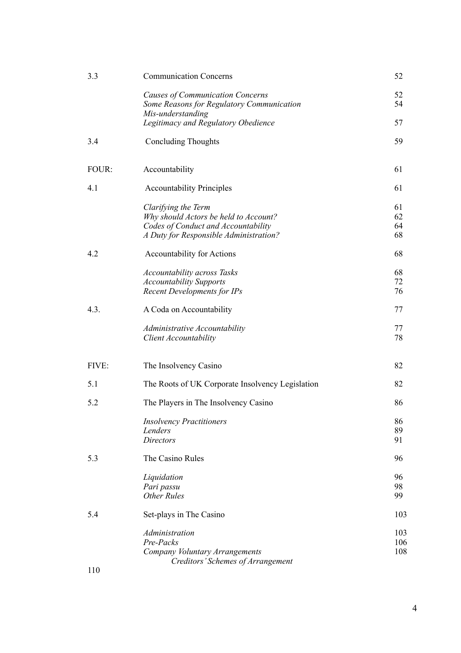| 3.3   | <b>Communication Concerns</b>                                                                                                                 | 52                   |
|-------|-----------------------------------------------------------------------------------------------------------------------------------------------|----------------------|
|       | Causes of Communication Concerns<br>Some Reasons for Regulatory Communication<br>Mis-understanding                                            | 52<br>54             |
|       | Legitimacy and Regulatory Obedience                                                                                                           | 57                   |
| 3.4   | <b>Concluding Thoughts</b>                                                                                                                    | 59                   |
| FOUR: | Accountability                                                                                                                                | 61                   |
| 4.1   | <b>Accountability Principles</b>                                                                                                              | 61                   |
|       | Clarifying the Term<br>Why should Actors be held to Account?<br>Codes of Conduct and Accountability<br>A Duty for Responsible Administration? | 61<br>62<br>64<br>68 |
| 4.2   | Accountability for Actions                                                                                                                    | 68                   |
|       | <b>Accountability across Tasks</b><br><b>Accountability Supports</b><br><b>Recent Developments for IPs</b>                                    | 68<br>72<br>76       |
| 4.3.  | A Coda on Accountability                                                                                                                      | 77                   |
|       | Administrative Accountability<br><b>Client Accountability</b>                                                                                 | 77<br>78             |
| FIVE: | The Insolvency Casino                                                                                                                         | 82                   |
| 5.1   | The Roots of UK Corporate Insolvency Legislation                                                                                              | 82                   |
| 5.2   | The Players in The Insolvency Casino                                                                                                          | 86                   |
|       | <b>Insolvency Practitioners</b><br>Lenders<br><b>Directors</b>                                                                                | 86<br>89<br>91       |
| 5.3   | The Casino Rules                                                                                                                              | 96                   |
|       | Liquidation<br>Pari passu<br><b>Other Rules</b>                                                                                               | 96<br>98<br>99       |
| 5.4   | Set-plays in The Casino                                                                                                                       | 103                  |
|       | Administration<br>Pre-Packs<br>Company Voluntary Arrangements<br>Creditors' Schemes of Arrangement                                            | 103<br>106<br>108    |
| 110   |                                                                                                                                               |                      |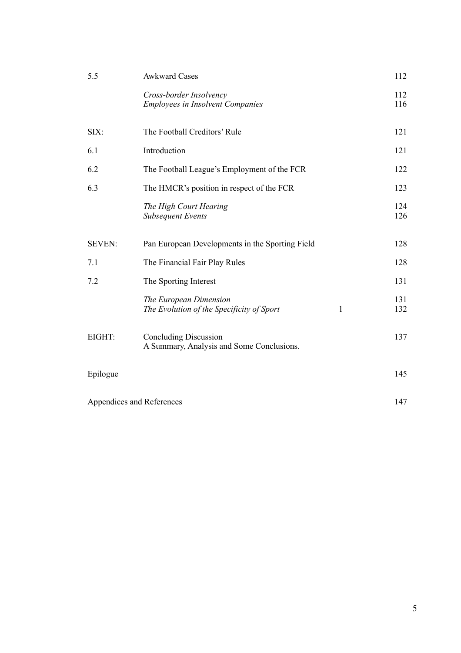| 5.5                       | <b>Awkward Cases</b>                                                      |     | 112        |
|---------------------------|---------------------------------------------------------------------------|-----|------------|
|                           | Cross-border Insolvency<br><b>Employees in Insolvent Companies</b>        |     | 112<br>116 |
| SIX:                      | The Football Creditors' Rule                                              |     | 121        |
| 6.1                       | Introduction                                                              |     | 121        |
| 6.2                       | The Football League's Employment of the FCR                               |     | 122        |
| 6.3                       | The HMCR's position in respect of the FCR                                 |     | 123        |
|                           | The High Court Hearing<br><b>Subsequent Events</b>                        |     | 124<br>126 |
| <b>SEVEN:</b>             | Pan European Developments in the Sporting Field                           |     | 128        |
| 7.1                       | The Financial Fair Play Rules                                             |     | 128        |
| 7.2                       | The Sporting Interest                                                     |     | 131        |
|                           | The European Dimension<br>The Evolution of the Specificity of Sport       | 1   | 131<br>132 |
| EIGHT:                    | <b>Concluding Discussion</b><br>A Summary, Analysis and Some Conclusions. |     | 137        |
| Epilogue                  |                                                                           |     | 145        |
| Appendices and References |                                                                           | 147 |            |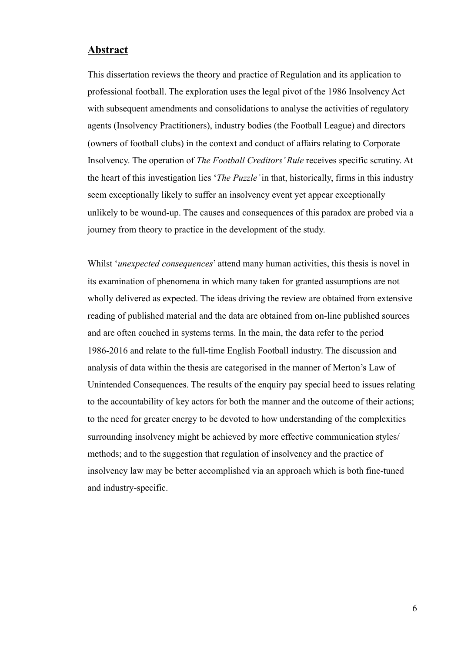#### **Abstract**

This dissertation reviews the theory and practice of Regulation and its application to professional football. The exploration uses the legal pivot of the 1986 Insolvency Act with subsequent amendments and consolidations to analyse the activities of regulatory agents (Insolvency Practitioners), industry bodies (the Football League) and directors (owners of football clubs) in the context and conduct of affairs relating to Corporate Insolvency. The operation of *The Football Creditors' Rule* receives specific scrutiny. At the heart of this investigation lies '*The Puzzle'* in that, historically, firms in this industry seem exceptionally likely to suffer an insolvency event yet appear exceptionally unlikely to be wound-up. The causes and consequences of this paradox are probed via a journey from theory to practice in the development of the study.

Whilst '*unexpected consequences*' attend many human activities, this thesis is novel in its examination of phenomena in which many taken for granted assumptions are not wholly delivered as expected. The ideas driving the review are obtained from extensive reading of published material and the data are obtained from on-line published sources and are often couched in systems terms. In the main, the data refer to the period 1986-2016 and relate to the full-time English Football industry. The discussion and analysis of data within the thesis are categorised in the manner of Merton's Law of Unintended Consequences. The results of the enquiry pay special heed to issues relating to the accountability of key actors for both the manner and the outcome of their actions; to the need for greater energy to be devoted to how understanding of the complexities surrounding insolvency might be achieved by more effective communication styles/ methods; and to the suggestion that regulation of insolvency and the practice of insolvency law may be better accomplished via an approach which is both fine-tuned and industry-specific.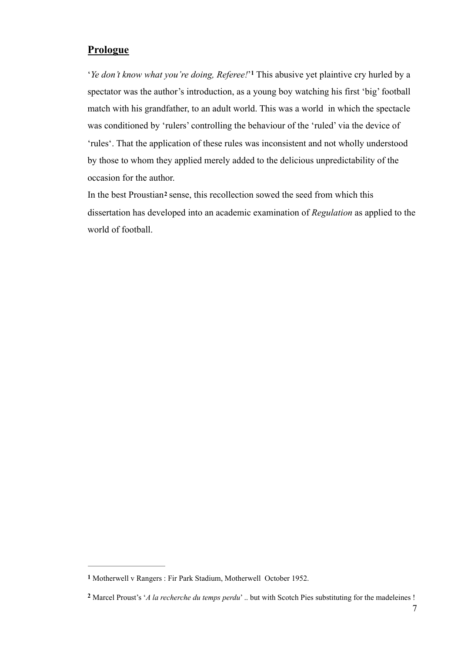### **Prologue**

*'Ye don't know what you're doing, Referee!'*<sup>1</sup> This abusive yet plaintive cry hurled by a spectator was the author's introduction, as a young boy watching his first 'big' football match with his grandfather, to an adult world. This was a world in which the spectacle was conditioned by 'rulers' controlling the behaviour of the 'ruled' via the device of 'rules'. That the application of these rules was inconsistent and not wholly understood by those to whom they applied merely added to the delicious unpredictability of the occasion for the author.

In the best Proustian**2** sense, this recollection sowed the seed from which this dissertation has developed into an academic examination of *Regulation* as applied to the world of football.

**<sup>1</sup>** Motherwell v Rangers : Fir Park Stadium, Motherwell October 1952.

Marcel Proust's '*A la recherche du temps perdu*' .. but with Scotch Pies substituting for the madeleines ! **<sup>2</sup>**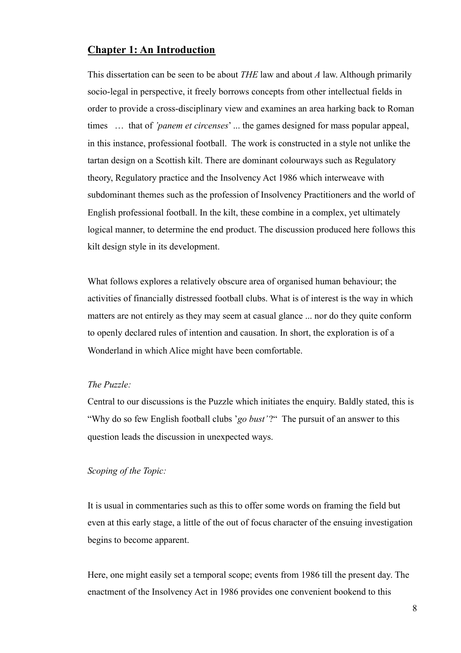#### **Chapter 1: An Introduction**

This dissertation can be seen to be about *THE* law and about *A* law. Although primarily socio-legal in perspective, it freely borrows concepts from other intellectual fields in order to provide a cross-disciplinary view and examines an area harking back to Roman times … that of *'panem et circenses*' ... the games designed for mass popular appeal, in this instance, professional football. The work is constructed in a style not unlike the tartan design on a Scottish kilt. There are dominant colourways such as Regulatory theory, Regulatory practice and the Insolvency Act 1986 which interweave with subdominant themes such as the profession of Insolvency Practitioners and the world of English professional football. In the kilt, these combine in a complex, yet ultimately logical manner, to determine the end product. The discussion produced here follows this kilt design style in its development.

What follows explores a relatively obscure area of organised human behaviour; the activities of financially distressed football clubs. What is of interest is the way in which matters are not entirely as they may seem at casual glance ... nor do they quite conform to openly declared rules of intention and causation. In short, the exploration is of a Wonderland in which Alice might have been comfortable.

#### *The Puzzle:*

Central to our discussions is the Puzzle which initiates the enquiry. Baldly stated, this is "Why do so few English football clubs 'go bust'?" The pursuit of an answer to this question leads the discussion in unexpected ways.

#### *Scoping of the Topic:*

It is usual in commentaries such as this to offer some words on framing the field but even at this early stage, a little of the out of focus character of the ensuing investigation begins to become apparent.

Here, one might easily set a temporal scope; events from 1986 till the present day. The enactment of the Insolvency Act in 1986 provides one convenient bookend to this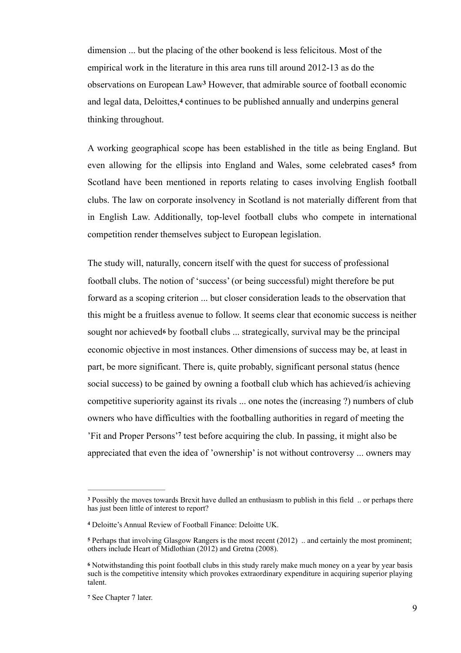dimension ... but the placing of the other bookend is less felicitous. Most of the empirical work in the literature in this area runs till around 2012-13 as do the observations on European Law<sup>3</sup> However, that admirable source of football economic and legal data, Deloittes,**4** continues to be published annually and underpins general thinking throughout.

A working geographical scope has been established in the title as being England. But even allowing for the ellipsis into England and Wales, some celebrated cases<sup>5</sup> from Scotland have been mentioned in reports relating to cases involving English football clubs. The law on corporate insolvency in Scotland is not materially different from that in English Law. Additionally, top-level football clubs who compete in international competition render themselves subject to European legislation.

The study will, naturally, concern itself with the quest for success of professional football clubs. The notion of 'success' (or being successful) might therefore be put forward as a scoping criterion ... but closer consideration leads to the observation that this might be a fruitless avenue to follow. It seems clear that economic success is neither sought nor achieved**6** by football clubs ... strategically, survival may be the principal economic objective in most instances. Other dimensions of success may be, at least in part, be more significant. There is, quite probably, significant personal status (hence social success) to be gained by owning a football club which has achieved/is achieving competitive superiority against its rivals ... one notes the (increasing ?) numbers of club owners who have difficulties with the footballing authorities in regard of meeting the 'Fit and Proper Persons'<sup>7</sup> test before acquiring the club. In passing, it might also be appreciated that even the idea of 'ownership' is not without controversy ... owners may

Possibly the moves towards Brexit have dulled an enthusiasm to publish in this field .. or perhaps there **<sup>3</sup>** has just been little of interest to report?

Deloitte's Annual Review of Football Finance: Deloitte UK. **<sup>4</sup>**

Perhaps that involving Glasgow Rangers is the most recent (2012) .. and certainly the most prominent; **<sup>5</sup>** others include Heart of Midlothian (2012) and Gretna (2008).

Notwithstanding this point football clubs in this study rarely make much money on a year by year basis **<sup>6</sup>** such is the competitive intensity which provokes extraordinary expenditure in acquiring superior playing talent.

<sup>&</sup>lt;sup>7</sup> See Chapter 7 later.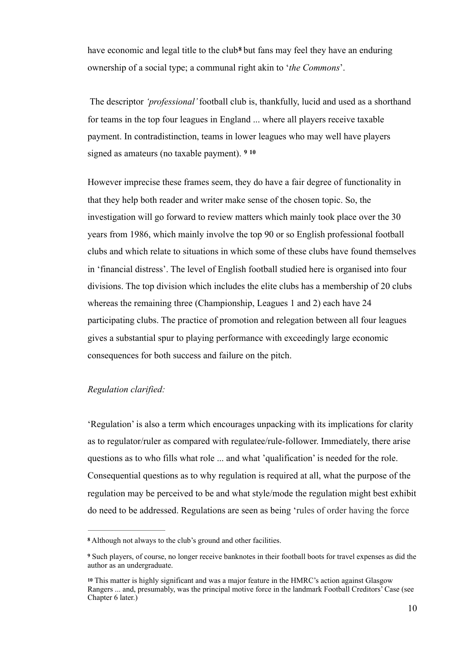have economic and legal title to the club<sup>8</sup> but fans may feel they have an enduring ownership of a social type; a communal right akin to '*the Commons*'.

 The descriptor *'professional'* football club is, thankfully, lucid and used as a shorthand for teams in the top four leagues in England ... where all players receive taxable payment. In contradistinction, teams in lower leagues who may well have players signed as amateurs (no taxable payment). **<sup>9</sup> <sup>10</sup>**

However imprecise these frames seem, they do have a fair degree of functionality in that they help both reader and writer make sense of the chosen topic. So, the investigation will go forward to review matters which mainly took place over the 30 years from 1986, which mainly involve the top 90 or so English professional football clubs and which relate to situations in which some of these clubs have found themselves in 'financial distress'. The level of English football studied here is organised into four divisions. The top division which includes the elite clubs has a membership of 20 clubs whereas the remaining three (Championship, Leagues 1 and 2) each have 24 participating clubs. The practice of promotion and relegation between all four leagues gives a substantial spur to playing performance with exceedingly large economic consequences for both success and failure on the pitch.

#### *Regulation clarified:*

'Regulation' is also a term which encourages unpacking with its implications for clarity as to regulator/ruler as compared with regulatee/rule-follower. Immediately, there arise questions as to who fills what role ... and what 'qualification' is needed for the role. Consequential questions as to why regulation is required at all, what the purpose of the regulation may be perceived to be and what style/mode the regulation might best exhibit do need to be addressed. Regulations are seen as being 'rules of order having the force

Although not always to the club's ground and other facilities. **<sup>8</sup>**

Such players, of course, no longer receive banknotes in their football boots for travel expenses as did the **<sup>9</sup>** author as an undergraduate.

This matter is highly significant and was a major feature in the HMRC's action against Glasgow **<sup>10</sup>** Rangers ... and, presumably, was the principal motive force in the landmark Football Creditors' Case (see Chapter 6 later.)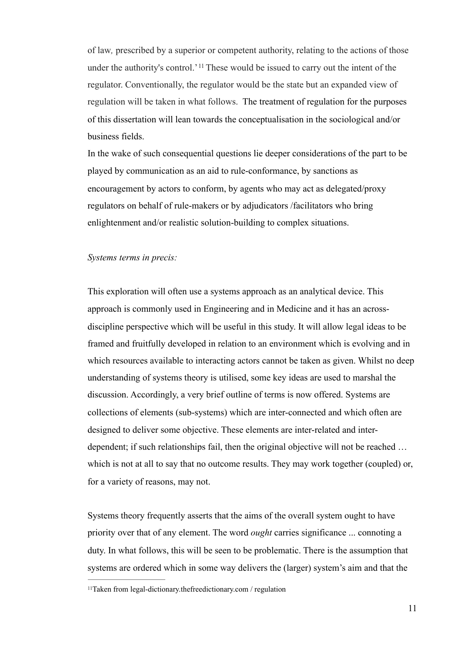of law*,* prescribed by a superior or competent authority, relating to the actions of those under the authority's control.<sup>'11</sup> These would be issued to carry out the intent of the regulator. Conventionally, the regulator would be the state but an expanded view of regulation will be taken in what follows. The treatment of regulation for the purposes of this dissertation will lean towards the conceptualisation in the sociological and/or business fields.

In the wake of such consequential questions lie deeper considerations of the part to be played by communication as an aid to rule-conformance, by sanctions as encouragement by actors to conform, by agents who may act as delegated/proxy regulators on behalf of rule-makers or by adjudicators /facilitators who bring enlightenment and/or realistic solution-building to complex situations.

#### *Systems terms in precis:*

This exploration will often use a systems approach as an analytical device. This approach is commonly used in Engineering and in Medicine and it has an acrossdiscipline perspective which will be useful in this study. It will allow legal ideas to be framed and fruitfully developed in relation to an environment which is evolving and in which resources available to interacting actors cannot be taken as given. Whilst no deep understanding of systems theory is utilised, some key ideas are used to marshal the discussion. Accordingly, a very brief outline of terms is now offered. Systems are collections of elements (sub-systems) which are inter-connected and which often are designed to deliver some objective. These elements are inter-related and interdependent; if such relationships fail, then the original objective will not be reached … which is not at all to say that no outcome results. They may work together (coupled) or, for a variety of reasons, may not.

Systems theory frequently asserts that the aims of the overall system ought to have priority over that of any element. The word *ought* carries significance ... connoting a duty. In what follows, this will be seen to be problematic. There is the assumption that systems are ordered which in some way delivers the (larger) system's aim and that the

<sup>11</sup>Taken from legal-dictionary.thefreedictionary.com / regulation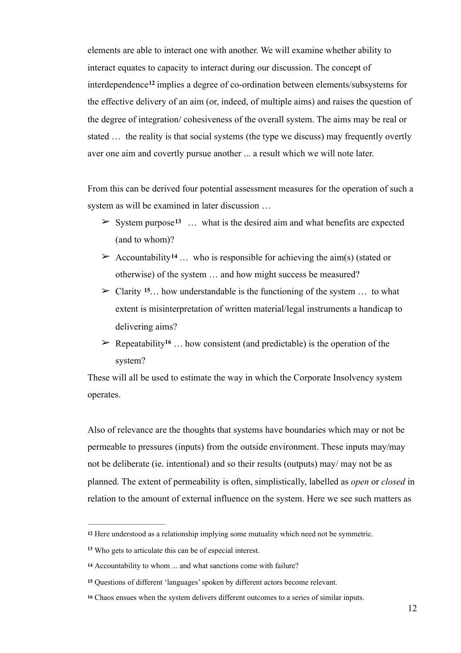elements are able to interact one with another. We will examine whether ability to interact equates to capacity to interact during our discussion. The concept of interdependence<sup>12</sup> implies a degree of co-ordination between elements/subsystems for the effective delivery of an aim (or, indeed, of multiple aims) and raises the question of the degree of integration/ cohesiveness of the overall system. The aims may be real or stated … the reality is that social systems (the type we discuss) may frequently overtly aver one aim and covertly pursue another ... a result which we will note later.

From this can be derived four potential assessment measures for the operation of such a system as will be examined in later discussion …

- $\geq$  System purpose<sup>13</sup> ... what is the desired aim and what benefits are expected (and to whom)?
- $\geq$  Accountability<sup>14</sup> ... who is responsible for achieving the aim(s) (stated or otherwise) of the system … and how might success be measured?
- $\geq$  Clarity <sup>15</sup>... how understandable is the functioning of the system ... to what extent is misinterpretation of written material/legal instruments a handicap to delivering aims?
- $\triangleright$  Repeatability<sup>16</sup> ... how consistent (and predictable) is the operation of the system?

These will all be used to estimate the way in which the Corporate Insolvency system operates.

Also of relevance are the thoughts that systems have boundaries which may or not be permeable to pressures (inputs) from the outside environment. These inputs may/may not be deliberate (ie. intentional) and so their results (outputs) may/ may not be as planned. The extent of permeability is often, simplistically, labelled as *open* or *closed* in relation to the amount of external influence on the system. Here we see such matters as

<sup>&</sup>lt;sup>12</sup> Here understood as a relationship implying some mutuality which need not be symmetric.

Who gets to articulate this can be of especial interest. **<sup>13</sup>**

**<sup>14</sup>** Accountability to whom ... and what sanctions come with failure?

Questions of different 'languages' spoken by different actors become relevant. **<sup>15</sup>**

Chaos ensues when the system delivers different outcomes to a series of similar inputs. **<sup>16</sup>**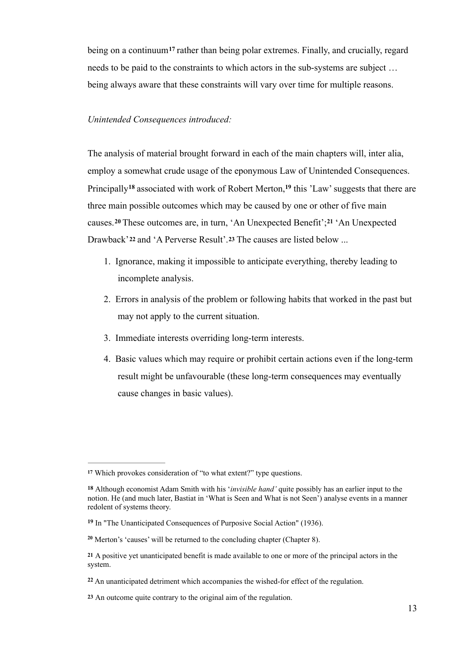being on a continuum<sup>17</sup> rather than being polar extremes. Finally, and crucially, regard needs to be paid to the constraints to which actors in the sub-systems are subject … being always aware that these constraints will vary over time for multiple reasons.

#### *Unintended Consequences introduced:*

The analysis of material brought forward in each of the main chapters will, inter alia, employ a somewhat crude usage of the eponymous Law of Unintended Consequences. Principally<sup>18</sup> associated with work of Robert Merton,<sup>19</sup> this 'Law' suggests that there are three main possible outcomes which may be caused by one or other of five main causes.<sup>20</sup> These outcomes are, in turn, 'An Unexpected Benefit';<sup>21</sup> 'An Unexpected Drawback'**22** and 'A Perverse Result'.**23** The causes are listed below ...

- 1. Ignorance, making it impossible to anticipate everything, thereby leading to incomplete analysis.
- 2. Errors in analysis of the problem or following habits that worked in the past but may not apply to the current situation.
- 3. Immediate interests overriding long-term interests.
- 4. Basic values which may require or prohibit certain actions even if the long-term result might be unfavourable (these long-term consequences may eventually cause changes in basic values).

Which provokes consideration of "to what extent?" type questions. **<sup>17</sup>**

Although economist Adam Smith with his '*invisible hand'* quite possibly has an earlier input to the **18** notion. He (and much later, Bastiat in 'What is Seen and What is not Seen') analyse events in a manner redolent of systems theory.

In "The Unanticipated Consequences of Purposive Social Action" (1936). **<sup>19</sup>**

Merton's 'causes' will be returned to the concluding chapter (Chapter 8). **<sup>20</sup>**

A positive yet unanticipated benefit is made available to one or more of the principal actors in the **21** system.

An unanticipated detriment which accompanies the wished-for effect of the regulation. **<sup>22</sup>**

An outcome quite contrary to the original aim of the regulation. **23**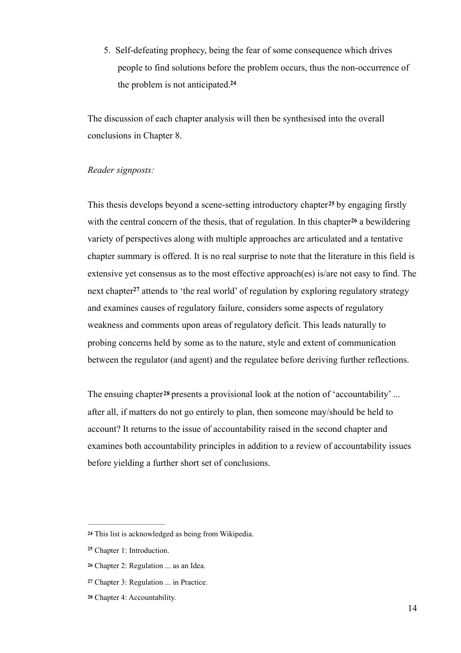5. Self-defeating prophecy, being the fear of some consequence which drives people to find solutions before the problem occurs, thus the non-occurrence of the problem is not anticipated.**<sup>24</sup>**

The discussion of each chapter analysis will then be synthesised into the overall conclusions in Chapter 8.

#### *Reader signposts:*

This thesis develops beyond a scene-setting introductory chapter<sup>25</sup> by engaging firstly with the central concern of the thesis, that of regulation. In this chapter  $26$  a bewildering variety of perspectives along with multiple approaches are articulated and a tentative chapter summary is offered. It is no real surprise to note that the literature in this field is extensive yet consensus as to the most effective approach(es) is/are not easy to find. The next chapter<sup>27</sup> attends to 'the real world' of regulation by exploring regulatory strategy and examines causes of regulatory failure, considers some aspects of regulatory weakness and comments upon areas of regulatory deficit. This leads naturally to probing concerns held by some as to the nature, style and extent of communication between the regulator (and agent) and the regulatee before deriving further reflections.

The ensuing chapter**<sup>28</sup>** presents a provisional look at the notion of 'accountability' ... after all, if matters do not go entirely to plan, then someone may/should be held to account? It returns to the issue of accountability raised in the second chapter and examines both accountability principles in addition to a review of accountability issues before yielding a further short set of conclusions.

This list is acknowledged as being from Wikipedia. **<sup>24</sup>**

Chapter 1: Introduction. **<sup>25</sup>**

Chapter 2: Regulation ... as an Idea. **<sup>26</sup>**

Chapter 3: Regulation ... in Practice. **<sup>27</sup>**

Chapter 4: Accountability. **<sup>28</sup>**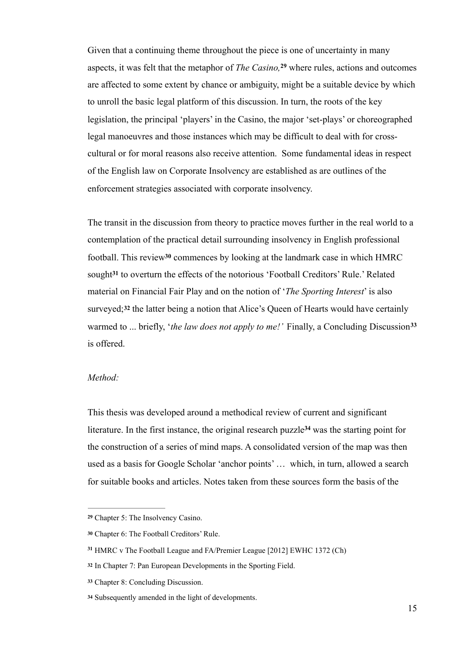Given that a continuing theme throughout the piece is one of uncertainty in many aspects, it was felt that the metaphor of *The Casino*, <sup>29</sup> where rules, actions and outcomes are affected to some extent by chance or ambiguity, might be a suitable device by which to unroll the basic legal platform of this discussion. In turn, the roots of the key legislation, the principal 'players' in the Casino, the major 'set-plays' or choreographed legal manoeuvres and those instances which may be difficult to deal with for crosscultural or for moral reasons also receive attention. Some fundamental ideas in respect of the English law on Corporate Insolvency are established as are outlines of the enforcement strategies associated with corporate insolvency.

The transit in the discussion from theory to practice moves further in the real world to a contemplation of the practical detail surrounding insolvency in English professional football. This review<sup>30</sup> commences by looking at the landmark case in which HMRC sought<sup>31</sup> to overturn the effects of the notorious 'Football Creditors' Rule.' Related material on Financial Fair Play and on the notion of '*The Sporting Interest*' is also surveyed;<sup>32</sup> the latter being a notion that Alice's Queen of Hearts would have certainly warmed to ... briefly, '*the law does not apply to me!'* Finally, a Concluding Discussion**<sup>33</sup>** is offered.

#### *Method:*

This thesis was developed around a methodical review of current and significant literature. In the first instance, the original research puzzle<sup>34</sup> was the starting point for the construction of a series of mind maps. A consolidated version of the map was then used as a basis for Google Scholar 'anchor points' … which, in turn, allowed a search for suitable books and articles. Notes taken from these sources form the basis of the

Chapter 5: The Insolvency Casino. **<sup>29</sup>**

Chapter 6: The Football Creditors' Rule. **<sup>30</sup>**

HMRC v The Football League and FA/Premier League [2012] EWHC 1372 (Ch) **<sup>31</sup>**

In Chapter 7: Pan European Developments in the Sporting Field. **<sup>32</sup>**

Chapter 8: Concluding Discussion. **<sup>33</sup>**

Subsequently amended in the light of developments. **<sup>34</sup>**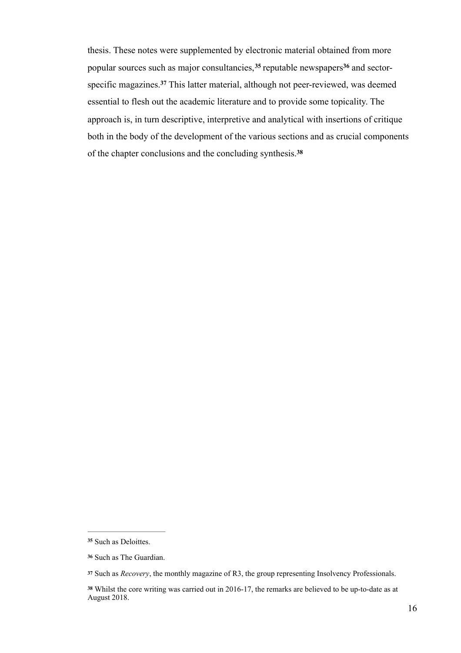thesis. These notes were supplemented by electronic material obtained from more popular sources such as major consultancies,  $35$  reputable newspapers  $36$  and sectorspecific magazines.<sup>37</sup> This latter material, although not peer-reviewed, was deemed essential to flesh out the academic literature and to provide some topicality. The approach is, in turn descriptive, interpretive and analytical with insertions of critique both in the body of the development of the various sections and as crucial components of the chapter conclusions and the concluding synthesis.**<sup>38</sup>**

<sup>&</sup>lt;sup>35</sup> Such as Deloittes.

Such as The Guardian. **<sup>36</sup>**

Such as *Recovery*, the monthly magazine of R3, the group representing Insolvency Professionals. **<sup>37</sup>**

Whilst the core writing was carried out in 2016-17, the remarks are believed to be up-to-date as at **<sup>38</sup>** August 2018.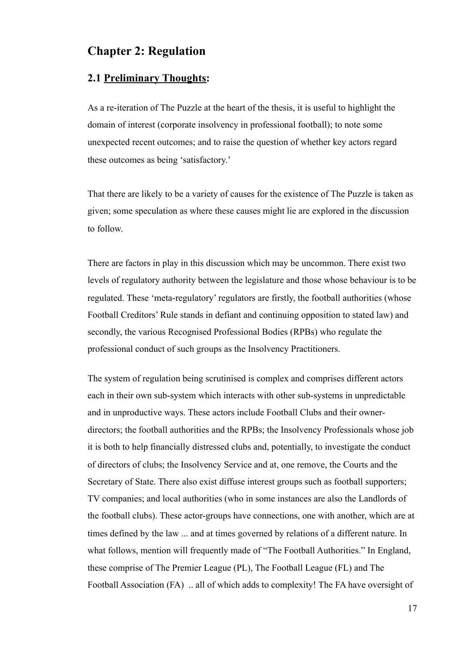## **Chapter 2: Regulation**

#### **2.1 Preliminary Thoughts:**

As a re-iteration of The Puzzle at the heart of the thesis, it is useful to highlight the domain of interest (corporate insolvency in professional football); to note some unexpected recent outcomes; and to raise the question of whether key actors regard these outcomes as being 'satisfactory.'

That there are likely to be a variety of causes for the existence of The Puzzle is taken as given; some speculation as where these causes might lie are explored in the discussion to follow.

There are factors in play in this discussion which may be uncommon. There exist two levels of regulatory authority between the legislature and those whose behaviour is to be regulated. These 'meta-regulatory' regulators are firstly, the football authorities (whose Football Creditors' Rule stands in defiant and continuing opposition to stated law) and secondly, the various Recognised Professional Bodies (RPBs) who regulate the professional conduct of such groups as the Insolvency Practitioners.

The system of regulation being scrutinised is complex and comprises different actors each in their own sub-system which interacts with other sub-systems in unpredictable and in unproductive ways. These actors include Football Clubs and their ownerdirectors; the football authorities and the RPBs; the Insolvency Professionals whose job it is both to help financially distressed clubs and, potentially, to investigate the conduct of directors of clubs; the Insolvency Service and at, one remove, the Courts and the Secretary of State. There also exist diffuse interest groups such as football supporters; TV companies; and local authorities (who in some instances are also the Landlords of the football clubs). These actor-groups have connections, one with another, which are at times defined by the law ... and at times governed by relations of a different nature. In what follows, mention will frequently made of "The Football Authorities." In England, these comprise of The Premier League (PL), The Football League (FL) and The Football Association (FA) .. all of which adds to complexity! The FA have oversight of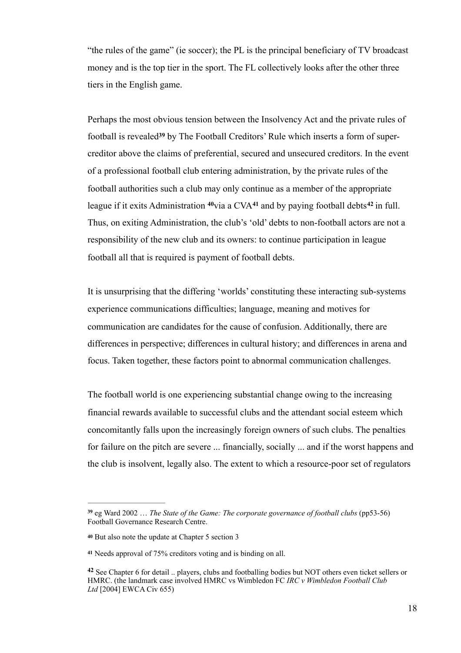"the rules of the game" (ie soccer); the PL is the principal beneficiary of TV broadcast money and is the top tier in the sport. The FL collectively looks after the other three tiers in the English game.

Perhaps the most obvious tension between the Insolvency Act and the private rules of football is revealed<sup>39</sup> by The Football Creditors' Rule which inserts a form of supercreditor above the claims of preferential, secured and unsecured creditors. In the event of a professional football club entering administration, by the private rules of the football authorities such a club may only continue as a member of the appropriate league if it exits Administration  $40$  via a CVA $41$  and by paying football debts  $42$  in full. Thus, on exiting Administration, the club's 'old' debts to non-football actors are not a responsibility of the new club and its owners: to continue participation in league football all that is required is payment of football debts.

It is unsurprising that the differing 'worlds' constituting these interacting sub-systems experience communications difficulties; language, meaning and motives for communication are candidates for the cause of confusion. Additionally, there are differences in perspective; differences in cultural history; and differences in arena and focus. Taken together, these factors point to abnormal communication challenges.

The football world is one experiencing substantial change owing to the increasing financial rewards available to successful clubs and the attendant social esteem which concomitantly falls upon the increasingly foreign owners of such clubs. The penalties for failure on the pitch are severe ... financially, socially ... and if the worst happens and the club is insolvent, legally also. The extent to which a resource-poor set of regulators

eg Ward 2002 … *The State of the Game: The corporate governance of football clubs* (pp53-56) **<sup>39</sup>** Football Governance Research Centre.

**<sup>40</sup>** But also note the update at Chapter 5 section 3

Needs approval of 75% creditors voting and is binding on all. **<sup>41</sup>**

<sup>&</sup>lt;sup>42</sup> See Chapter 6 for detail .. players, clubs and footballing bodies but NOT others even ticket sellers or HMRC. (the landmark case involved HMRC vs Wimbledon FC *IRC v Wimbledon Football Club Ltd* [2004] EWCA Civ 655)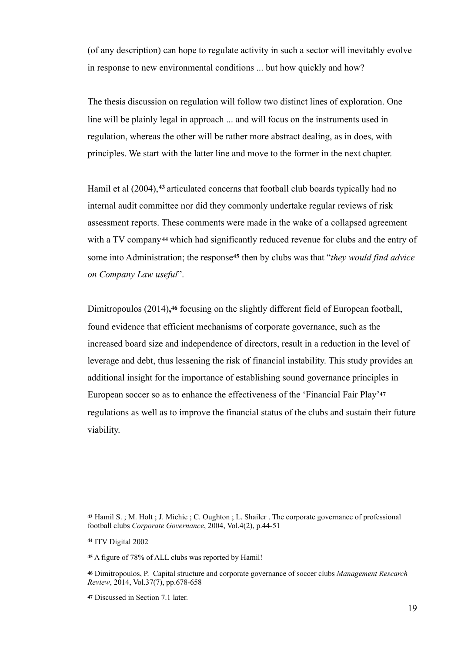(of any description) can hope to regulate activity in such a sector will inevitably evolve in response to new environmental conditions ... but how quickly and how?

The thesis discussion on regulation will follow two distinct lines of exploration. One line will be plainly legal in approach ... and will focus on the instruments used in regulation, whereas the other will be rather more abstract dealing, as in does, with principles. We start with the latter line and move to the former in the next chapter.

Hamil et al (2004), <sup>43</sup> articulated concerns that football club boards typically had no internal audit committee nor did they commonly undertake regular reviews of risk assessment reports. These comments were made in the wake of a collapsed agreement with a TV company**44** which had significantly reduced revenue for clubs and the entry of some into Administration; the response<sup>45</sup> then by clubs was that "*they would find advice on Company Law useful*".

Dimitropoulos (2014)**,46** focusing on the slightly different field of European football, found evidence that efficient mechanisms of corporate governance, such as the increased board size and independence of directors, result in a reduction in the level of leverage and debt, thus lessening the risk of financial instability. This study provides an additional insight for the importance of establishing sound governance principles in European soccer so as to enhance the effectiveness of the 'Financial Fair Play'**<sup>47</sup>** regulations as well as to improve the financial status of the clubs and sustain their future viability.

Hamil S. ; M. Holt ; J. Michie ; C. Oughton ; L. Shailer . The corporate governance of professional **<sup>43</sup>** football clubs *Corporate Governance*, 2004, Vol.4(2), p.44-51

ITV Digital 2002 **<sup>44</sup>**

A figure of 78% of ALL clubs was reported by Hamil! **<sup>45</sup>**

Dimitropoulos, P. Capital structure and corporate governance of soccer clubs *Management Research* **<sup>46</sup>** *Review*, 2014, Vol.37(7), pp.678-658

Discussed in Section 7.1 later. **<sup>47</sup>**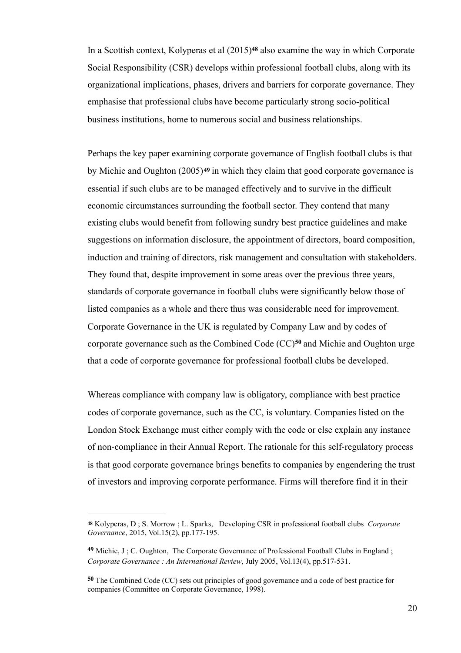In a Scottish context, Kolyperas et al  $(2015)^{48}$  also examine the way in which Corporate Social Responsibility (CSR) develops within professional football clubs, along with its organizational implications, phases, drivers and barriers for corporate governance. They emphasise that professional clubs have become particularly strong socio-political business institutions, home to numerous social and business relationships.

Perhaps the key paper examining corporate governance of English football clubs is that by Michie and Oughton (2005)**<sup>49</sup>** in which they claim that good corporate governance is essential if such clubs are to be managed effectively and to survive in the difficult economic circumstances surrounding the football sector. They contend that many existing clubs would benefit from following sundry best practice guidelines and make suggestions on information disclosure, the appointment of directors, board composition, induction and training of directors, risk management and consultation with stakeholders. They found that, despite improvement in some areas over the previous three years, standards of corporate governance in football clubs were significantly below those of listed companies as a whole and there thus was considerable need for improvement. Corporate Governance in the UK is regulated by Company Law and by codes of corporate governance such as the Combined Code (CC)<sup>50</sup> and Michie and Oughton urge that a code of corporate governance for professional football clubs be developed.

Whereas compliance with company law is obligatory, compliance with best practice codes of corporate governance, such as the CC, is voluntary. Companies listed on the London Stock Exchange must either comply with the code or else explain any instance of non-compliance in their Annual Report. The rationale for this self-regulatory process is that good corporate governance brings benefits to companies by engendering the trust of investors and improving corporate performance. Firms will therefore find it in their

Kolyperas, D ; S. Morrow ; L. Sparks, Developing CSR in professional football clubs *Corporate* **<sup>48</sup>** *Governance*, 2015, Vol.15(2), pp.177-195.

Michie, J ; C. Oughton, The Corporate Governance of Professional Football Clubs in England ; **<sup>49</sup>** *Corporate Governance : An International Review*, July 2005, Vol.13(4), pp.517-531.

The Combined Code (CC) sets out principles of good governance and a code of best practice for **<sup>50</sup>** companies (Committee on Corporate Governance, 1998).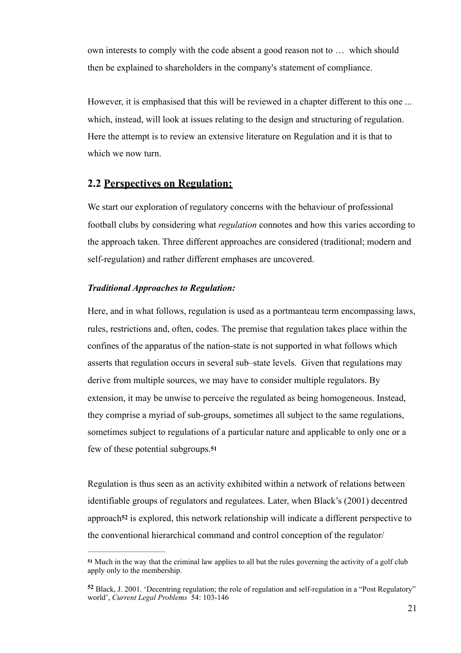own interests to comply with the code absent a good reason not to … which should then be explained to shareholders in the company's statement of compliance.

However, it is emphasised that this will be reviewed in a chapter different to this one ... which, instead, will look at issues relating to the design and structuring of regulation. Here the attempt is to review an extensive literature on Regulation and it is that to which we now turn.

#### **2.2 Perspectives on Regulation:**

We start our exploration of regulatory concerns with the behaviour of professional football clubs by considering what *regulation* connotes and how this varies according to the approach taken. Three different approaches are considered (traditional; modern and self-regulation) and rather different emphases are uncovered.

#### *Traditional Approaches to Regulation:*

Here, and in what follows, regulation is used as a portmanteau term encompassing laws, rules, restrictions and, often, codes. The premise that regulation takes place within the confines of the apparatus of the nation-state is not supported in what follows which asserts that regulation occurs in several sub–state levels. Given that regulations may derive from multiple sources, we may have to consider multiple regulators. By extension, it may be unwise to perceive the regulated as being homogeneous. Instead, they comprise a myriad of sub-groups, sometimes all subject to the same regulations, sometimes subject to regulations of a particular nature and applicable to only one or a few of these potential subgroups.**<sup>51</sup>**

Regulation is thus seen as an activity exhibited within a network of relations between identifiable groups of regulators and regulatees. Later, when Black's (2001) decentred approach**52** is explored, this network relationship will indicate a different perspective to the conventional hierarchical command and control conception of the regulator/

Much in the way that the criminal law applies to all but the rules governing the activity of a golf club **<sup>51</sup>** apply only to the membership.

Black, J. 2001. 'Decentring regulation; the role of regulation and self-regulation in a "Post Regulatory" **<sup>52</sup>** world', *Current Legal Problems* 54: 103-146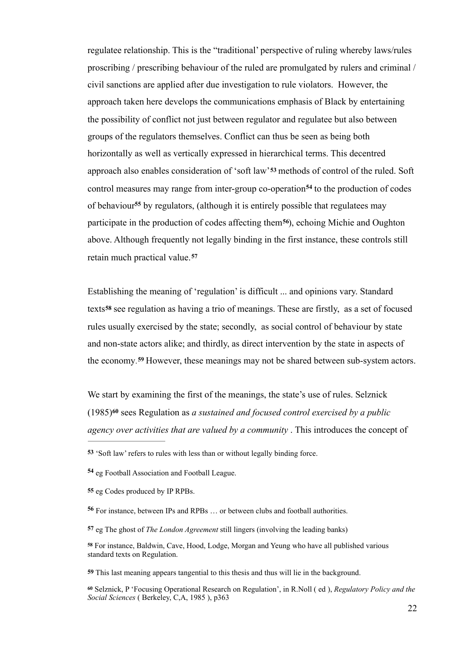regulatee relationship. This is the "traditional' perspective of ruling whereby laws/rules proscribing / prescribing behaviour of the ruled are promulgated by rulers and criminal / civil sanctions are applied after due investigation to rule violators. However, the approach taken here develops the communications emphasis of Black by entertaining the possibility of conflict not just between regulator and regulatee but also between groups of the regulators themselves. Conflict can thus be seen as being both horizontally as well as vertically expressed in hierarchical terms. This decentred approach also enables consideration of 'soft law'**53** methods of control of the ruled. Soft control measures may range from inter-group co-operation<sup>54</sup> to the production of codes of behaviour<sup>55</sup> by regulators, (although it is entirely possible that regulatees may participate in the production of codes affecting them<sup>56</sup>), echoing Michie and Oughton above. Although frequently not legally binding in the first instance, these controls still retain much practical value.**<sup>57</sup>**

Establishing the meaning of 'regulation' is difficult ... and opinions vary. Standard texts**<sup>58</sup>** see regulation as having a trio of meanings. These are firstly, as a set of focused rules usually exercised by the state; secondly, as social control of behaviour by state and non-state actors alike; and thirdly, as direct intervention by the state in aspects of the economy.<sup>59</sup> However, these meanings may not be shared between sub-system actors.

We start by examining the first of the meanings, the state's use of rules. Selznick (1985) sees Regulation as *a sustained and focused control exercised by a public* **<sup>60</sup>** *agency over activities that are valued by a community* . This introduces the concept of

**59** This last meaning appears tangential to this thesis and thus will lie in the background.

**<sup>53</sup>** 'Soft law' refers to rules with less than or without legally binding force.

eg Football Association and Football League. **<sup>54</sup>**

**<sup>55</sup>** eg Codes produced by IP RPBs.

For instance, between IPs and RPBs … or between clubs and football authorities. **<sup>56</sup>**

**<sup>57</sup>** eg The ghost of *The London Agreement* still lingers (involving the leading banks)

For instance, Baldwin, Cave, Hood, Lodge, Morgan and Yeung who have all published various **<sup>58</sup>** standard texts on Regulation.

Selznick, P 'Focusing Operational Research on Regulation', in R.Noll ( ed ), *Regulatory Policy and the* **<sup>60</sup>** *Social Sciences* ( Berkeley, C,A, 1985 ), p363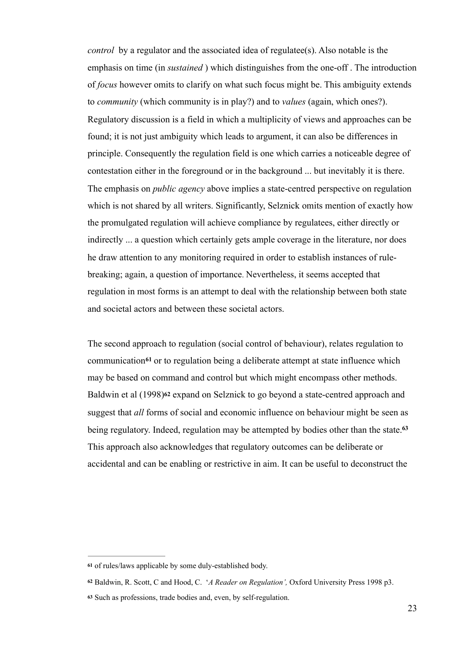*control* by a regulator and the associated idea of regulatee(s). Also notable is the emphasis on time (in *sustained* ) which distinguishes from the one-off . The introduction of *focus* however omits to clarify on what such focus might be. This ambiguity extends to *community* (which community is in play?) and to *values* (again, which ones?). Regulatory discussion is a field in which a multiplicity of views and approaches can be found; it is not just ambiguity which leads to argument, it can also be differences in principle. Consequently the regulation field is one which carries a noticeable degree of contestation either in the foreground or in the background ... but inevitably it is there. The emphasis on *public agency* above implies a state-centred perspective on regulation which is not shared by all writers. Significantly, Selznick omits mention of exactly how the promulgated regulation will achieve compliance by regulatees, either directly or indirectly ... a question which certainly gets ample coverage in the literature, nor does he draw attention to any monitoring required in order to establish instances of rulebreaking; again, a question of importance. Nevertheless, it seems accepted that regulation in most forms is an attempt to deal with the relationship between both state and societal actors and between these societal actors.

The second approach to regulation (social control of behaviour), relates regulation to communication<sup>61</sup> or to regulation being a deliberate attempt at state influence which may be based on command and control but which might encompass other methods. Baldwin et al (1998)**62** expand on Selznick to go beyond a state-centred approach and suggest that *all* forms of social and economic influence on behaviour might be seen as being regulatory. Indeed, regulation may be attempted by bodies other than the state.**<sup>63</sup>** This approach also acknowledges that regulatory outcomes can be deliberate or accidental and can be enabling or restrictive in aim. It can be useful to deconstruct the

of rules/laws applicable by some duly-established body. **<sup>61</sup>**

Baldwin, R. Scott, C and Hood, C. '*A Reader on Regulation',* Oxford University Press 1998 p3. **<sup>62</sup>**

Such as professions, trade bodies and, even, by self-regulation. **<sup>63</sup>**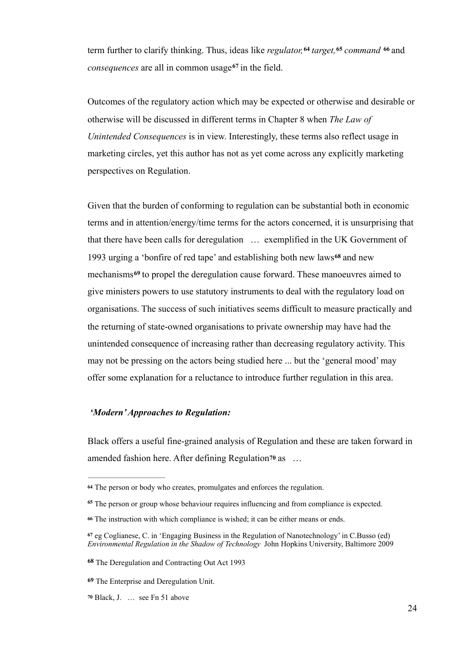term further to clarify thinking. Thus, ideas like *regulator*, <sup>64</sup> target, <sup>65</sup> command <sup>66</sup> and consequences are all in common usage<sup>67</sup> in the field.

Outcomes of the regulatory action which may be expected or otherwise and desirable or otherwise will be discussed in different terms in Chapter 8 when *The Law of Unintended Consequences* is in view. Interestingly, these terms also reflect usage in marketing circles, yet this author has not as yet come across any explicitly marketing perspectives on Regulation.

Given that the burden of conforming to regulation can be substantial both in economic terms and in attention/energy/time terms for the actors concerned, it is unsurprising that that there have been calls for deregulation … exemplified in the UK Government of 1993 urging a 'bonfire of red tape' and establishing both new laws<sup>68</sup> and new mechanisms<sup>69</sup> to propel the deregulation cause forward. These manoeuvres aimed to give ministers powers to use statutory instruments to deal with the regulatory load on organisations. The success of such initiatives seems difficult to measure practically and the returning of state-owned organisations to private ownership may have had the unintended consequence of increasing rather than decreasing regulatory activity. This may not be pressing on the actors being studied here ... but the 'general mood' may offer some explanation for a reluctance to introduce further regulation in this area.

#### *'Modern' Approaches to Regulation:*

Black offers a useful fine-grained analysis of Regulation and these are taken forward in amended fashion here. After defining Regulation**<sup>70</sup>** as …

The person or body who creates, promulgates and enforces the regulation. **<sup>64</sup>**

<sup>&</sup>lt;sup>65</sup> The person or group whose behaviour requires influencing and from compliance is expected.

The instruction with which compliance is wished; it can be either means or ends. **<sup>66</sup>**

eg Coglianese, C. in 'Engaging Business in the Regulation of Nanotechnology' in C.Busso (ed) **<sup>67</sup>** *Environmental Regulation in the Shadow of Technology* John Hopkins University, Baltimore 2009

The Deregulation and Contracting Out Act 1993 **<sup>68</sup>**

**<sup>69</sup>** The Enterprise and Deregulation Unit.

Black, J. … see Fn 51 above **<sup>70</sup>**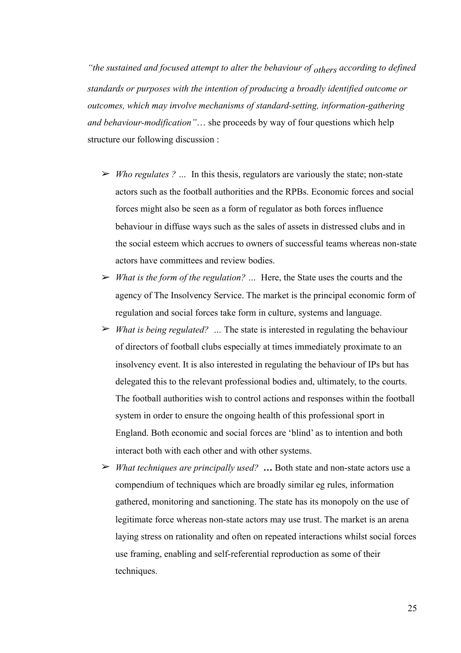*"the sustained and focused attempt to alter the behaviour of others according to defined standards or purposes with the intention of producing a broadly identified outcome or outcomes, which may involve mechanisms of standard-setting, information-gathering and behaviour-modification"*… she proceeds by way of four questions which help structure our following discussion :

- ➢ *Who regulates ? …* In this thesis, regulators are variously the state; non-state actors such as the football authorities and the RPBs. Economic forces and social forces might also be seen as a form of regulator as both forces influence behaviour in diffuse ways such as the sales of assets in distressed clubs and in the social esteem which accrues to owners of successful teams whereas non-state actors have committees and review bodies.
- ➢ *What is the form of the regulation? …* Here, the State uses the courts and the agency of The Insolvency Service. The market is the principal economic form of regulation and social forces take form in culture, systems and language.
- ➢ *What is being regulated? …* The state is interested in regulating the behaviour of directors of football clubs especially at times immediately proximate to an insolvency event. It is also interested in regulating the behaviour of IPs but has delegated this to the relevant professional bodies and, ultimately, to the courts. The football authorities wish to control actions and responses within the football system in order to ensure the ongoing health of this professional sport in England. Both economic and social forces are 'blind' as to intention and both interact both with each other and with other systems.
- ➢ *What techniques are principally used?* **…** Both state and non-state actors use a compendium of techniques which are broadly similar eg rules, information gathered, monitoring and sanctioning. The state has its monopoly on the use of legitimate force whereas non-state actors may use trust. The market is an arena laying stress on rationality and often on repeated interactions whilst social forces use framing, enabling and self-referential reproduction as some of their techniques.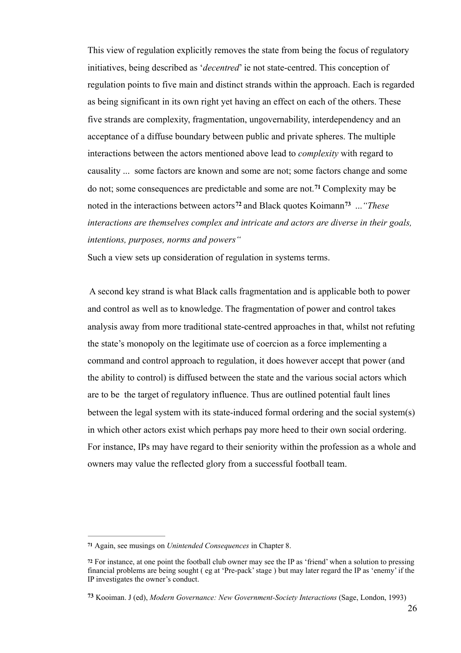This view of regulation explicitly removes the state from being the focus of regulatory initiatives, being described as '*decentred*' ie not state-centred. This conception of regulation points to five main and distinct strands within the approach. Each is regarded as being significant in its own right yet having an effect on each of the others. These five strands are complexity, fragmentation, ungovernability, interdependency and an acceptance of a diffuse boundary between public and private spheres. The multiple interactions between the actors mentioned above lead to *complexity* with regard to causality ... some factors are known and some are not; some factors change and some do not; some consequences are predictable and some are not.<sup>71</sup> Complexity may be noted in the interactions between actors<sup>72</sup> and Black quotes Koimann<sup>73</sup> ... *"These interactions are themselves complex and intricate and actors are diverse in their goals, intentions, purposes, norms and powers"* 

Such a view sets up consideration of regulation in systems terms.

 A second key strand is what Black calls fragmentation and is applicable both to power and control as well as to knowledge. The fragmentation of power and control takes analysis away from more traditional state-centred approaches in that, whilst not refuting the state's monopoly on the legitimate use of coercion as a force implementing a command and control approach to regulation, it does however accept that power (and the ability to control) is diffused between the state and the various social actors which are to be the target of regulatory influence. Thus are outlined potential fault lines between the legal system with its state-induced formal ordering and the social system(s) in which other actors exist which perhaps pay more heed to their own social ordering. For instance, IPs may have regard to their seniority within the profession as a whole and owners may value the reflected glory from a successful football team.

Again, see musings on *Unintended Consequences* in Chapter 8. **<sup>71</sup>**

For instance, at one point the football club owner may see the IP as 'friend' when a solution to pressing **<sup>72</sup>** financial problems are being sought ( eg at 'Pre-pack' stage ) but may later regard the IP as 'enemy' if the IP investigates the owner's conduct.

Kooiman. J (ed), *Modern Governance: New Government-Society Interactions* (Sage, London, 1993) **<sup>73</sup>**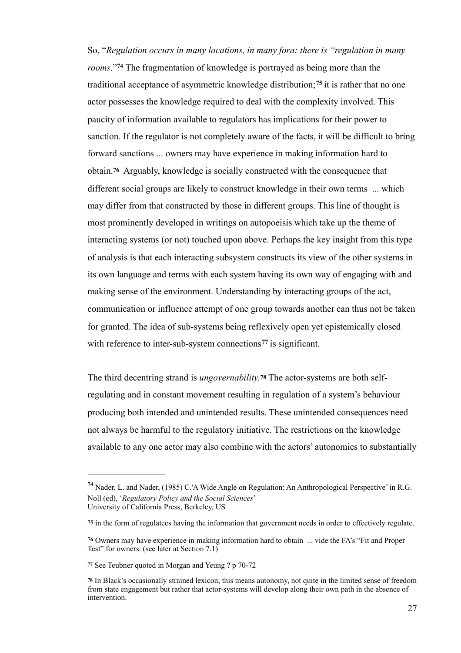So, "*Regulation occurs in many locations, in many fora: there is "regulation in many rooms*."<sup>74</sup> The fragmentation of knowledge is portraved as being more than the traditional acceptance of asymmetric knowledge distribution;<sup>75</sup> it is rather that no one actor possesses the knowledge required to deal with the complexity involved. This paucity of information available to regulators has implications for their power to sanction. If the regulator is not completely aware of the facts, it will be difficult to bring forward sanctions ... owners may have experience in making information hard to obtain.**<sup>76</sup>** Arguably, knowledge is socially constructed with the consequence that different social groups are likely to construct knowledge in their own terms ... which may differ from that constructed by those in different groups. This line of thought is most prominently developed in writings on autopoeisis which take up the theme of interacting systems (or not) touched upon above. Perhaps the key insight from this type of analysis is that each interacting subsystem constructs its view of the other systems in its own language and terms with each system having its own way of engaging with and making sense of the environment. Understanding by interacting groups of the act, communication or influence attempt of one group towards another can thus not be taken for granted. The idea of sub-systems being reflexively open yet epistemically closed with reference to inter-sub-system connections<sup> $77$ </sup> is significant.

The third decentring strand is *ungovernability.***78** The actor-systems are both selfregulating and in constant movement resulting in regulation of a system's behaviour producing both intended and unintended results. These unintended consequences need not always be harmful to the regulatory initiative. The restrictions on the knowledge available to any one actor may also combine with the actors' autonomies to substantially

Nader, L. and Nader, (1985) C.'A Wide Angle on Regulation: An Anthropological Perspective' in R.G. **<sup>74</sup>** Noll (ed), '*Regulatory Policy and the Social Sciences*' University of California Press, Berkeley, US

in the form of regulatees having the information that government needs in order to effectively regulate. **75**

Owners may have experience in making information hard to obtain ... vide the FA's "Fit and Proper **76** Test" for owners. (see later at Section 7.1)

**<sup>77</sup>** See Teubner quoted in Morgan and Yeung ? p 70-72

In Black's occasionally strained lexicon, this means autonomy, not quite in the limited sense of freedom **<sup>78</sup>** from state engagement but rather that actor-systems will develop along their own path in the absence of intervention.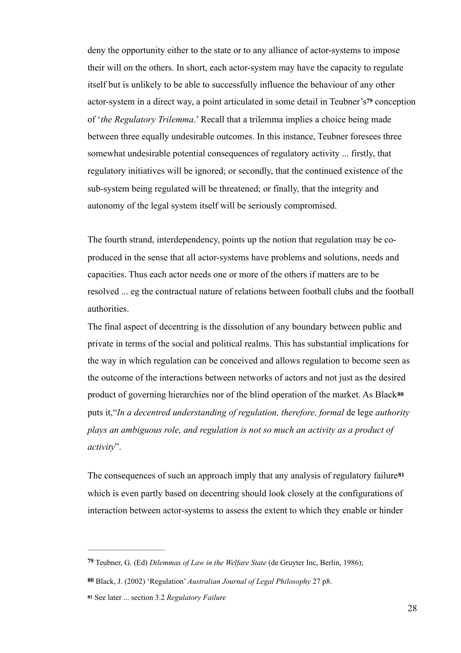deny the opportunity either to the state or to any alliance of actor-systems to impose their will on the others. In short, each actor-system may have the capacity to regulate itself but is unlikely to be able to successfully influence the behaviour of any other actor-system in a direct way, a point articulated in some detail in Teubner's**79** conception of '*the Regulatory Trilemma*.' Recall that a trilemma implies a choice being made between three equally undesirable outcomes. In this instance, Teubner foresees three somewhat undesirable potential consequences of regulatory activity ... firstly, that regulatory initiatives will be ignored; or secondly, that the continued existence of the sub-system being regulated will be threatened; or finally, that the integrity and autonomy of the legal system itself will be seriously compromised.

The fourth strand, interdependency, points up the notion that regulation may be coproduced in the sense that all actor-systems have problems and solutions, needs and capacities. Thus each actor needs one or more of the others if matters are to be resolved ... eg the contractual nature of relations between football clubs and the football authorities.

The final aspect of decentring is the dissolution of any boundary between public and private in terms of the social and political realms. This has substantial implications for the way in which regulation can be conceived and allows regulation to become seen as the outcome of the interactions between networks of actors and not just as the desired product of governing hierarchies nor of the blind operation of the market. As Black**<sup>80</sup>** puts it,"*In a decentred understanding of regulation, therefore, formal* de lege *authority plays an ambiguous role, and regulation is not so much an activity as a product of activity*".

The consequences of such an approach imply that any analysis of regulatory failure**<sup>81</sup>** which is even partly based on decentring should look closely at the configurations of interaction between actor-systems to assess the extent to which they enable or hinder

Teubner, G. (Ed) *Dilemmas of Law in the Welfare State* (de Gruyter Inc, Berlin, 1986); **<sup>79</sup>**

**<sup>80</sup>** Black, J. (2002) 'Regulation' *Australian Journal of Legal Philosophy* 27 p8.

**<sup>81</sup>** See later ... section 3.2 *Regulatory Failure*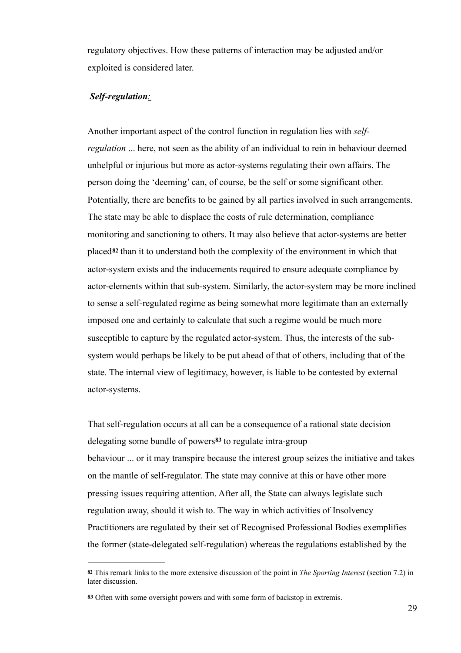regulatory objectives. How these patterns of interaction may be adjusted and/or exploited is considered later.

#### *Self-regulation:*

Another important aspect of the control function in regulation lies with *selfregulation* ... here, not seen as the ability of an individual to rein in behaviour deemed unhelpful or injurious but more as actor-systems regulating their own affairs. The person doing the 'deeming' can, of course, be the self or some significant other. Potentially, there are benefits to be gained by all parties involved in such arrangements. The state may be able to displace the costs of rule determination, compliance monitoring and sanctioning to others. It may also believe that actor-systems are better placed**<sup>82</sup>** than it to understand both the complexity of the environment in which that actor-system exists and the inducements required to ensure adequate compliance by actor-elements within that sub-system. Similarly, the actor-system may be more inclined to sense a self-regulated regime as being somewhat more legitimate than an externally imposed one and certainly to calculate that such a regime would be much more susceptible to capture by the regulated actor-system. Thus, the interests of the subsystem would perhaps be likely to be put ahead of that of others, including that of the state. The internal view of legitimacy, however, is liable to be contested by external actor-systems.

That self-regulation occurs at all can be a consequence of a rational state decision delegating some bundle of powers<sup>83</sup> to regulate intra-group behaviour ... or it may transpire because the interest group seizes the initiative and takes on the mantle of self-regulator. The state may connive at this or have other more pressing issues requiring attention. After all, the State can always legislate such regulation away, should it wish to. The way in which activities of Insolvency Practitioners are regulated by their set of Recognised Professional Bodies exemplifies the former (state-delegated self-regulation) whereas the regulations established by the

This remark links to the more extensive discussion of the point in *The Sporting Interest* (section 7.2) in **<sup>82</sup>** later discussion.

Often with some oversight powers and with some form of backstop in extremis. **83**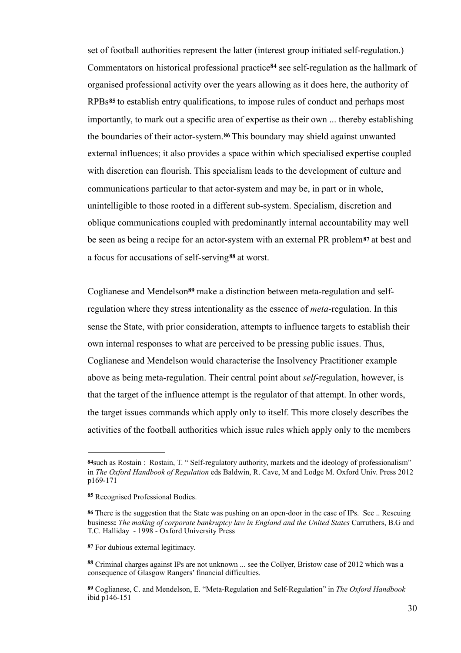set of football authorities represent the latter (interest group initiated self-regulation.) Commentators on historical professional practice<sup>84</sup> see self-regulation as the hallmark of organised professional activity over the years allowing as it does here, the authority of RPBs**<sup>85</sup>** to establish entry qualifications, to impose rules of conduct and perhaps most importantly, to mark out a specific area of expertise as their own ... thereby establishing the boundaries of their actor-system.<sup>86</sup> This boundary may shield against unwanted external influences; it also provides a space within which specialised expertise coupled with discretion can flourish. This specialism leads to the development of culture and communications particular to that actor-system and may be, in part or in whole, unintelligible to those rooted in a different sub-system. Specialism, discretion and oblique communications coupled with predominantly internal accountability may well be seen as being a recipe for an actor-system with an external PR problem**87** at best and a focus for accusations of self-serving<sup>88</sup> at worst.

Coglianese and Mendelson<sup>89</sup> make a distinction between meta-regulation and selfregulation where they stress intentionality as the essence of *meta*-regulation. In this sense the State, with prior consideration, attempts to influence targets to establish their own internal responses to what are perceived to be pressing public issues. Thus, Coglianese and Mendelson would characterise the Insolvency Practitioner example above as being meta-regulation. Their central point about *self*-regulation, however, is that the target of the influence attempt is the regulator of that attempt. In other words, the target issues commands which apply only to itself. This more closely describes the activities of the football authorities which issue rules which apply only to the members

such as Rostain : Rostain, T. " Self-regulatory authority, markets and the ideology of professionalism" **84** in *The Oxford Handbook of Regulation* eds Baldwin, R. Cave, M and Lodge M. Oxford Univ. Press 2012 p169-171

Recognised Professional Bodies. **<sup>85</sup>**

There is the suggestion that the State was pushing on an open-door in the case of IPs. See .. Rescuing **86** business**:** *The making of corporate bankruptcy law in England and the United States* Carruthers, B.G and T.C. Halliday - 1998 - Oxford University Press

For dubious external legitimacy. **87**

Criminal charges against IPs are not unknown ... see the Collyer, Bristow case of 2012 which was a **<sup>88</sup>** consequence of Glasgow Rangers' financial difficulties.

Coglianese, C. and Mendelson, E. "Meta-Regulation and Self-Regulation" in *The Oxford Handbook* **89** ibid p146-151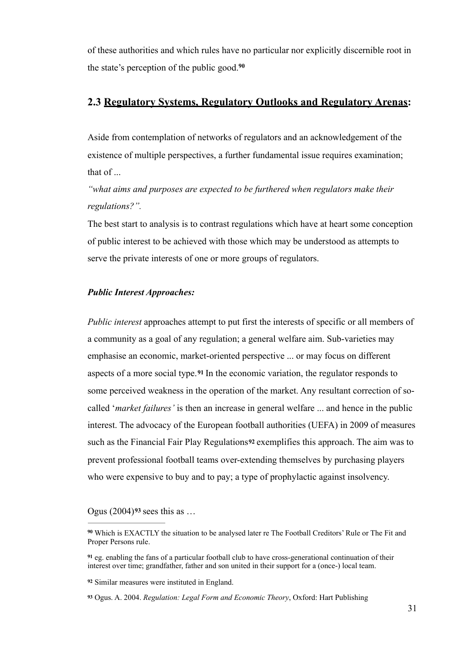of these authorities and which rules have no particular nor explicitly discernible root in the state's perception of the public good.**<sup>90</sup>**

#### **2.3 Regulatory Systems, Regulatory Outlooks and Regulatory Arenas:**

Aside from contemplation of networks of regulators and an acknowledgement of the existence of multiple perspectives, a further fundamental issue requires examination; that of ...

*"what aims and purposes are expected to be furthered when regulators make their regulations?".*

The best start to analysis is to contrast regulations which have at heart some conception of public interest to be achieved with those which may be understood as attempts to serve the private interests of one or more groups of regulators.

#### *Public Interest Approaches:*

*Public interest* approaches attempt to put first the interests of specific or all members of a community as a goal of any regulation; a general welfare aim. Sub-varieties may emphasise an economic, market-oriented perspective ... or may focus on different aspects of a more social type.**<sup>91</sup>** In the economic variation, the regulator responds to some perceived weakness in the operation of the market. Any resultant correction of socalled '*market failures'* is then an increase in general welfare ... and hence in the public interest. The advocacy of the European football authorities (UEFA) in 2009 of measures such as the Financial Fair Play Regulations**92** exemplifies this approach. The aim was to prevent professional football teams over-extending themselves by purchasing players who were expensive to buy and to pay; a type of prophylactic against insolvency.

Ogus (2004)**93** sees this as …

**<sup>93</sup>** Ogus. A. 2004. *Regulation: Legal Form and Economic Theory*, Oxford: Hart Publishing

Which is EXACTLY the situation to be analysed later re The Football Creditors' Rule or The Fit and **<sup>90</sup>** Proper Persons rule.

eg. enabling the fans of a particular football club to have cross-generational continuation of their **<sup>91</sup>** interest over time; grandfather, father and son united in their support for a (once-) local team.

Similar measures were instituted in England. **<sup>92</sup>**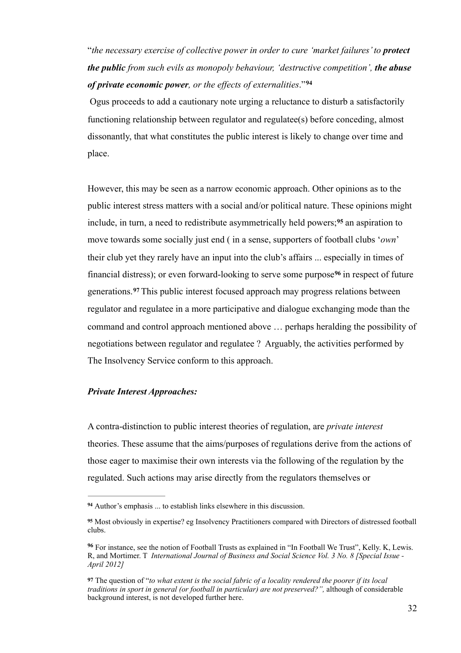"*the necessary exercise of collective power in order to cure 'market failures' to protect the public from such evils as monopoly behaviour, 'destructive competition', the abuse of private economic power, or the effects of externalities*."**<sup>94</sup>**

 Ogus proceeds to add a cautionary note urging a reluctance to disturb a satisfactorily functioning relationship between regulator and regulatee(s) before conceding, almost dissonantly, that what constitutes the public interest is likely to change over time and place.

However, this may be seen as a narrow economic approach. Other opinions as to the public interest stress matters with a social and/or political nature. These opinions might include, in turn, a need to redistribute asymmetrically held powers;<sup>95</sup> an aspiration to move towards some socially just end ( in a sense, supporters of football clubs '*own*' their club yet they rarely have an input into the club's affairs ... especially in times of financial distress); or even forward-looking to serve some purpose<sup>96</sup> in respect of future generations.<sup>97</sup> This public interest focused approach may progress relations between regulator and regulatee in a more participative and dialogue exchanging mode than the command and control approach mentioned above … perhaps heralding the possibility of negotiations between regulator and regulatee ? Arguably, the activities performed by The Insolvency Service conform to this approach.

#### *Private Interest Approaches:*

A contra-distinction to public interest theories of regulation, are *private interest* theories. These assume that the aims/purposes of regulations derive from the actions of those eager to maximise their own interests via the following of the regulation by the regulated. Such actions may arise directly from the regulators themselves or

Author's emphasis ... to establish links elsewhere in this discussion. **<sup>94</sup>**

Most obviously in expertise? eg Insolvency Practitioners compared with Directors of distressed football **<sup>95</sup>** clubs.

For instance, see the notion of Football Trusts as explained in "In Football We Trust", Kelly. K, Lewis. **<sup>96</sup>** R, and Mortimer. T *International Journal of Business and Social Science Vol. 3 No. 8 [Special Issue - April 2012]*

The question of "*to what extent is the social fabric of a locality rendered the poorer if its local* **97** *traditions in sport in general (or football in particular) are not preserved?",* although of considerable background interest, is not developed further here.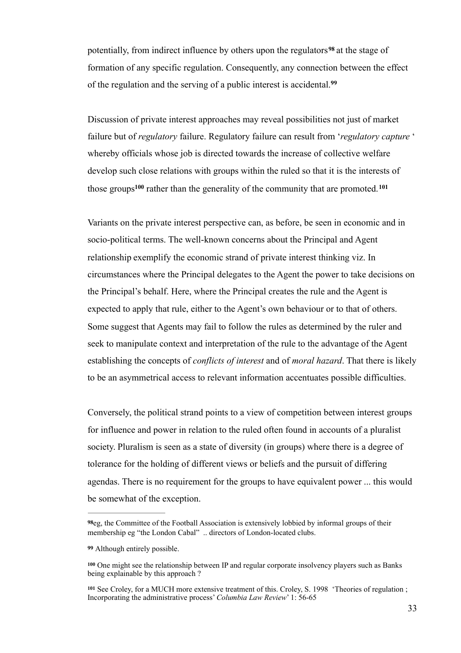potentially, from indirect influence by others upon the regulators<sup>98</sup> at the stage of formation of any specific regulation. Consequently, any connection between the effect of the regulation and the serving of a public interest is accidental.**<sup>99</sup>**

Discussion of private interest approaches may reveal possibilities not just of market failure but of *regulatory* failure. Regulatory failure can result from '*regulatory capture* ' whereby officials whose job is directed towards the increase of collective welfare develop such close relations with groups within the ruled so that it is the interests of those groups<sup>100</sup> rather than the generality of the community that are promoted.<sup>101</sup>

Variants on the private interest perspective can, as before, be seen in economic and in socio-political terms. The well-known concerns about the Principal and Agent relationship exemplify the economic strand of private interest thinking viz. In circumstances where the Principal delegates to the Agent the power to take decisions on the Principal's behalf. Here, where the Principal creates the rule and the Agent is expected to apply that rule, either to the Agent's own behaviour or to that of others. Some suggest that Agents may fail to follow the rules as determined by the ruler and seek to manipulate context and interpretation of the rule to the advantage of the Agent establishing the concepts of *conflicts of interest* and of *moral hazard*. That there is likely to be an asymmetrical access to relevant information accentuates possible difficulties.

Conversely, the political strand points to a view of competition between interest groups for influence and power in relation to the ruled often found in accounts of a pluralist society. Pluralism is seen as a state of diversity (in groups) where there is a degree of tolerance for the holding of different views or beliefs and the pursuit of differing agendas. There is no requirement for the groups to have equivalent power ... this would be somewhat of the exception.

<sup>&</sup>lt;sup>98</sup>eg, the Committee of the Football Association is extensively lobbied by informal groups of their membership eg "the London Cabal" .. directors of London-located clubs.

Although entirely possible. **99**

<sup>&</sup>lt;sup>100</sup> One might see the relationship between IP and regular corporate insolvency players such as Banks being explainable by this approach?

<sup>101</sup> See Croley, for a MUCH more extensive treatment of this. Croley, S. 1998 'Theories of regulation ; Incorporating the administrative process' *Columbia Law Review*' 1: 56-65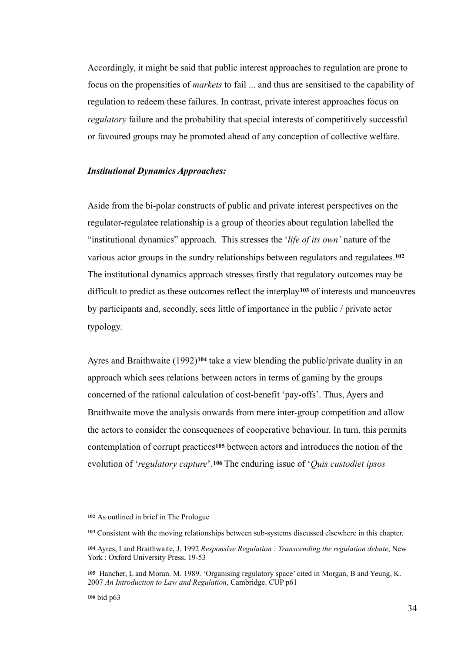Accordingly, it might be said that public interest approaches to regulation are prone to focus on the propensities of *markets* to fail ... and thus are sensitised to the capability of regulation to redeem these failures. In contrast, private interest approaches focus on *regulatory* failure and the probability that special interests of competitively successful or favoured groups may be promoted ahead of any conception of collective welfare.

#### *Institutional Dynamics Approaches:*

Aside from the bi-polar constructs of public and private interest perspectives on the regulator-regulatee relationship is a group of theories about regulation labelled the "institutional dynamics" approach. This stresses the '*life of its own'* nature of the various actor groups in the sundry relationships between regulators and regulatees.**<sup>102</sup>** The institutional dynamics approach stresses firstly that regulatory outcomes may be difficult to predict as these outcomes reflect the interplay<sup>103</sup> of interests and manoeuvres by participants and, secondly, sees little of importance in the public / private actor typology.

Ayres and Braithwaite (1992)<sup>104</sup> take a view blending the public/private duality in an approach which sees relations between actors in terms of gaming by the groups concerned of the rational calculation of cost-benefit 'pay-offs'. Thus, Ayers and Braithwaite move the analysis onwards from mere inter-group competition and allow the actors to consider the consequences of cooperative behaviour. In turn, this permits contemplation of corrupt practices**105** between actors and introduces the notion of the evolution of '*regulatory capture*'.**106** The enduring issue of '*Quis custodiet ipsos* 

**<sup>102</sup>** As outlined in brief in The Prologue

<sup>&</sup>lt;sup>103</sup> Consistent with the moving relationships between sub-systems discussed elsewhere in this chapter.

Ayres, I and Braithwaite, J. 1992 *Responsive Regulation : Transcending the regulation debate*, New **<sup>104</sup>** York : Oxford University Press, 19-53

<sup>105</sup> Hancher, L and Moran. M. 1989. 'Organising regulatory space' cited in Morgan, B and Yeung, K. 2007 *An Introduction to Law and Regulation*, Cambridge. CUP p61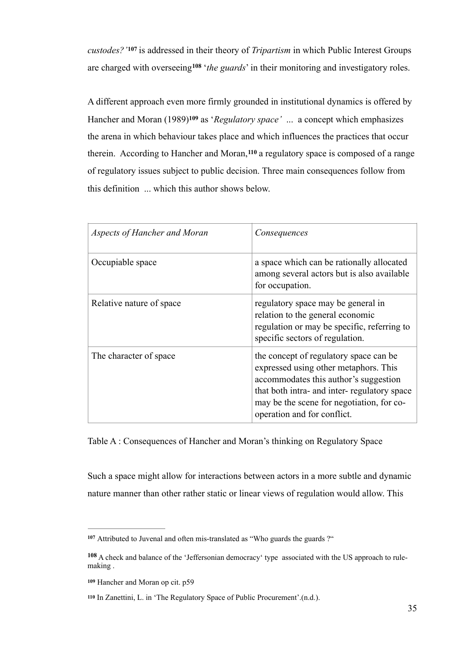*custodes?'* is addressed in their theory of *Tripartism* in which Public Interest Groups **<sup>107</sup>** are charged with overseeing<sup>108</sup> *the guards* in their monitoring and investigatory roles.

A different approach even more firmly grounded in institutional dynamics is offered by Hancher and Moran (1989)<sup>109</sup> as '*Regulatory space'* ... a concept which emphasizes the arena in which behaviour takes place and which influences the practices that occur therein. According to Hancher and Moran,<sup>110</sup> a regulatory space is composed of a range of regulatory issues subject to public decision. Three main consequences follow from this definition ... which this author shows below.

| Aspects of Hancher and Moran | Consequences                                                                                                                                                                                                                                        |
|------------------------------|-----------------------------------------------------------------------------------------------------------------------------------------------------------------------------------------------------------------------------------------------------|
| Occupiable space             | a space which can be rationally allocated<br>among several actors but is also available<br>for occupation.                                                                                                                                          |
| Relative nature of space     | regulatory space may be general in<br>relation to the general economic<br>regulation or may be specific, referring to<br>specific sectors of regulation.                                                                                            |
| The character of space       | the concept of regulatory space can be<br>expressed using other metaphors. This<br>accommodates this author's suggestion<br>that both intra- and inter-regulatory space<br>may be the scene for negotiation, for co-<br>operation and for conflict. |

Table A : Consequences of Hancher and Moran's thinking on Regulatory Space

Such a space might allow for interactions between actors in a more subtle and dynamic nature manner than other rather static or linear views of regulation would allow. This

Attributed to Juvenal and often mis-translated as "Who guards the guards ?" **<sup>107</sup>**

A check and balance of the 'Jeffersonian democracy' type associated with the US approach to rule- **<sup>108</sup>** making .

**<sup>109</sup>** Hancher and Moran op cit. p59

In Zanettini, L. in 'The Regulatory Space of Public Procurement'.(n.d.). **<sup>110</sup>**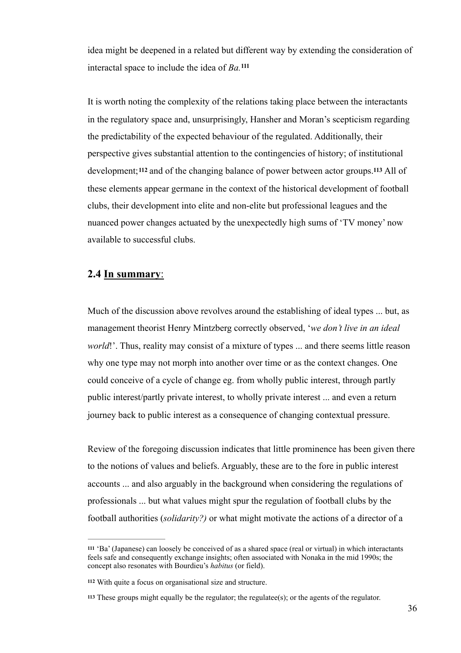idea might be deepened in a related but different way by extending the consideration of interactal space to include the idea of *Ba.* **111**

It is worth noting the complexity of the relations taking place between the interactants in the regulatory space and, unsurprisingly, Hansher and Moran's scepticism regarding the predictability of the expected behaviour of the regulated. Additionally, their perspective gives substantial attention to the contingencies of history; of institutional development;**112** and of the changing balance of power between actor groups.**113** All of these elements appear germane in the context of the historical development of football clubs, their development into elite and non-elite but professional leagues and the nuanced power changes actuated by the unexpectedly high sums of 'TV money' now available to successful clubs.

## **2.4 In summary**:

Much of the discussion above revolves around the establishing of ideal types ... but, as management theorist Henry Mintzberg correctly observed, '*we don't live in an ideal world*!'. Thus, reality may consist of a mixture of types ... and there seems little reason why one type may not morph into another over time or as the context changes. One could conceive of a cycle of change eg. from wholly public interest, through partly public interest/partly private interest, to wholly private interest ... and even a return journey back to public interest as a consequence of changing contextual pressure.

Review of the foregoing discussion indicates that little prominence has been given there to the notions of values and beliefs. Arguably, these are to the fore in public interest accounts ... and also arguably in the background when considering the regulations of professionals ... but what values might spur the regulation of football clubs by the football authorities (*solidarity?)* or what might motivate the actions of a director of a

 <sup>&#</sup>x27;Ba' (Japanese) can loosely be conceived of as a shared space (real or virtual) in which interactants **<sup>111</sup>** feels safe and consequently exchange insights; often associated with Nonaka in the mid 1990s; the concept also resonates with Bourdieu's *habitus* (or field).

With quite a focus on organisational size and structure. **<sup>112</sup>**

 $113$  These groups might equally be the regulator; the regulatee $(s)$ ; or the agents of the regulator.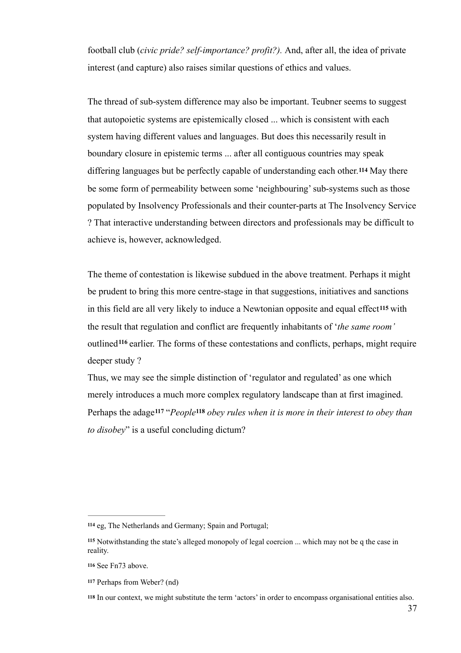football club (*civic pride? self-importance? profit?).* And, after all, the idea of private interest (and capture) also raises similar questions of ethics and values.

The thread of sub-system difference may also be important. Teubner seems to suggest that autopoietic systems are epistemically closed ... which is consistent with each system having different values and languages. But does this necessarily result in boundary closure in epistemic terms ... after all contiguous countries may speak differing languages but be perfectly capable of understanding each other.**114** May there be some form of permeability between some 'neighbouring' sub-systems such as those populated by Insolvency Professionals and their counter-parts at The Insolvency Service ? That interactive understanding between directors and professionals may be difficult to achieve is, however, acknowledged.

The theme of contestation is likewise subdued in the above treatment. Perhaps it might be prudent to bring this more centre-stage in that suggestions, initiatives and sanctions in this field are all very likely to induce a Newtonian opposite and equal effect**115** with the result that regulation and conflict are frequently inhabitants of '*the same room'* outlined <sup>116</sup> earlier. The forms of these contestations and conflicts, perhaps, might require deeper study ?

Thus, we may see the simple distinction of 'regulator and regulated' as one which merely introduces a much more complex regulatory landscape than at first imagined. Perhaps the adage<sup>117</sup> "*People*<sup>118</sup> obey rules when it is more in their interest to obey than *to disobey*" is a useful concluding dictum?

eg, The Netherlands and Germany; Spain and Portugal; **<sup>114</sup>**

<sup>&</sup>lt;sup>115</sup> Notwithstanding the state's alleged monopoly of legal coercion ... which may not be q the case in reality.

<sup>116</sup> See Fn73 above.

Perhaps from Weber? (nd) **<sup>117</sup>**

In our context, we might substitute the term 'actors' in order to encompass organisational entities also. **<sup>118</sup>**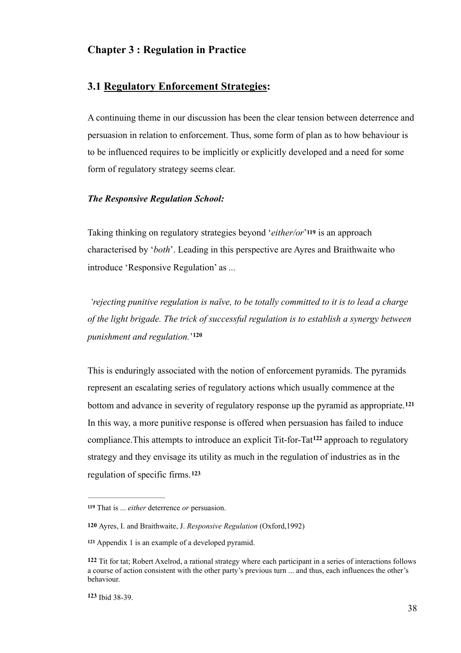# **Chapter 3 : Regulation in Practice**

## **3.1 Regulatory Enforcement Strategies:**

A continuing theme in our discussion has been the clear tension between deterrence and persuasion in relation to enforcement. Thus, some form of plan as to how behaviour is to be influenced requires to be implicitly or explicitly developed and a need for some form of regulatory strategy seems clear.

### *The Responsive Regulation School:*

Taking thinking on regulatory strategies beyond '*either/or*'**119** is an approach characterised by '*both*'. Leading in this perspective are Ayres and Braithwaite who introduce 'Responsive Regulation' as *...* 

 *'rejecting punitive regulation is naïve, to be totally committed to it is to lead a charge of the light brigade. The trick of successful regulation is to establish a synergy between punishment and regulation.*' **120**

This is enduringly associated with the notion of enforcement pyramids. The pyramids represent an escalating series of regulatory actions which usually commence at the bottom and advance in severity of regulatory response up the pyramid as appropriate.**<sup>121</sup>** In this way, a more punitive response is offered when persuasion has failed to induce compliance. This attempts to introduce an explicit Tit-for-Tat<sup>122</sup> approach to regulatory strategy and they envisage its utility as much in the regulation of industries as in the regulation of specific firms.**<sup>123</sup>**

<sup>119</sup> That is ... *either* deterrence *or* persuasion.

**<sup>120</sup>** Ayres, I. and Braithwaite, J. *Responsive Regulation* (Oxford,1992)

Appendix 1 is an example of a developed pyramid. **<sup>121</sup>**

**<sup>122</sup>** Tit for tat; Robert Axelrod, a rational strategy where each participant in a series of interactions follows a course of action consistent with the other party's previous turn ... and thus, each influences the other's behaviour.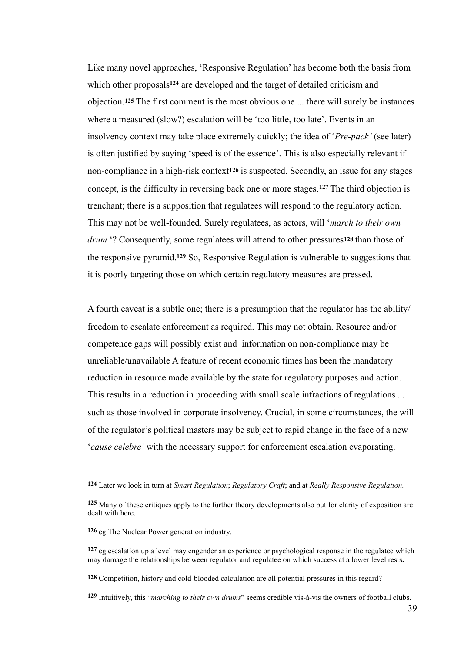Like many novel approaches, 'Responsive Regulation' has become both the basis from which other proposals<sup>124</sup> are developed and the target of detailed criticism and objection.**125** The first comment is the most obvious one ... there will surely be instances where a measured (slow?) escalation will be 'too little, too late'. Events in an insolvency context may take place extremely quickly; the idea of '*Pre-pack'* (see later) is often justified by saying 'speed is of the essence'. This is also especially relevant if non-compliance in a high-risk context**126** is suspected. Secondly, an issue for any stages concept, is the difficulty in reversing back one or more stages.  $127$  The third objection is trenchant; there is a supposition that regulatees will respond to the regulatory action. This may not be well-founded. Surely regulatees, as actors, will '*march to their own drum* '? Consequently, some regulatees will attend to other pressures**128** than those of the responsive pyramid.<sup>129</sup> So, Responsive Regulation is vulnerable to suggestions that it is poorly targeting those on which certain regulatory measures are pressed.

A fourth caveat is a subtle one; there is a presumption that the regulator has the ability/ freedom to escalate enforcement as required. This may not obtain. Resource and/or competence gaps will possibly exist and information on non-compliance may be unreliable/unavailable A feature of recent economic times has been the mandatory reduction in resource made available by the state for regulatory purposes and action. This results in a reduction in proceeding with small scale infractions of regulations ... such as those involved in corporate insolvency. Crucial, in some circumstances, the will of the regulator's political masters may be subject to rapid change in the face of a new '*cause celebre'* with the necessary support for enforcement escalation evaporating.

**<sup>124</sup>** Later we look in turn at *Smart Regulation*; *Regulatory Craft*; and at *Really Responsive Regulation.*

Many of these critiques apply to the further theory developments also but for clarity of exposition are **<sup>125</sup>** dealt with here.

**<sup>126</sup>** eg The Nuclear Power generation industry.

eg escalation up a level may engender an experience or psychological response in the regulatee which **<sup>127</sup>** may damage the relationships between regulator and regulatee on which success at a lower level rests**.**

**<sup>128</sup>** Competition, history and cold-blooded calculation are all potential pressures in this regard?

Intuitively, this "*marching to their own drums*" seems credible vis-à-vis the owners of football clubs. **<sup>129</sup>**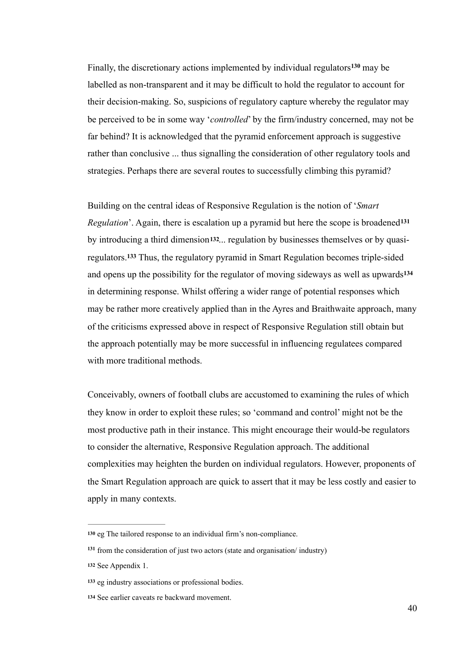Finally, the discretionary actions implemented by individual regulators<sup>130</sup> may be labelled as non-transparent and it may be difficult to hold the regulator to account for their decision-making. So, suspicions of regulatory capture whereby the regulator may be perceived to be in some way '*controlled*' by the firm/industry concerned, may not be far behind? It is acknowledged that the pyramid enforcement approach is suggestive rather than conclusive ... thus signalling the consideration of other regulatory tools and strategies. Perhaps there are several routes to successfully climbing this pyramid?

Building on the central ideas of Responsive Regulation is the notion of '*Smart Regulation*'. Again, there is escalation up a pyramid but here the scope is broadened**<sup>131</sup>** by introducing a third dimension**132**... regulation by businesses themselves or by quasiregulators.<sup>133</sup> Thus, the regulatory pyramid in Smart Regulation becomes triple-sided and opens up the possibility for the regulator of moving sideways as well as upwards**<sup>134</sup>** in determining response. Whilst offering a wider range of potential responses which may be rather more creatively applied than in the Ayres and Braithwaite approach, many of the criticisms expressed above in respect of Responsive Regulation still obtain but the approach potentially may be more successful in influencing regulatees compared with more traditional methods.

Conceivably, owners of football clubs are accustomed to examining the rules of which they know in order to exploit these rules; so 'command and control' might not be the most productive path in their instance. This might encourage their would-be regulators to consider the alternative, Responsive Regulation approach. The additional complexities may heighten the burden on individual regulators. However, proponents of the Smart Regulation approach are quick to assert that it may be less costly and easier to apply in many contexts.

eg The tailored response to an individual firm's non-compliance. **<sup>130</sup>**

from the consideration of just two actors (state and organisation/ industry) **<sup>131</sup>**

<sup>132</sup> See Appendix 1.

<sup>133</sup> eg industry associations or professional bodies.

<sup>134</sup> See earlier caveats re backward movement.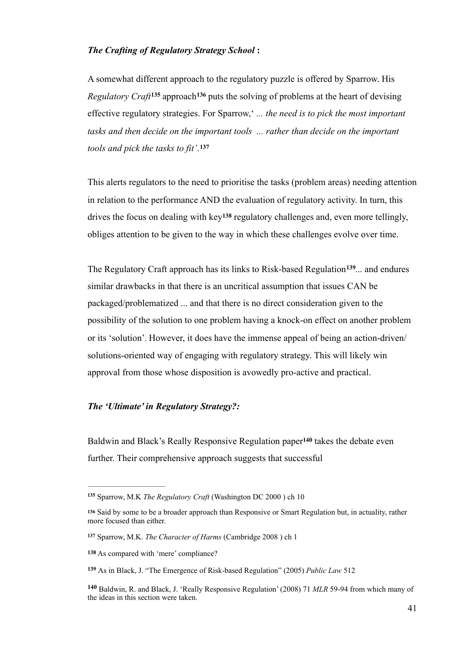### *The Crafting of Regulatory Strategy School* **:**

A somewhat different approach to the regulatory puzzle is offered by Sparrow. His *Regulatory Craft*<sup>135</sup> approach<sup>136</sup> puts the solving of problems at the heart of devising effective regulatory strategies. For Sparrow,' *... the need is to pick the most important tasks and then decide on the important tools ... rather than decide on the important tools and pick the tasks to fit'*. **137**

This alerts regulators to the need to prioritise the tasks (problem areas) needing attention in relation to the performance AND the evaluation of regulatory activity. In turn, this drives the focus on dealing with  $key^{138}$  regulatory challenges and, even more tellingly, obliges attention to be given to the way in which these challenges evolve over time.

The Regulatory Craft approach has its links to Risk-based Regulation<sup>139</sup>... and endures similar drawbacks in that there is an uncritical assumption that issues CAN be packaged/problematized ... and that there is no direct consideration given to the possibility of the solution to one problem having a knock-on effect on another problem or its 'solution'. However, it does have the immense appeal of being an action-driven/ solutions-oriented way of engaging with regulatory strategy. This will likely win approval from those whose disposition is avowedly pro-active and practical.

### *The 'Ultimate' in Regulatory Strategy?:*

Baldwin and Black's Really Responsive Regulation paper<sup>140</sup> takes the debate even further. Their comprehensive approach suggests that successful

Sparrow, M.K *The Regulatory Craft* (Washington DC 2000 ) ch 10 **<sup>135</sup>**

Said by some to be a broader approach than Responsive or Smart Regulation but, in actuality, rather **<sup>136</sup>** more focused than either.

Sparrow, M.K. *The Character of Harms* (Cambridge 2008 ) ch 1 **<sup>137</sup>**

**<sup>138</sup>** As compared with 'mere' compliance?

As in Black, J. "The Emergence of Risk-based Regulation" (2005) *Public Law* 512 **<sup>139</sup>**

<sup>140</sup> Baldwin, R. and Black, J. 'Really Responsive Regulation' (2008) 71 MLR 59-94 from which many of the ideas in this section were taken.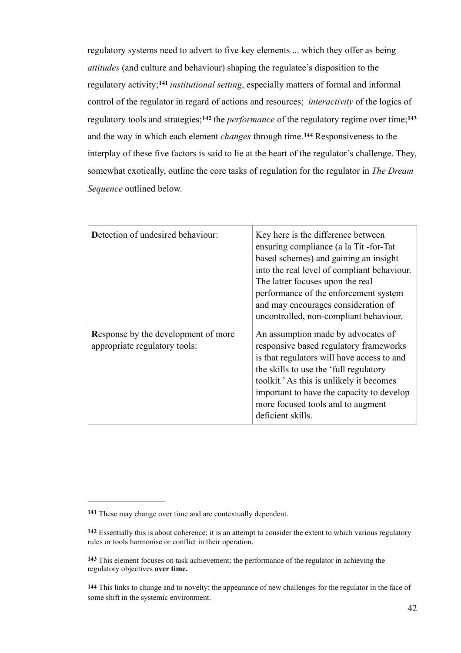regulatory systems need to advert to five key elements ... which they offer as being *attitudes* (and culture and behaviour) shaping the regulatee's disposition to the regulatory activity;<sup>141</sup> institutional setting, especially matters of formal and informal control of the regulator in regard of actions and resources; *interactivity* of the logics of regulatory tools and strategies;<sup>142</sup> the *performance* of the regulatory regime over time;<sup>143</sup> and the way in which each element *changes* through time.<sup>144</sup> Responsiveness to the interplay of these five factors is said to lie at the heart of the regulator's challenge. They, somewhat exotically, outline the core tasks of regulation for the regulator in *The Dream Sequence* outlined below.

| <b>Detection of undesired behaviour:</b>                                    | Key here is the difference between<br>ensuring compliance (a la Tit-for-Tat<br>based schemes) and gaining an insight<br>into the real level of compliant behaviour.<br>The latter focuses upon the real<br>performance of the enforcement system<br>and may encourages consideration of<br>uncontrolled, non-compliant behaviour. |
|-----------------------------------------------------------------------------|-----------------------------------------------------------------------------------------------------------------------------------------------------------------------------------------------------------------------------------------------------------------------------------------------------------------------------------|
| <b>Response by the development of more</b><br>appropriate regulatory tools: | An assumption made by advocates of<br>responsive based regulatory frameworks<br>is that regulators will have access to and<br>the skills to use the 'full regulatory<br>toolkit.' As this is unlikely it becomes<br>important to have the capacity to develop<br>more focused tools and to augment<br>deficient skills.           |

These may change over time and are contextually dependent. **<sup>141</sup>**

**<sup>142</sup>** Essentially this is about coherence; it is an attempt to consider the extent to which various regulatory rules or tools harmonise or conflict in their operation.

This element focuses on task achievement; the performance of the regulator in achieving the **<sup>143</sup>** regulatory objectives **over time.**

**<sup>144</sup>** This links to change and to novelty; the appearance of new challenges for the regulator in the face of some shift in the systemic environment.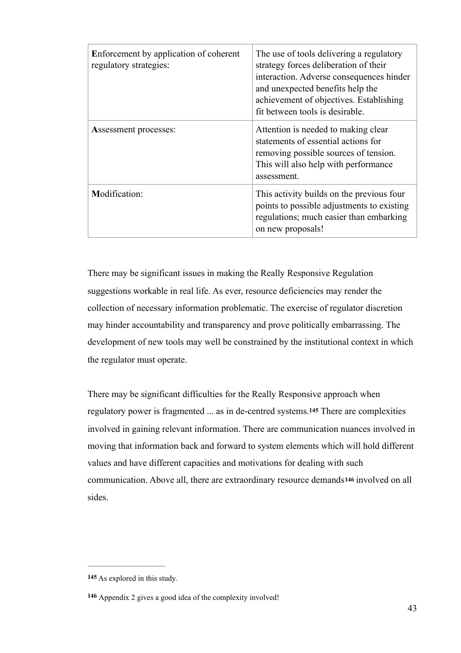| Enforcement by application of coherent<br>regulatory strategies: | The use of tools delivering a regulatory<br>strategy forces deliberation of their<br>interaction. Adverse consequences hinder<br>and unexpected benefits help the<br>achievement of objectives. Establishing<br>fit between tools is desirable. |
|------------------------------------------------------------------|-------------------------------------------------------------------------------------------------------------------------------------------------------------------------------------------------------------------------------------------------|
| <b>Assessment processes:</b>                                     | Attention is needed to making clear<br>statements of essential actions for<br>removing possible sources of tension.<br>This will also help with performance<br>assessment.                                                                      |
| <b>Modification:</b>                                             | This activity builds on the previous four<br>points to possible adjustments to existing<br>regulations; much easier than embarking<br>on new proposals!                                                                                         |

There may be significant issues in making the Really Responsive Regulation suggestions workable in real life. As ever, resource deficiencies may render the collection of necessary information problematic. The exercise of regulator discretion may hinder accountability and transparency and prove politically embarrassing. The development of new tools may well be constrained by the institutional context in which the regulator must operate.

There may be significant difficulties for the Really Responsive approach when regulatory power is fragmented ... as in de-centred systems.**<sup>145</sup>** There are complexities involved in gaining relevant information. There are communication nuances involved in moving that information back and forward to system elements which will hold different values and have different capacities and motivations for dealing with such communication. Above all, there are extraordinary resource demands**146** involved on all sides.

**<sup>145</sup>** As explored in this study.

Appendix 2 gives a good idea of the complexity involved! **<sup>146</sup>**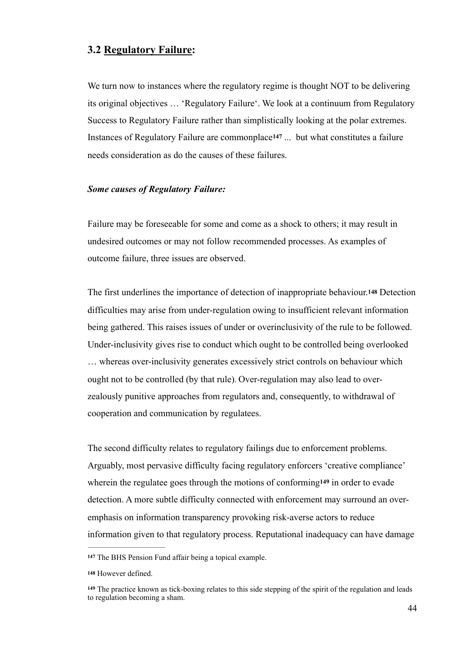## **3.2 Regulatory Failure:**

We turn now to instances where the regulatory regime is thought NOT to be delivering its original objectives … 'Regulatory Failure'. We look at a continuum from Regulatory Success to Regulatory Failure rather than simplistically looking at the polar extremes. Instances of Regulatory Failure are commonplace**<sup>147</sup>** ... but what constitutes a failure needs consideration as do the causes of these failures.

### *Some causes of Regulatory Failure:*

Failure may be foreseeable for some and come as a shock to others; it may result in undesired outcomes or may not follow recommended processes. As examples of outcome failure, three issues are observed.

The first underlines the importance of detection of inappropriate behaviour.**148** Detection difficulties may arise from under-regulation owing to insufficient relevant information being gathered. This raises issues of under or overinclusivity of the rule to be followed. Under-inclusivity gives rise to conduct which ought to be controlled being overlooked … whereas over-inclusivity generates excessively strict controls on behaviour which ought not to be controlled (by that rule). Over-regulation may also lead to overzealously punitive approaches from regulators and, consequently, to withdrawal of cooperation and communication by regulatees.

The second difficulty relates to regulatory failings due to enforcement problems. Arguably, most pervasive difficulty facing regulatory enforcers 'creative compliance' wherein the regulatee goes through the motions of conforming**149** in order to evade detection. A more subtle difficulty connected with enforcement may surround an overemphasis on information transparency provoking risk-averse actors to reduce information given to that regulatory process. Reputational inadequacy can have damage

The BHS Pension Fund affair being a topical example. **<sup>147</sup>**

<sup>148</sup> However defined.

The practice known as tick-boxing relates to this side stepping of the spirit of the regulation and leads **<sup>149</sup>** to regulation becoming a sham.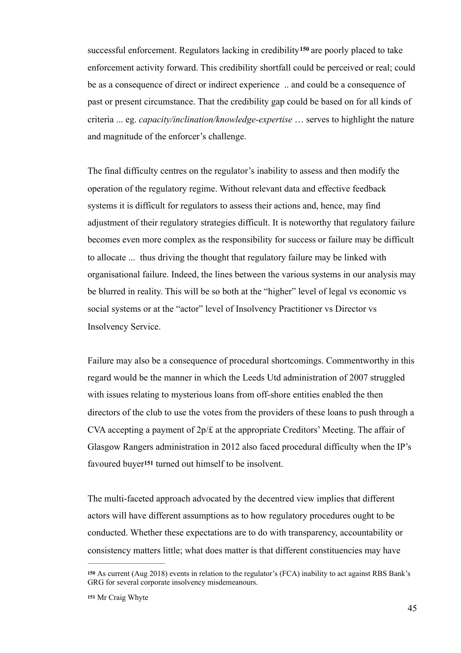successful enforcement. Regulators lacking in credibility<sup>150</sup> are poorly placed to take enforcement activity forward. This credibility shortfall could be perceived or real; could be as a consequence of direct or indirect experience .. and could be a consequence of past or present circumstance. That the credibility gap could be based on for all kinds of criteria ... eg. *capacity/inclination/knowledge-expertise* … serves to highlight the nature and magnitude of the enforcer's challenge.

The final difficulty centres on the regulator's inability to assess and then modify the operation of the regulatory regime. Without relevant data and effective feedback systems it is difficult for regulators to assess their actions and, hence, may find adjustment of their regulatory strategies difficult. It is noteworthy that regulatory failure becomes even more complex as the responsibility for success or failure may be difficult to allocate ... thus driving the thought that regulatory failure may be linked with organisational failure. Indeed, the lines between the various systems in our analysis may be blurred in reality. This will be so both at the "higher" level of legal vs economic vs social systems or at the "actor" level of Insolvency Practitioner vs Director vs Insolvency Service.

Failure may also be a consequence of procedural shortcomings. Commentworthy in this regard would be the manner in which the Leeds Utd administration of 2007 struggled with issues relating to mysterious loans from off-shore entities enabled the then directors of the club to use the votes from the providers of these loans to push through a CVA accepting a payment of 2p/£ at the appropriate Creditors' Meeting. The affair of Glasgow Rangers administration in 2012 also faced procedural difficulty when the IP's favoured buyer**<sup>151</sup>** turned out himself to be insolvent.

The multi-faceted approach advocated by the decentred view implies that different actors will have different assumptions as to how regulatory procedures ought to be conducted. Whether these expectations are to do with transparency, accountability or consistency matters little; what does matter is that different constituencies may have

As current (Aug 2018) events in relation to the regulator's (FCA) inability to act against RBS Bank's **<sup>150</sup>** GRG for several corporate insolvency misdemeanours.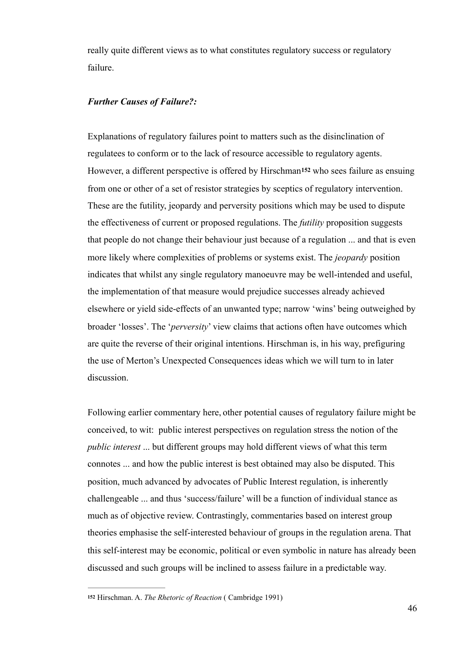really quite different views as to what constitutes regulatory success or regulatory failure.

## *Further Causes of Failure?:*

Explanations of regulatory failures point to matters such as the disinclination of regulatees to conform or to the lack of resource accessible to regulatory agents. However, a different perspective is offered by Hirschman**152** who sees failure as ensuing from one or other of a set of resistor strategies by sceptics of regulatory intervention. These are the futility, jeopardy and perversity positions which may be used to dispute the effectiveness of current or proposed regulations. The *futility* proposition suggests that people do not change their behaviour just because of a regulation ... and that is even more likely where complexities of problems or systems exist. The *jeopardy* position indicates that whilst any single regulatory manoeuvre may be well-intended and useful, the implementation of that measure would prejudice successes already achieved elsewhere or yield side-effects of an unwanted type; narrow 'wins' being outweighed by broader 'losses'. The '*perversity*' view claims that actions often have outcomes which are quite the reverse of their original intentions. Hirschman is, in his way, prefiguring the use of Merton's Unexpected Consequences ideas which we will turn to in later discussion.

Following earlier commentary here, other potential causes of regulatory failure might be conceived, to wit: public interest perspectives on regulation stress the notion of the *public interest* ... but different groups may hold different views of what this term connotes ... and how the public interest is best obtained may also be disputed. This position, much advanced by advocates of Public Interest regulation, is inherently challengeable ... and thus 'success/failure' will be a function of individual stance as much as of objective review. Contrastingly, commentaries based on interest group theories emphasise the self-interested behaviour of groups in the regulation arena. That this self-interest may be economic, political or even symbolic in nature has already been discussed and such groups will be inclined to assess failure in a predictable way.

Hirschman. A. *The Rhetoric of Reaction* ( Cambridge 1991) **<sup>152</sup>**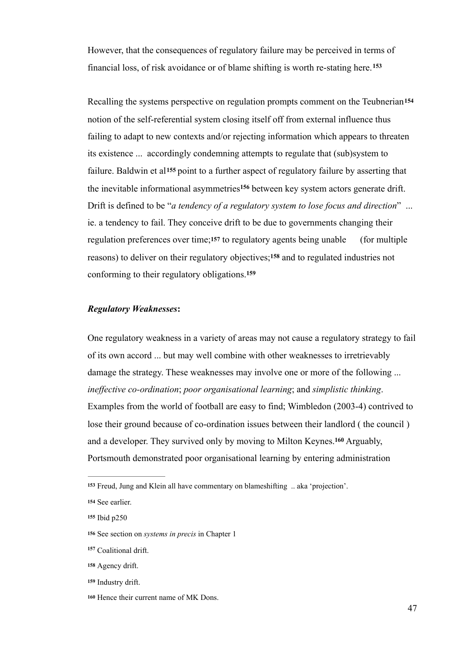However, that the consequences of regulatory failure may be perceived in terms of financial loss, of risk avoidance or of blame shifting is worth re-stating here.**<sup>153</sup>**

Recalling the systems perspective on regulation prompts comment on the Teubnerian**<sup>154</sup>** notion of the self-referential system closing itself off from external influence thus failing to adapt to new contexts and/or rejecting information which appears to threaten its existence ... accordingly condemning attempts to regulate that (sub)system to failure. Baldwin et al**155** point to a further aspect of regulatory failure by asserting that the inevitable informational asymmetries<sup>156</sup> between key system actors generate drift. Drift is defined to be "*a tendency of a regulatory system to lose focus and direction*" ... ie. a tendency to fail. They conceive drift to be due to governments changing their regulation preferences over time;**157** to regulatory agents being unable (for multiple reasons) to deliver on their regulatory objectives;<sup>158</sup> and to regulated industries not conforming to their regulatory obligations.**<sup>159</sup>**

#### *Regulatory Weaknesses***:**

One regulatory weakness in a variety of areas may not cause a regulatory strategy to fail of its own accord ... but may well combine with other weaknesses to irretrievably damage the strategy. These weaknesses may involve one or more of the following ... *ineffective co-ordination*; *poor organisational learning*; and *simplistic thinking*. Examples from the world of football are easy to find; Wimbledon (2003-4) contrived to lose their ground because of co-ordination issues between their landlord ( the council ) and a developer. They survived only by moving to Milton Keynes.<sup>160</sup> Arguably, Portsmouth demonstrated poor organisational learning by entering administration

Freud, Jung and Klein all have commentary on blameshifting .. aka 'projection'. **<sup>153</sup>**

<sup>154</sup> See earlier.

**<sup>155</sup>** Ibid p250

**<sup>156</sup>** See section on *systems in precis* in Chapter 1

Coalitional drift. **<sup>157</sup>**

Agency drift. **<sup>158</sup>**

Industry drift. **<sup>159</sup>**

<sup>160</sup> Hence their current name of MK Dons.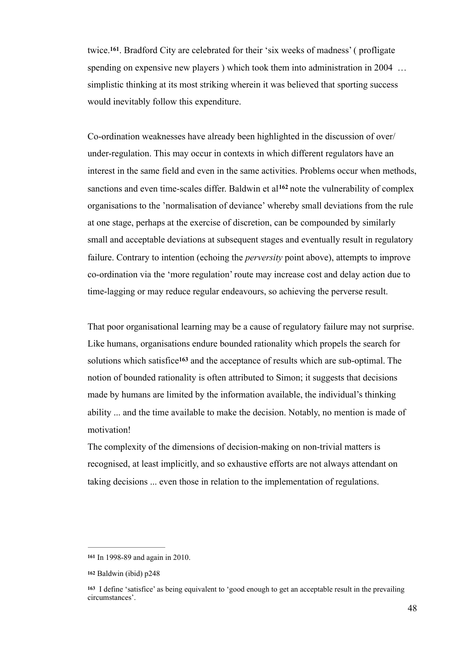twice.<sup>161</sup>, Bradford City are celebrated for their 'six weeks of madness' (profligate spending on expensive new players ) which took them into administration in 2004 ... simplistic thinking at its most striking wherein it was believed that sporting success would inevitably follow this expenditure.

Co-ordination weaknesses have already been highlighted in the discussion of over/ under-regulation. This may occur in contexts in which different regulators have an interest in the same field and even in the same activities. Problems occur when methods, sanctions and even time-scales differ. Baldwin et al<sup>162</sup> note the vulnerability of complex organisations to the 'normalisation of deviance' whereby small deviations from the rule at one stage, perhaps at the exercise of discretion, can be compounded by similarly small and acceptable deviations at subsequent stages and eventually result in regulatory failure. Contrary to intention (echoing the *perversity* point above), attempts to improve co-ordination via the 'more regulation' route may increase cost and delay action due to time-lagging or may reduce regular endeavours, so achieving the perverse result.

That poor organisational learning may be a cause of regulatory failure may not surprise. Like humans, organisations endure bounded rationality which propels the search for solutions which satisfice<sup>163</sup> and the acceptance of results which are sub-optimal. The notion of bounded rationality is often attributed to Simon; it suggests that decisions made by humans are limited by the information available, the individual's thinking ability ... and the time available to make the decision. Notably, no mention is made of motivation!

The complexity of the dimensions of decision-making on non-trivial matters is recognised, at least implicitly, and so exhaustive efforts are not always attendant on taking decisions ... even those in relation to the implementation of regulations.

In 1998-89 and again in 2010. **<sup>161</sup>**

**<sup>162</sup>** Baldwin (ibid) p248

I define 'satisfice' as being equivalent to 'good enough to get an acceptable result in the prevailing **<sup>163</sup>** circumstances'.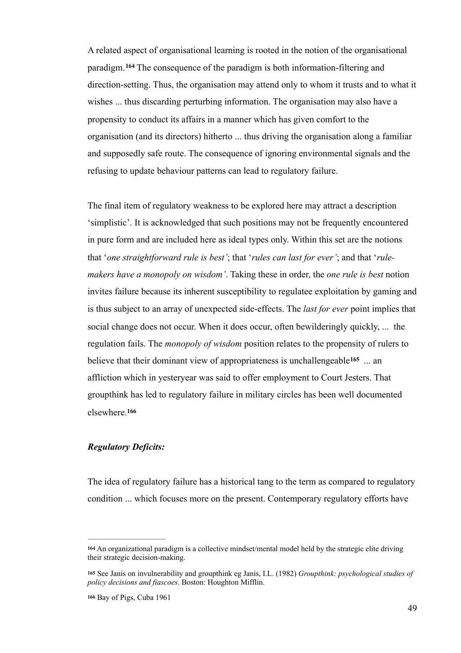A related aspect of organisational learning is rooted in the notion of the organisational paradigm. <sup>164</sup> The consequence of the paradigm is both information-filtering and direction-setting. Thus, the organisation may attend only to whom it trusts and to what it wishes ... thus discarding perturbing information. The organisation may also have a propensity to conduct its affairs in a manner which has given comfort to the organisation (and its directors) hitherto ... thus driving the organisation along a familiar and supposedly safe route. The consequence of ignoring environmental signals and the refusing to update behaviour patterns can lead to regulatory failure.

The final item of regulatory weakness to be explored here may attract a description 'simplistic'. It is acknowledged that such positions may not be frequently encountered in pure form and are included here as ideal types only. Within this set are the notions that '*one straightforward rule is best'*; that '*rules can last for ever'*; and that '*rulemakers have a monopoly on wisdom'*. Taking these in order, the *one rule is best* notion invites failure because its inherent susceptibility to regulatee exploitation by gaming and is thus subject to an array of unexpected side-effects. The *last for ever* point implies that social change does not occur. When it does occur, often bewilderingly quickly, ... the regulation fails. The *monopoly of wisdom* position relates to the propensity of rulers to believe that their dominant view of appropriateness is unchallengeable<sup>165</sup> ... an affliction which in yesteryear was said to offer employment to Court Jesters. That groupthink has led to regulatory failure in military circles has been well documented elsewhere.**<sup>166</sup>**

## *Regulatory Deficits:*

The idea of regulatory failure has a historical tang to the term as compared to regulatory condition ... which focuses more on the present. Contemporary regulatory efforts have

An organizational paradigm is a collective mindset/mental model held by the strategic elite driving **<sup>164</sup>** their strategic decision-making.

See Janis on invulnerability and groupthink eg Janis, I.L. (1982) *Groupthink: psychological studies of* **<sup>165</sup>** *policy decisions and fiascoes*. Boston: Houghton Mifflin.

Bay of Pigs, Cuba 1961 **<sup>166</sup>**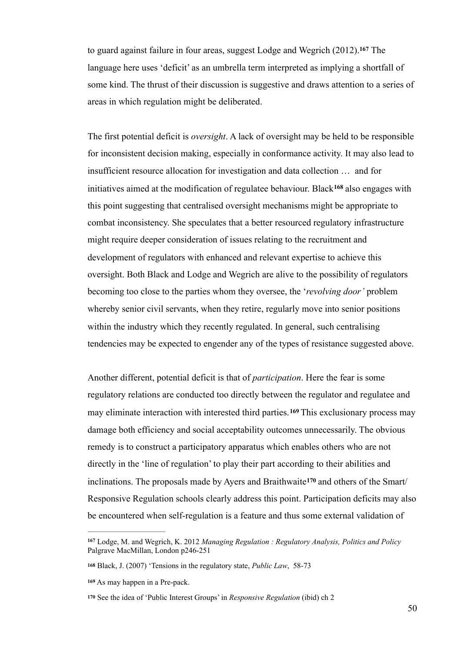to guard against failure in four areas, suggest Lodge and Wegrich (2012). The **<sup>167</sup>** language here uses 'deficit' as an umbrella term interpreted as implying a shortfall of some kind. The thrust of their discussion is suggestive and draws attention to a series of areas in which regulation might be deliberated.

The first potential deficit is *oversight*. A lack of oversight may be held to be responsible for inconsistent decision making, especially in conformance activity. It may also lead to insufficient resource allocation for investigation and data collection … and for initiatives aimed at the modification of regulatee behaviour. Black<sup>168</sup> also engages with this point suggesting that centralised oversight mechanisms might be appropriate to combat inconsistency. She speculates that a better resourced regulatory infrastructure might require deeper consideration of issues relating to the recruitment and development of regulators with enhanced and relevant expertise to achieve this oversight. Both Black and Lodge and Wegrich are alive to the possibility of regulators becoming too close to the parties whom they oversee, the '*revolving door'* problem whereby senior civil servants, when they retire, regularly move into senior positions within the industry which they recently regulated. In general, such centralising tendencies may be expected to engender any of the types of resistance suggested above.

Another different, potential deficit is that of *participation*. Here the fear is some regulatory relations are conducted too directly between the regulator and regulatee and may eliminate interaction with interested third parties.<sup>169</sup> This exclusionary process may damage both efficiency and social acceptability outcomes unnecessarily. The obvious remedy is to construct a participatory apparatus which enables others who are not directly in the 'line of regulation' to play their part according to their abilities and inclinations. The proposals made by Ayers and Braithwaite<sup>170</sup> and others of the Smart/ Responsive Regulation schools clearly address this point. Participation deficits may also be encountered when self-regulation is a feature and thus some external validation of

Lodge, M. and Wegrich, K. 2012 *Managing Regulation : Regulatory Analysis, Politics and Policy* **167** Palgrave MacMillan, London p246-251

**<sup>168</sup>** Black, J. (2007) 'Tensions in the regulatory state, *Public Law*, 58-73

As may happen in a Pre-pack. **<sup>169</sup>**

**<sup>170</sup>** See the idea of 'Public Interest Groups' in *Responsive Regulation* (ibid) ch 2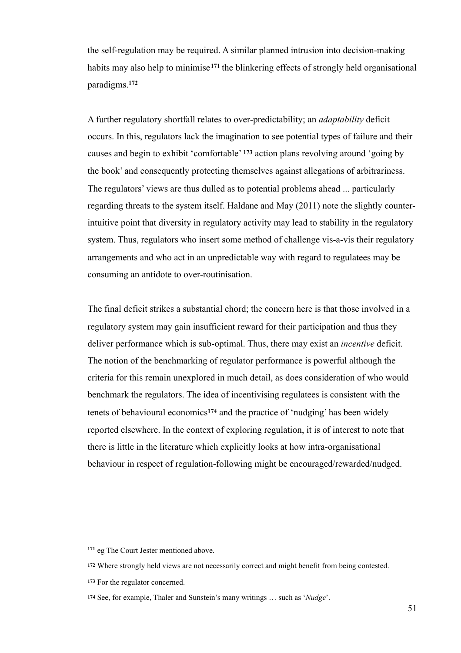the self-regulation may be required. A similar planned intrusion into decision-making habits may also help to minimise<sup>171</sup> the blinkering effects of strongly held organisational paradigms. **172**

A further regulatory shortfall relates to over-predictability; an *adaptability* deficit occurs. In this, regulators lack the imagination to see potential types of failure and their causes and begin to exhibit 'comfortable'  $173$  action plans revolving around 'going by the book' and consequently protecting themselves against allegations of arbitrariness. The regulators' views are thus dulled as to potential problems ahead ... particularly regarding threats to the system itself. Haldane and May (2011) note the slightly counterintuitive point that diversity in regulatory activity may lead to stability in the regulatory system. Thus, regulators who insert some method of challenge vis-a-vis their regulatory arrangements and who act in an unpredictable way with regard to regulatees may be consuming an antidote to over-routinisation.

The final deficit strikes a substantial chord; the concern here is that those involved in a regulatory system may gain insufficient reward for their participation and thus they deliver performance which is sub-optimal. Thus, there may exist an *incentive* deficit. The notion of the benchmarking of regulator performance is powerful although the criteria for this remain unexplored in much detail, as does consideration of who would benchmark the regulators. The idea of incentivising regulatees is consistent with the tenets of behavioural economics<sup>174</sup> and the practice of 'nudging' has been widely reported elsewhere. In the context of exploring regulation, it is of interest to note that there is little in the literature which explicitly looks at how intra-organisational behaviour in respect of regulation-following might be encouraged/rewarded/nudged.

<sup>&</sup>lt;sup>171</sup> eg The Court Jester mentioned above.

Where strongly held views are not necessarily correct and might benefit from being contested. **<sup>172</sup>**

For the regulator concerned. **<sup>173</sup>**

<sup>174</sup> See, for example, Thaler and Sunstein's many writings ... such as '*Nudge*'.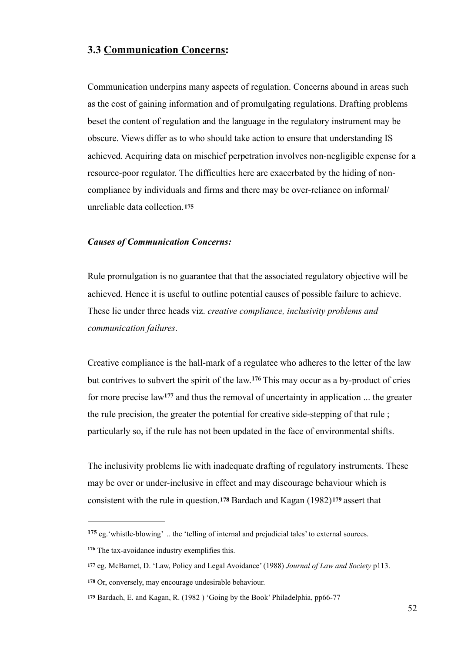# **3.3 Communication Concerns:**

Communication underpins many aspects of regulation. Concerns abound in areas such as the cost of gaining information and of promulgating regulations. Drafting problems beset the content of regulation and the language in the regulatory instrument may be obscure. Views differ as to who should take action to ensure that understanding IS achieved. Acquiring data on mischief perpetration involves non-negligible expense for a resource-poor regulator. The difficulties here are exacerbated by the hiding of noncompliance by individuals and firms and there may be over-reliance on informal/ unreliable data collection.**<sup>175</sup>**

#### *Causes of Communication Concerns:*

Rule promulgation is no guarantee that that the associated regulatory objective will be achieved. Hence it is useful to outline potential causes of possible failure to achieve. These lie under three heads viz. *creative compliance, inclusivity problems and communication failures*.

Creative compliance is the hall-mark of a regulatee who adheres to the letter of the law but contrives to subvert the spirit of the law.<sup>176</sup> This may occur as a by-product of cries for more precise law<sup>177</sup> and thus the removal of uncertainty in application ... the greater the rule precision, the greater the potential for creative side-stepping of that rule ; particularly so, if the rule has not been updated in the face of environmental shifts.

The inclusivity problems lie with inadequate drafting of regulatory instruments. These may be over or under-inclusive in effect and may discourage behaviour which is consistent with the rule in question.**178** Bardach and Kagan (1982)**<sup>179</sup>** assert that

eg.'whistle-blowing' .. the 'telling of internal and prejudicial tales' to external sources. **<sup>175</sup>**

<sup>&</sup>lt;sup>176</sup> The tax-avoidance industry exemplifies this.

eg. McBarnet, D. 'Law, Policy and Legal Avoidance' (1988) *Journal of Law and Society* p113. **<sup>177</sup>**

Or, conversely, may encourage undesirable behaviour. **<sup>178</sup>**

**<sup>179</sup>** Bardach, E. and Kagan, R. (1982 ) 'Going by the Book' Philadelphia, pp66-77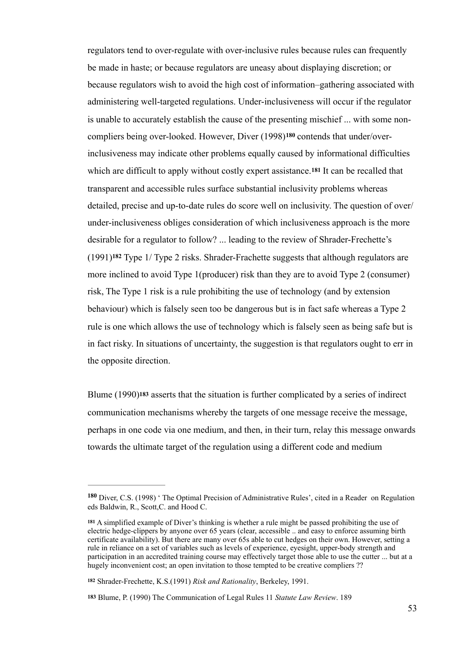regulators tend to over-regulate with over-inclusive rules because rules can frequently be made in haste; or because regulators are uneasy about displaying discretion; or because regulators wish to avoid the high cost of information–gathering associated with administering well-targeted regulations. Under-inclusiveness will occur if the regulator is unable to accurately establish the cause of the presenting mischief ... with some noncompliers being over-looked. However, Diver (1998)<sup>180</sup> contends that under/overinclusiveness may indicate other problems equally caused by informational difficulties which are difficult to apply without costly expert assistance.**181** It can be recalled that transparent and accessible rules surface substantial inclusivity problems whereas detailed, precise and up-to-date rules do score well on inclusivity. The question of over/ under-inclusiveness obliges consideration of which inclusiveness approach is the more desirable for a regulator to follow? ... leading to the review of Shrader-Frechette's  $(1991)^{182}$  Type 1/ Type 2 risks. Shrader-Frachette suggests that although regulators are more inclined to avoid Type 1(producer) risk than they are to avoid Type 2 (consumer) risk, The Type 1 risk is a rule prohibiting the use of technology (and by extension behaviour) which is falsely seen too be dangerous but is in fact safe whereas a Type 2 rule is one which allows the use of technology which is falsely seen as being safe but is in fact risky. In situations of uncertainty, the suggestion is that regulators ought to err in the opposite direction.

Blume (1990)**183** asserts that the situation is further complicated by a series of indirect communication mechanisms whereby the targets of one message receive the message, perhaps in one code via one medium, and then, in their turn, relay this message onwards towards the ultimate target of the regulation using a different code and medium

<sup>180</sup> Diver, C.S. (1998) 'The Optimal Precision of Administrative Rules', cited in a Reader on Regulation eds Baldwin, R., Scott,C. and Hood C.

A simplified example of Diver's thinking is whether a rule might be passed prohibiting the use of **<sup>181</sup>** electric hedge-clippers by anyone over 65 years (clear, accessible .. and easy to enforce assuming birth certificate availability). But there are many over 65s able to cut hedges on their own. However, setting a rule in reliance on a set of variables such as levels of experience, eyesight, upper-body strength and participation in an accredited training course may effectively target those able to use the cutter ... but at a hugely inconvenient cost; an open invitation to those tempted to be creative compliers ??

Shrader-Frechette, K.S.(1991) *Risk and Rationality*, Berkeley, 1991. **<sup>182</sup>**

Blume, P. (1990) The Communication of Legal Rules 11 *Statute Law Review*. 189 **183**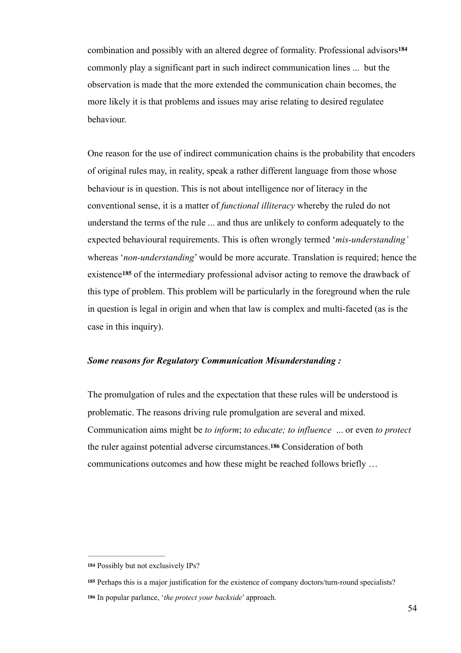combination and possibly with an altered degree of formality. Professional advisors**<sup>184</sup>** commonly play a significant part in such indirect communication lines ... but the observation is made that the more extended the communication chain becomes, the more likely it is that problems and issues may arise relating to desired regulatee behaviour.

One reason for the use of indirect communication chains is the probability that encoders of original rules may, in reality, speak a rather different language from those whose behaviour is in question. This is not about intelligence nor of literacy in the conventional sense, it is a matter of *functional illiteracy* whereby the ruled do not understand the terms of the rule ... and thus are unlikely to conform adequately to the expected behavioural requirements. This is often wrongly termed '*mis-understanding'*  whereas '*non-understanding*' would be more accurate. Translation is required; hence the existence<sup>185</sup> of the intermediary professional advisor acting to remove the drawback of this type of problem. This problem will be particularly in the foreground when the rule in question is legal in origin and when that law is complex and multi-faceted (as is the case in this inquiry).

## *Some reasons for Regulatory Communication Misunderstanding :*

The promulgation of rules and the expectation that these rules will be understood is problematic. The reasons driving rule promulgation are several and mixed. Communication aims might be *to inform*; *to educate; to influence* ... or even *to protect* the ruler against potential adverse circumstances.**186** Consideration of both communications outcomes and how these might be reached follows briefly …

**<sup>184</sup>** Possibly but not exclusively IPs?

**<sup>185</sup>** Perhaps this is a major justification for the existence of company doctors/turn-round specialists?

In popular parlance, '*the protect your backside*' approach. **<sup>186</sup>**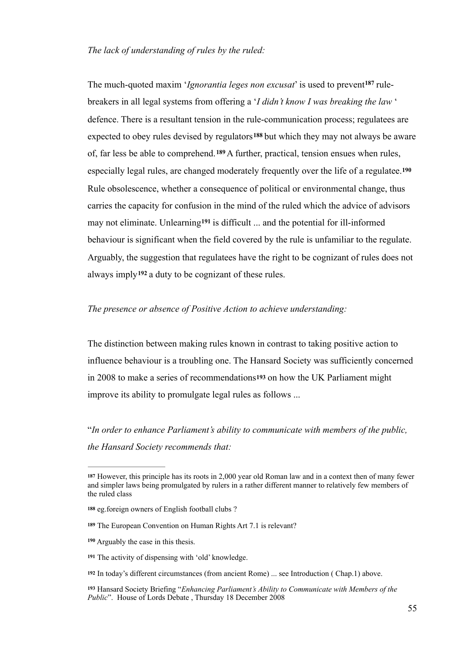### *The lack of understanding of rules by the ruled:*

The much-quoted maxim *'Ignorantia leges non excusat'* is used to prevent<sup>187</sup> rulebreakers in all legal systems from offering a '*I didn't know I was breaking the law* ' defence. There is a resultant tension in the rule-communication process; regulatees are expected to obey rules devised by regulators<sup>188</sup> but which they may not always be aware of, far less be able to comprehend.<sup>189</sup> A further, practical, tension ensues when rules, especially legal rules, are changed moderately frequently over the life of a regulatee.**<sup>190</sup>** Rule obsolescence, whether a consequence of political or environmental change, thus carries the capacity for confusion in the mind of the ruled which the advice of advisors may not eliminate. Unlearning<sup>191</sup> is difficult ... and the potential for ill-informed behaviour is significant when the field covered by the rule is unfamiliar to the regulate. Arguably, the suggestion that regulatees have the right to be cognizant of rules does not always imply<sup>192</sup> a duty to be cognizant of these rules.

### *The presence or absence of Positive Action to achieve understanding:*

The distinction between making rules known in contrast to taking positive action to influence behaviour is a troubling one. The Hansard Society was sufficiently concerned in 2008 to make a series of recommendations**193** on how the UK Parliament might improve its ability to promulgate legal rules as follows ...

"*In order to enhance Parliament's ability to communicate with members of the public, the Hansard Society recommends that:* 

However, this principle has its roots in 2,000 year old Roman law and in a context then of many fewer **<sup>187</sup>** and simpler laws being promulgated by rulers in a rather different manner to relatively few members of the ruled class

**<sup>188</sup>** eg.foreign owners of English football clubs ?

**<sup>189</sup>** The European Convention on Human Rights Art 7.1 is relevant?

Arguably the case in this thesis. **<sup>190</sup>**

The activity of dispensing with 'old' knowledge. **<sup>191</sup>**

In today's different circumstances (from ancient Rome) ... see Introduction ( Chap.1) above. **<sup>192</sup>**

Hansard Society Briefing "*Enhancing Parliament's Ability to Communicate with Members of the* **<sup>193</sup>** *Public*". House of Lords Debate , Thursday 18 December 2008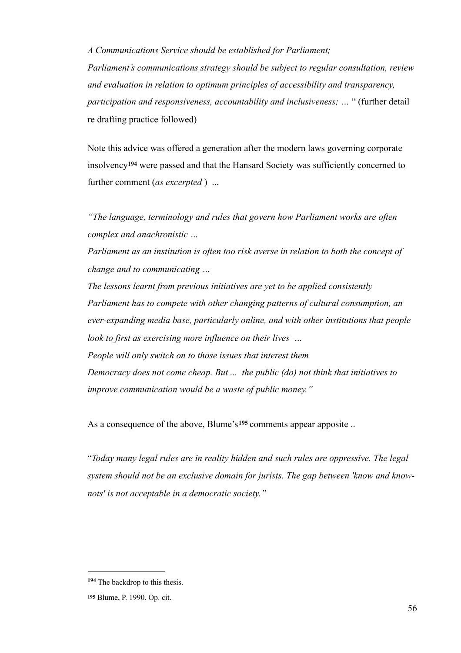*A Communications Service should be established for Parliament;* 

*Parliament's communications strategy should be subject to regular consultation, review and evaluation in relation to optimum principles of accessibility and transparency, participation and responsiveness, accountability and inclusiveness; …* " (further detail re drafting practice followed)

Note this advice was offered a generation after the modern laws governing corporate insolvency<sup>194</sup> were passed and that the Hansard Society was sufficiently concerned to further comment (*as excerpted* ) ...

*"The language, terminology and rules that govern how Parliament works are often complex and anachronistic …* 

*Parliament as an institution is often too risk averse in relation to both the concept of change and to communicating …* 

*The lessons learnt from previous initiatives are yet to be applied consistently Parliament has to compete with other changing patterns of cultural consumption, an ever-expanding media base, particularly online, and with other institutions that people look to first as exercising more influence on their lives … People will only switch on to those issues that interest them Democracy does not come cheap. But ... the public (do) not think that initiatives to improve communication would be a waste of public money."* 

As a consequence of the above, Blume's<sup>195</sup> comments appear apposite ...

"*Today many legal rules are in reality hidden and such rules are oppressive. The legal system should not be an exclusive domain for jurists. The gap between 'know and knownots' is not acceptable in a democratic society."*

<sup>194</sup> The backdrop to this thesis.

Blume, P. 1990. Op. cit. **<sup>195</sup>**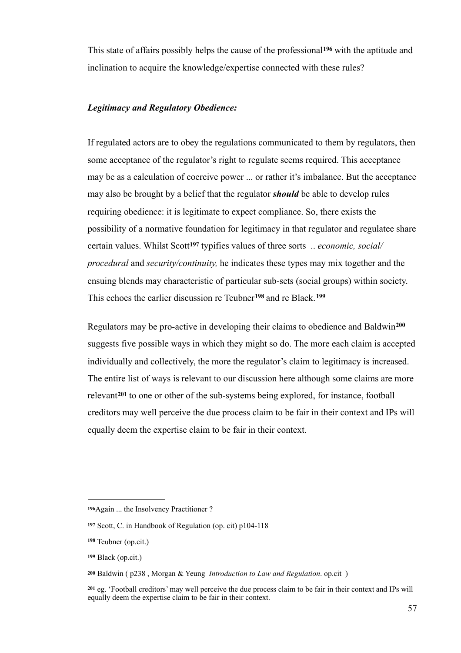This state of affairs possibly helps the cause of the professional<sup>196</sup> with the aptitude and inclination to acquire the knowledge/expertise connected with these rules?

## *Legitimacy and Regulatory Obedience:*

If regulated actors are to obey the regulations communicated to them by regulators, then some acceptance of the regulator's right to regulate seems required. This acceptance may be as a calculation of coercive power ... or rather it's imbalance. But the acceptance may also be brought by a belief that the regulator *should* be able to develop rules requiring obedience: it is legitimate to expect compliance. So, there exists the possibility of a normative foundation for legitimacy in that regulator and regulatee share certain values. Whilst Scott<sup>197</sup> typifies values of three sorts .. *economic, social/ procedural* and *security/continuity,* he indicates these types may mix together and the ensuing blends may characteristic of particular sub-sets (social groups) within society. This echoes the earlier discussion re Teubner<sup>198</sup> and re Black.<sup>199</sup>

Regulators may be pro-active in developing their claims to obedience and Baldwin**<sup>200</sup>** suggests five possible ways in which they might so do. The more each claim is accepted individually and collectively, the more the regulator's claim to legitimacy is increased. The entire list of ways is relevant to our discussion here although some claims are more relevant<sup>201</sup> to one or other of the sub-systems being explored, for instance, football creditors may well perceive the due process claim to be fair in their context and IPs will equally deem the expertise claim to be fair in their context.

**<sup>196</sup>**Again ... the Insolvency Practitioner ?

Scott, C. in Handbook of Regulation (op. cit) p104-118 **<sup>197</sup>**

Teubner (op.cit.) **<sup>198</sup>**

Black (op.cit.) **<sup>199</sup>**

Baldwin ( p238 , Morgan & Yeung *Introduction to Law and Regulation*. op.cit ) **<sup>200</sup>**

eg. 'Football creditors' may well perceive the due process claim to be fair in their context and IPs will **<sup>201</sup>** equally deem the expertise claim to be fair in their context.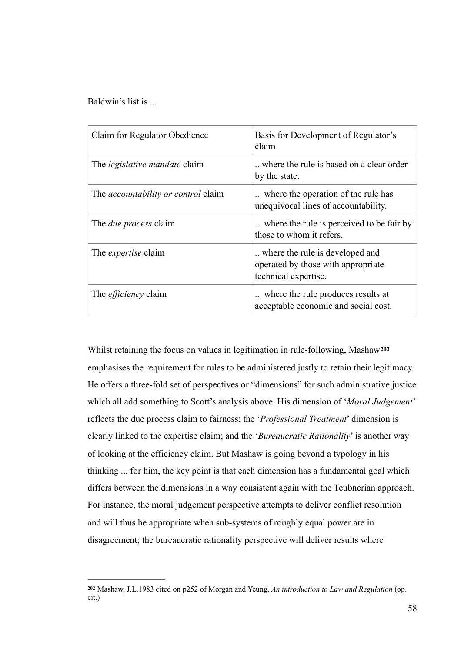Baldwin's list is ...

| Claim for Regulator Obedience              | Basis for Development of Regulator's<br>claim                                                 |
|--------------------------------------------|-----------------------------------------------------------------------------------------------|
| The <i>legislative mandate</i> claim       | where the rule is based on a clear order<br>by the state.                                     |
| The <i>accountability or control</i> claim | where the operation of the rule has<br>unequivocal lines of accountability.                   |
| The <i>due process</i> claim               | where the rule is perceived to be fair by<br>those to whom it refers.                         |
| The <i>expertise</i> claim                 | where the rule is developed and<br>operated by those with appropriate<br>technical expertise. |
| The <i>efficiency</i> claim                | where the rule produces results at<br>acceptable economic and social cost.                    |

Whilst retaining the focus on values in legitimation in rule-following, Mashaw**<sup>202</sup>** emphasises the requirement for rules to be administered justly to retain their legitimacy. He offers a three-fold set of perspectives or "dimensions" for such administrative justice which all add something to Scott's analysis above. His dimension of '*Moral Judgement*' reflects the due process claim to fairness; the '*Professional Treatment*' dimension is clearly linked to the expertise claim; and the '*Bureaucratic Rationality*' is another way of looking at the efficiency claim. But Mashaw is going beyond a typology in his thinking ... for him, the key point is that each dimension has a fundamental goal which differs between the dimensions in a way consistent again with the Teubnerian approach. For instance, the moral judgement perspective attempts to deliver conflict resolution and will thus be appropriate when sub-systems of roughly equal power are in disagreement; the bureaucratic rationality perspective will deliver results where

Mashaw, J.L.1983 cited on p252 of Morgan and Yeung, *An introduction to Law and Regulation* (op. **<sup>202</sup>** cit.)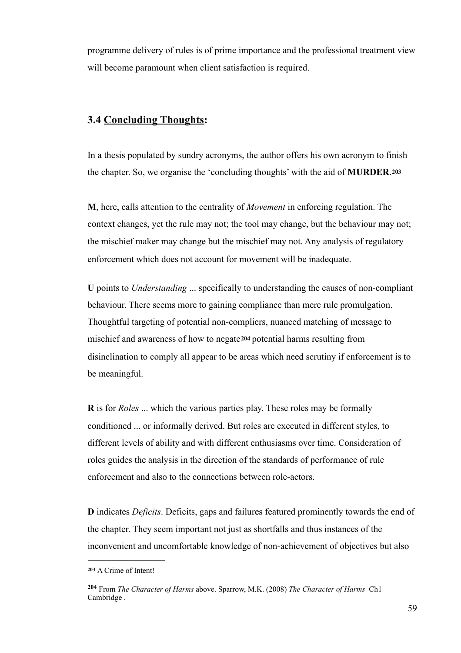programme delivery of rules is of prime importance and the professional treatment view will become paramount when client satisfaction is required.

# **3.4 Concluding Thoughts:**

In a thesis populated by sundry acronyms, the author offers his own acronym to finish the chapter. So, we organise the 'concluding thoughts' with the aid of **MURDER**.**<sup>203</sup>**

**M**, here, calls attention to the centrality of *Movement* in enforcing regulation. The context changes, yet the rule may not; the tool may change, but the behaviour may not; the mischief maker may change but the mischief may not. Any analysis of regulatory enforcement which does not account for movement will be inadequate.

**U** points to *Understanding* ... specifically to understanding the causes of non-compliant behaviour. There seems more to gaining compliance than mere rule promulgation. Thoughtful targeting of potential non-compliers, nuanced matching of message to mischief and awareness of how to negate**<sup>204</sup>** potential harms resulting from disinclination to comply all appear to be areas which need scrutiny if enforcement is to be meaningful.

**R** is for *Roles* ... which the various parties play. These roles may be formally conditioned ... or informally derived. But roles are executed in different styles, to different levels of ability and with different enthusiasms over time. Consideration of roles guides the analysis in the direction of the standards of performance of rule enforcement and also to the connections between role-actors.

**D** indicates *Deficits*. Deficits, gaps and failures featured prominently towards the end of the chapter. They seem important not just as shortfalls and thus instances of the inconvenient and uncomfortable knowledge of non-achievement of objectives but also

A Crime of Intent! **<sup>203</sup>**

From *The Character of Harms* above. Sparrow, M.K. (2008) *The Character of Harms* Ch1 **<sup>204</sup>** Cambridge .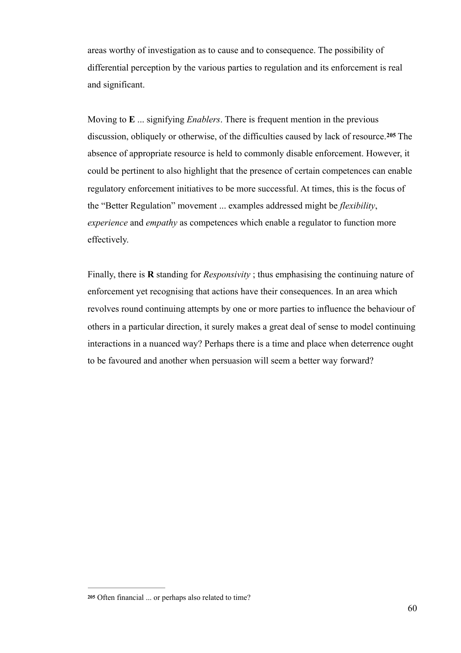areas worthy of investigation as to cause and to consequence. The possibility of differential perception by the various parties to regulation and its enforcement is real and significant.

Moving to **E** ... signifying *Enablers*. There is frequent mention in the previous discussion, obliquely or otherwise, of the difficulties caused by lack of resource.<sup>205</sup> The absence of appropriate resource is held to commonly disable enforcement. However, it could be pertinent to also highlight that the presence of certain competences can enable regulatory enforcement initiatives to be more successful. At times, this is the focus of the "Better Regulation" movement ... examples addressed might be *flexibility*, *experience* and *empathy* as competences which enable a regulator to function more effectively.

Finally, there is **R** standing for *Responsivity* ; thus emphasising the continuing nature of enforcement yet recognising that actions have their consequences. In an area which revolves round continuing attempts by one or more parties to influence the behaviour of others in a particular direction, it surely makes a great deal of sense to model continuing interactions in a nuanced way? Perhaps there is a time and place when deterrence ought to be favoured and another when persuasion will seem a better way forward?

**<sup>205</sup>** Often financial ... or perhaps also related to time?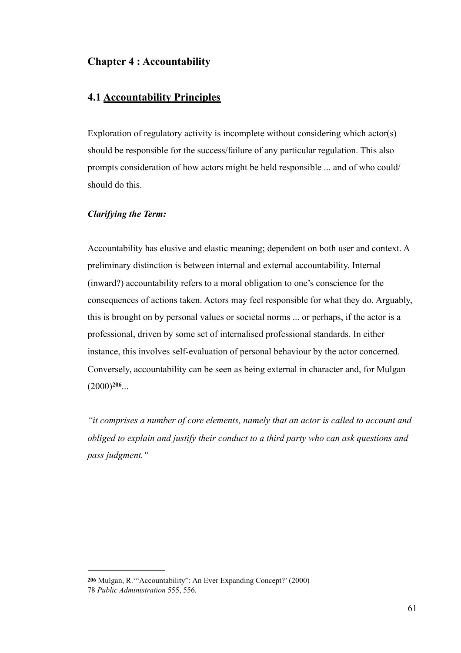# **Chapter 4 : Accountability**

# **4.1 Accountability Principles**

Exploration of regulatory activity is incomplete without considering which actor(s) should be responsible for the success/failure of any particular regulation. This also prompts consideration of how actors might be held responsible ... and of who could/ should do this.

## *Clarifying the Term:*

Accountability has elusive and elastic meaning; dependent on both user and context. A preliminary distinction is between internal and external accountability. Internal (inward?) accountability refers to a moral obligation to one's conscience for the consequences of actions taken. Actors may feel responsible for what they do. Arguably, this is brought on by personal values or societal norms ... or perhaps, if the actor is a professional, driven by some set of internalised professional standards. In either instance, this involves self-evaluation of personal behaviour by the actor concerned. Conversely, accountability can be seen as being external in character and, for Mulgan  $(2000)^{206}$ ...

*"it comprises a number of core elements, namely that an actor is called to account and obliged to explain and justify their conduct to a third party who can ask questions and pass judgment."* 

Mulgan, R.'"Accountability": An Ever Expanding Concept?' (2000) **206** 78 *Public Administration* 555, 556.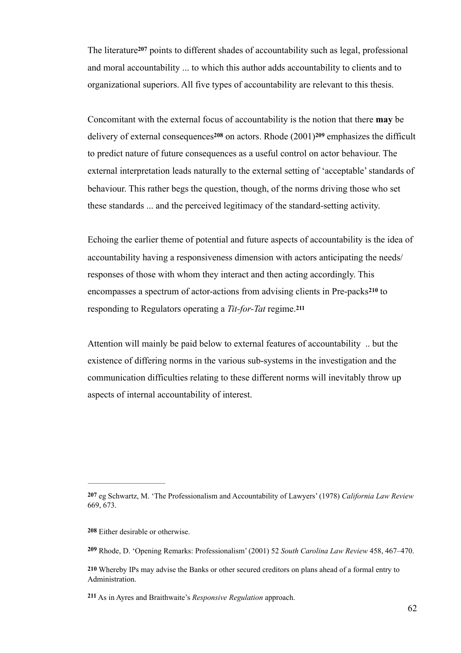The literature<sup>207</sup> points to different shades of accountability such as legal, professional and moral accountability ... to which this author adds accountability to clients and to organizational superiors. All five types of accountability are relevant to this thesis.

Concomitant with the external focus of accountability is the notion that there **may** be delivery of external consequences<sup>208</sup> on actors. Rhode  $(2001)$ <sup>209</sup> emphasizes the difficult to predict nature of future consequences as a useful control on actor behaviour. The external interpretation leads naturally to the external setting of 'acceptable' standards of behaviour. This rather begs the question, though, of the norms driving those who set these standards ... and the perceived legitimacy of the standard-setting activity.

Echoing the earlier theme of potential and future aspects of accountability is the idea of accountability having a responsiveness dimension with actors anticipating the needs/ responses of those with whom they interact and then acting accordingly. This encompasses a spectrum of actor-actions from advising clients in Pre-packs<sup>210</sup> to responding to Regulators operating a *Tit-for-Tat* regime.**<sup>211</sup>**

Attention will mainly be paid below to external features of accountability .. but the existence of differing norms in the various sub-systems in the investigation and the communication difficulties relating to these different norms will inevitably throw up aspects of internal accountability of interest.

As in Ayres and Braithwaite's *Responsive Regulation* approach. **<sup>211</sup>**

**<sup>207</sup>** eg Schwartz, M. 'The Professionalism and Accountability of Lawyers' (1978) *California Law Review*  669, 673.

**<sup>208</sup>** Either desirable or otherwise.

Rhode, D. 'Opening Remarks: Professionalism' (2001) 52 *South Carolina Law Review* 458, 467–470. **<sup>209</sup>**

**<sup>210</sup>** Whereby IPs may advise the Banks or other secured creditors on plans ahead of a formal entry to Administration.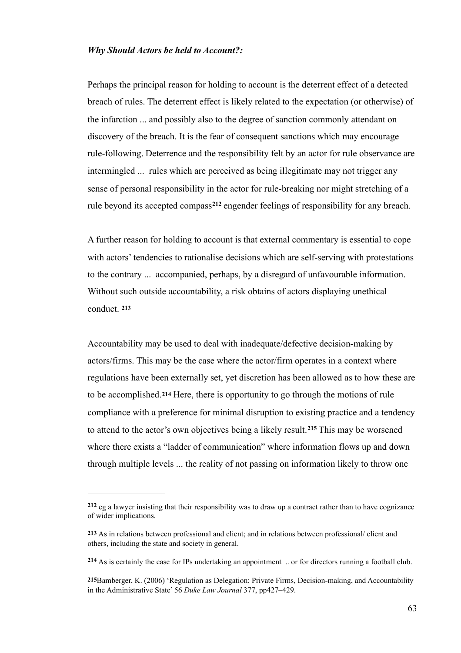### *Why Should Actors be held to Account?:*

Perhaps the principal reason for holding to account is the deterrent effect of a detected breach of rules. The deterrent effect is likely related to the expectation (or otherwise) of the infarction ... and possibly also to the degree of sanction commonly attendant on discovery of the breach. It is the fear of consequent sanctions which may encourage rule-following. Deterrence and the responsibility felt by an actor for rule observance are intermingled ... rules which are perceived as being illegitimate may not trigger any sense of personal responsibility in the actor for rule-breaking nor might stretching of a rule beyond its accepted compass<sup>212</sup> engender feelings of responsibility for any breach.

A further reason for holding to account is that external commentary is essential to cope with actors' tendencies to rationalise decisions which are self-serving with protestations to the contrary ... accompanied, perhaps, by a disregard of unfavourable information. Without such outside accountability, a risk obtains of actors displaying unethical conduct. **<sup>213</sup>**

Accountability may be used to deal with inadequate/defective decision-making by actors/firms. This may be the case where the actor/firm operates in a context where regulations have been externally set, yet discretion has been allowed as to how these are to be accomplished.**214** Here, there is opportunity to go through the motions of rule compliance with a preference for minimal disruption to existing practice and a tendency to attend to the actor's own objectives being a likely result.<sup>215</sup> This may be worsened where there exists a "ladder of communication" where information flows up and down through multiple levels ... the reality of not passing on information likely to throw one

eg a lawyer insisting that their responsibility was to draw up a contract rather than to have cognizance **<sup>212</sup>** of wider implications.

**<sup>213</sup>** As in relations between professional and client; and in relations between professional/ client and others, including the state and society in general.

<sup>214</sup> As is certainly the case for IPs undertaking an appointment .. or for directors running a football club.

**<sup>215</sup>**Bamberger, K. (2006) 'Regulation as Delegation: Private Firms, Decision-making, and Accountability in the Administrative State' 56 *Duke Law Journal* 377, pp427–429.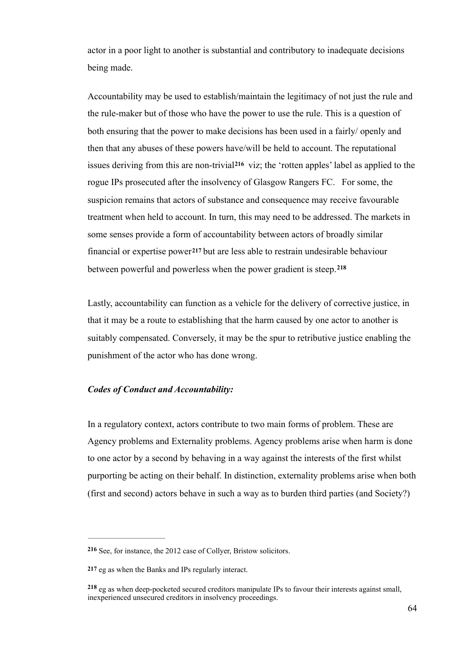actor in a poor light to another is substantial and contributory to inadequate decisions being made.

Accountability may be used to establish/maintain the legitimacy of not just the rule and the rule-maker but of those who have the power to use the rule. This is a question of both ensuring that the power to make decisions has been used in a fairly/ openly and then that any abuses of these powers have/will be held to account. The reputational issues deriving from this are non-trivial<sup>216</sup> viz; the 'rotten apples' label as applied to the rogue IPs prosecuted after the insolvency of Glasgow Rangers FC. For some, the suspicion remains that actors of substance and consequence may receive favourable treatment when held to account. In turn, this may need to be addressed. The markets in some senses provide a form of accountability between actors of broadly similar financial or expertise power**217** but are less able to restrain undesirable behaviour between powerful and powerless when the power gradient is steep.**<sup>218</sup>**

Lastly, accountability can function as a vehicle for the delivery of corrective justice, in that it may be a route to establishing that the harm caused by one actor to another is suitably compensated. Conversely, it may be the spur to retributive justice enabling the punishment of the actor who has done wrong.

### *Codes of Conduct and Accountability:*

In a regulatory context, actors contribute to two main forms of problem. These are Agency problems and Externality problems. Agency problems arise when harm is done to one actor by a second by behaving in a way against the interests of the first whilst purporting be acting on their behalf. In distinction, externality problems arise when both (first and second) actors behave in such a way as to burden third parties (and Society?)

See, for instance, the 2012 case of Collyer, Bristow solicitors. **<sup>216</sup>**

**<sup>217</sup>** eg as when the Banks and IPs regularly interact.

<sup>218</sup> eg as when deep-pocketed secured creditors manipulate IPs to favour their interests against small, inexperienced unsecured creditors in insolvency proceedings.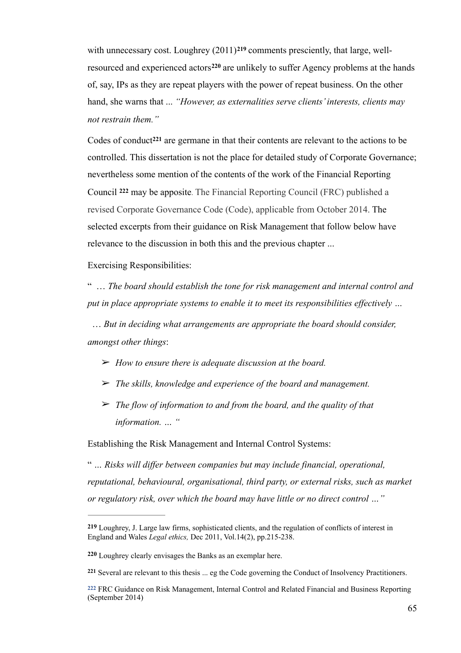with unnecessary cost. Loughrey  $(2011)$ <sup>219</sup> comments presciently, that large, wellresourced and experienced actors<sup>220</sup> are unlikely to suffer Agency problems at the hands of, say, IPs as they are repeat players with the power of repeat business. On the other hand, she warns that ... *"However, as externalities serve clients' interests, clients may not restrain them."*

Codes of conduct<sup>221</sup> are germane in that their contents are relevant to the actions to be controlled. This dissertation is not the place for detailed study of Corporate Governance; nevertheless some mention of the contents of the work of the Financial Reporting Council 222 may be apposite. The Financial Reporting Council (FRC) published a revised Corporate Governance Code (Code), applicable from October 2014. The selected excerpts from their guidance on Risk Management that follow below have relevance to the discussion in both this and the previous chapter ...

Exercising Responsibilities:

" … *The board should establish the tone for risk management and internal control and put in place appropriate systems to enable it to meet its responsibilities effectively …* 

 … *But in deciding what arrangements are appropriate the board should consider, amongst other things*:

- ➢ *How to ensure there is adequate discussion at the board.*
- ➢ *The skills, knowledge and experience of the board and management.*
- ➢ *The flow of information to and from the board, and the quality of that information. … "*

Establishing the Risk Management and Internal Control Systems:

" *… Risks will differ between companies but may include financial, operational, reputational, behavioural, organisational, third party, or external risks, such as market or regulatory risk, over which the board may have little or no direct control …"*

**<sup>219</sup>** Loughrey, J. Large law firms, sophisticated clients, and the regulation of conflicts of interest in England and Wales *Legal ethics,* Dec 2011, Vol.14(2), pp.215-238.

Loughrey clearly envisages the Banks as an exemplar here. **<sup>220</sup>**

Several are relevant to this thesis ... eg the Code governing the Conduct of Insolvency Practitioners. **<sup>221</sup>**

FRC Guidance on Risk Management, Internal Control and Related Financial and Business Reporting **222** (September 2014)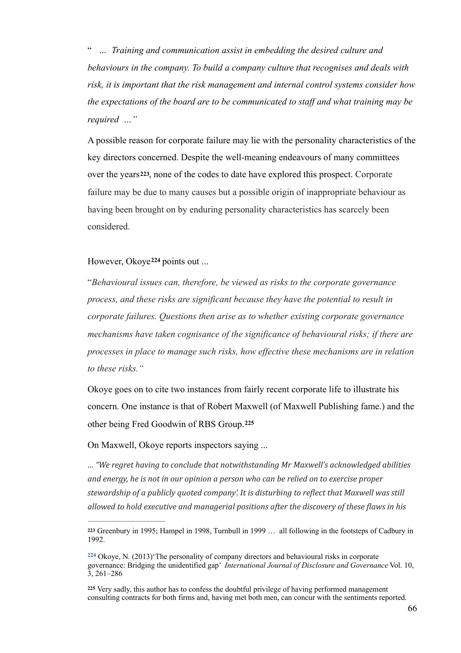" *… Training and communication assist in embedding the desired culture and behaviours in the company. To build a company culture that recognises and deals with risk, it is important that the risk management and internal control systems consider how the expectations of the board are to be communicated to staff and what training may be required …"*

A possible reason for corporate failure may lie with the personality characteristics of the key directors concerned. Despite the well-meaning endeavours of many committees over the years**223**, none of the codes to date have explored this prospect. Corporate failure may be due to many causes but a possible origin of inappropriate behaviour as having been brought on by enduring personality characteristics has scarcely been considered.

### However, Okoye<sup>224</sup> points out ...

"*Behavioural issues can, therefore, be viewed as risks to the corporate governance process, and these risks are significant because they have the potential to result in corporate failures. Questions then arise as to whether existing corporate governance mechanisms have taken cognisance of the significance of behavioural risks; if there are processes in place to manage such risks, how effective these mechanisms are in relation to these risks."* 

Okoye goes on to cite two instances from fairly recent corporate life to illustrate his concern. One instance is that of Robert Maxwell (of Maxwell Publishing fame.) and the other being Fred Goodwin of RBS Group.**<sup>225</sup>**

On Maxwell, Okoye reports inspectors saying ...

*… "We regret having to conclude that notwithstanding Mr Maxwell's acknowledged abilities*  and energy, he is not in our opinion a person who can be relied on to exercise proper stewardship of a publicly quoted company'. It is disturbing to reflect that Maxwell was still allowed to hold executive and managerial positions after the discovery of these flaws in his

Greenbury in 1995; Hampel in 1998, Turnbull in 1999 … all following in the footsteps of Cadbury in **<sup>223</sup>** 1992.

 $224$  Okoye, N.  $(2013)$  The personality of company directors and behavioural risks in corporate governance: Bridging the unidentified gap' *International Journal of Disclosure and Governance* Vol. 10,  $\bar{3}$ , 261–286

<sup>225</sup> Very sadly, this author has to confess the doubtful privilege of having performed management consulting contracts for both firms and, having met both men, can concur with the sentiments reported.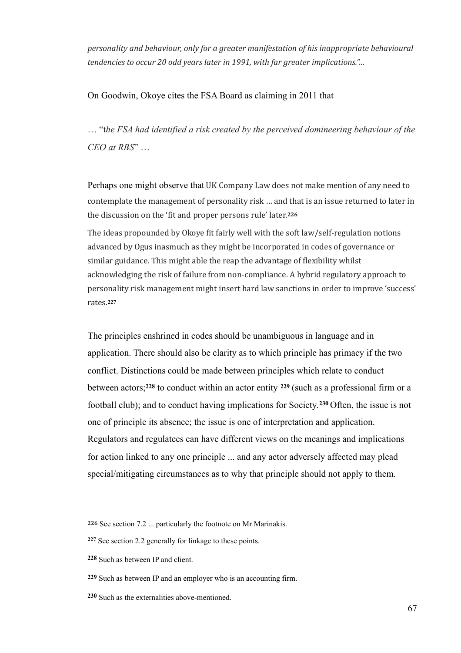personality and behaviour, only for a greater manifestation of his inappropriate behavioural *tendencies to occur 20 odd years later in 1991, with far greater implications."...* 

On Goodwin, Okoye cites the FSA Board as claiming in 2011 that

… "t*he FSA had identified a risk created by the perceived domineering behaviour of the CEO at RBS*" …

Perhaps one might observe that UK Company Law does not make mention of any need to contemplate the management of personality risk ... and that is an issue returned to later in the discussion on the 'fit and proper persons rule' later.<sup>226</sup>

The ideas propounded by Okoye fit fairly well with the soft law/self-regulation notions advanced by Ogus inasmuch as they might be incorporated in codes of governance or similar guidance. This might able the reap the advantage of flexibility whilst acknowledging the risk of failure from non-compliance. A hybrid regulatory approach to personality risk management might insert hard law sanctions in order to improve 'success' rates.**<sup>227</sup>**

The principles enshrined in codes should be unambiguous in language and in application. There should also be clarity as to which principle has primacy if the two conflict. Distinctions could be made between principles which relate to conduct between actors;<sup>228</sup> to conduct within an actor entity  $229$  (such as a professional firm or a football club); and to conduct having implications for Society.<sup>230</sup> Often, the issue is not one of principle its absence; the issue is one of interpretation and application. Regulators and regulatees can have different views on the meanings and implications for action linked to any one principle ... and any actor adversely affected may plead special/mitigating circumstances as to why that principle should not apply to them.

**<sup>226</sup>** See section 7.2 ... particularly the footnote on Mr Marinakis.

<sup>227</sup> See section 2.2 generally for linkage to these points.

<sup>228</sup> Such as between IP and client.

**<sup>229</sup>** Such as between IP and an employer who is an accounting firm.

<sup>230</sup> Such as the externalities above-mentioned.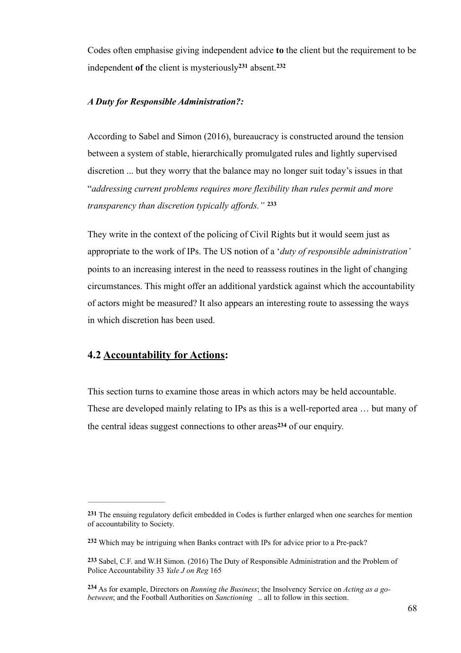Codes often emphasise giving independent advice **to** the client but the requirement to be independent of the client is mysteriously<sup>231</sup> absent.<sup>232</sup>

### *A Duty for Responsible Administration?:*

According to Sabel and Simon (2016), bureaucracy is constructed around the tension between a system of stable, hierarchically promulgated rules and lightly supervised discretion ... but they worry that the balance may no longer suit today's issues in that "*addressing current problems requires more flexibility than rules permit and more transparency than discretion typically affords."* **<sup>233</sup>**

They write in the context of the policing of Civil Rights but it would seem just as appropriate to the work of IPs. The US notion of a '*duty of responsible administration'* points to an increasing interest in the need to reassess routines in the light of changing circumstances. This might offer an additional yardstick against which the accountability of actors might be measured? It also appears an interesting route to assessing the ways in which discretion has been used.

# **4.2 Accountability for Actions:**

This section turns to examine those areas in which actors may be held accountable. These are developed mainly relating to IPs as this is a well-reported area … but many of the central ideas suggest connections to other areas $234$  of our enquiry.

**<sup>231</sup>** The ensuing regulatory deficit embedded in Codes is further enlarged when one searches for mention of accountability to Society.

Which may be intriguing when Banks contract with IPs for advice prior to a Pre-pack? **<sup>232</sup>**

**<sup>233</sup>** Sabel, C.F. and W.H Simon. (2016) The Duty of Responsible Administration and the Problem of Police Accountability 33 *Yale J on Reg* 165

As for example, Directors on *Running the Business*; the Insolvency Service on *Acting as a go-* **<sup>234</sup>** *between*; and the Football Authorities on *Sanctioning* .. all to follow in this section.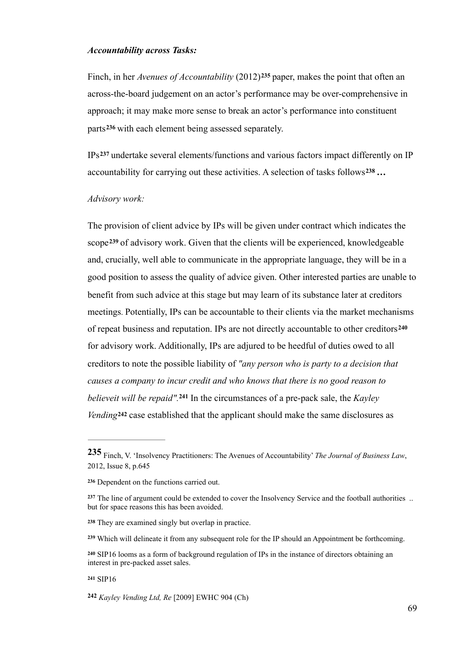#### *Accountability across Tasks:*

Finch, in her *Avenues of Accountability* (2012)<sup>235</sup> paper, makes the point that often an across-the-board judgement on an actor's performance may be over-comprehensive in approach; it may make more sense to break an actor's performance into constituent parts<sup>236</sup> with each element being assessed separately.

 $IPs<sup>237</sup>$  undertake several elements/functions and various factors impact differently on IP accountability for carrying out these activities. A selection of tasks follows<sup>238</sup>...

#### *Advisory work:*

The provision of client advice by IPs will be given under contract which indicates the scope<sup>239</sup> of advisory work. Given that the clients will be experienced, knowledgeable and, crucially, well able to communicate in the appropriate language, they will be in a good position to assess the quality of advice given. Other interested parties are unable to benefit from such advice at this stage but may learn of its substance later at creditors meetings. Potentially, IPs can be accountable to their clients via the market mechanisms of repeat business and reputation. IPs are not directly accountable to other creditors**<sup>240</sup>** for advisory work. Additionally, IPs are adjured to be heedful of duties owed to all creditors to note the possible liability of *"any person who is party to a decision that causes a company to incur credit and who knows that there is no good reason to believeit will be repaid".*<sup>241</sup> In the circumstances of a pre-pack sale, the *Kayley Vending***<sup>242</sup>** case established that the applicant should make the same disclosures as

#### **<sup>241</sup>** SIP16

*Kayley Vending Ltd, Re* [2009] EWHC 904 (Ch) **<sup>242</sup>**

<sup>235</sup> Finch, V. 'Insolvency Practitioners: The Avenues of Accountability' *The Journal of Business Law*, 2012, Issue 8, p.645

Dependent on the functions carried out. **<sup>236</sup>**

<sup>&</sup>lt;sup>237</sup> The line of argument could be extended to cover the Insolvency Service and the football authorities ... but for space reasons this has been avoided.

They are examined singly but overlap in practice. **<sup>238</sup>**

Which will delineate it from any subsequent role for the IP should an Appointment be forthcoming. **<sup>239</sup>**

SIP16 looms as a form of background regulation of IPs in the instance of directors obtaining an **<sup>240</sup>** interest in pre-packed asset sales.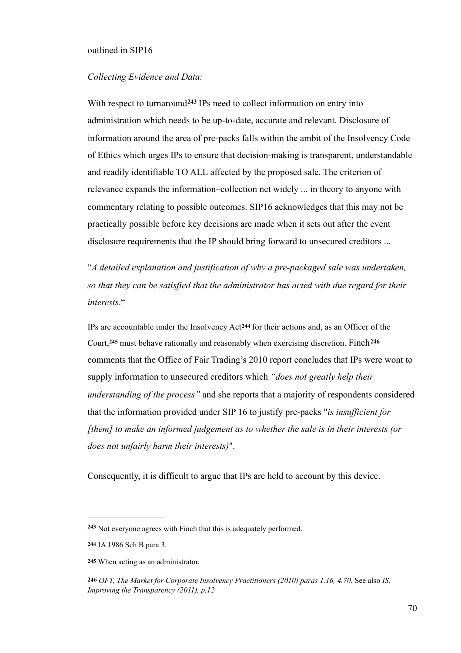#### outlined in SIP16

### *Collecting Evidence and Data:*

With respect to turnaround<sup>243</sup> IPs need to collect information on entry into administration which needs to be up-to-date, accurate and relevant. Disclosure of information around the area of pre-packs falls within the ambit of the Insolvency Code of Ethics which urges IPs to ensure that decision-making is transparent, understandable and readily identifiable TO ALL affected by the proposed sale. The criterion of relevance expands the information–collection net widely ... in theory to anyone with commentary relating to possible outcomes. SIP16 acknowledges that this may not be practically possible before key decisions are made when it sets out after the event disclosure requirements that the IP should bring forward to unsecured creditors ...

"*A detailed explanation and justification of why a pre-packaged sale was undertaken, so that they can be satisfied that the administrator has acted with due regard for their interests*."

IPs are accountable under the Insolvency Act<sup>244</sup> for their actions and, as an Officer of the Court,**<sup>245</sup>** must behave rationally and reasonably when exercising discretion. Finch**<sup>246</sup>** comments that the Office of Fair Trading's 2010 report concludes that IPs were wont to supply information to unsecured creditors which *"does not greatly help their understanding of the process"* and she reports that a majority of respondents considered that the information provided under SIP 16 to justify pre-packs "*is insufficient for [them] to make an informed judgement as to whether the sale is in their interests (or does not unfairly harm their interests)*".

Consequently, it is difficult to argue that IPs are held to account by this device.

Not everyone agrees with Finch that this is adequately performed. **<sup>243</sup>**

IA 1986 Sch B para 3. **244**

When acting as an administrator. **245**

**<sup>246</sup>** *OFT, The Market for Corporate Insolvency Practitioners (2010) paras 1.16, 4.70*. See also *IS, Improving the Transparency (2011), p.12*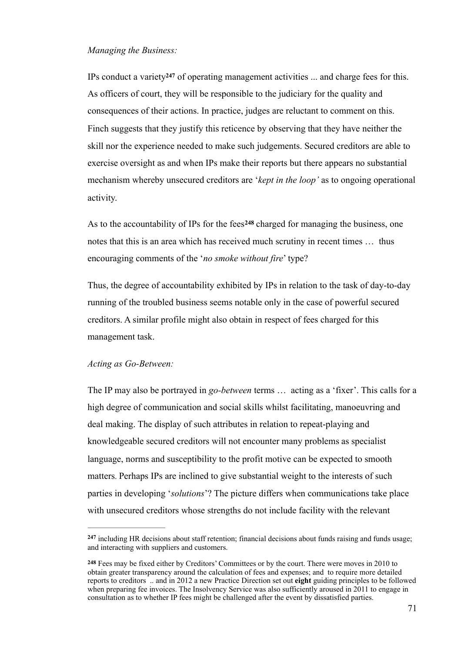### *Managing the Business:*

IPs conduct a variety  $247$  of operating management activities  $\ldots$  and charge fees for this. As officers of court, they will be responsible to the judiciary for the quality and consequences of their actions. In practice, judges are reluctant to comment on this. Finch suggests that they justify this reticence by observing that they have neither the skill nor the experience needed to make such judgements. Secured creditors are able to exercise oversight as and when IPs make their reports but there appears no substantial mechanism whereby unsecured creditors are '*kept in the loop'* as to ongoing operational activity.

As to the accountability of IPs for the fees<sup>248</sup> charged for managing the business, one notes that this is an area which has received much scrutiny in recent times … thus encouraging comments of the '*no smoke without fire*' type?

Thus, the degree of accountability exhibited by IPs in relation to the task of day-to-day running of the troubled business seems notable only in the case of powerful secured creditors. A similar profile might also obtain in respect of fees charged for this management task.

### *Acting as Go-Between:*

The IP may also be portrayed in *go-between* terms … acting as a 'fixer'. This calls for a high degree of communication and social skills whilst facilitating, manoeuvring and deal making. The display of such attributes in relation to repeat-playing and knowledgeable secured creditors will not encounter many problems as specialist language, norms and susceptibility to the profit motive can be expected to smooth matters. Perhaps IPs are inclined to give substantial weight to the interests of such parties in developing '*solutions*'? The picture differs when communications take place with unsecured creditors whose strengths do not include facility with the relevant

<sup>&</sup>lt;sup>247</sup> including HR decisions about staff retention; financial decisions about funds raising and funds usage; and interacting with suppliers and customers.

Fees may be fixed either by Creditors' Committees or by the court. There were moves in 2010 to **248** obtain greater transparency around the calculation of fees and expenses; and to require more detailed reports to creditors .. and in 2012 a new Practice Direction set out **eight** guiding principles to be followed when preparing fee invoices. The Insolvency Service was also sufficiently aroused in 2011 to engage in consultation as to whether IP fees might be challenged after the event by dissatisfied parties.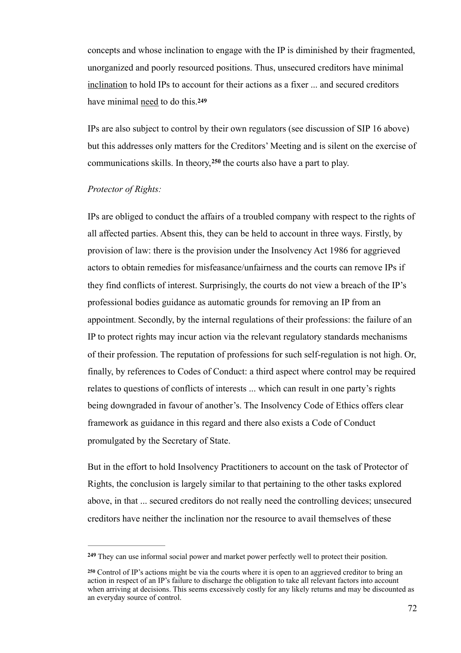concepts and whose inclination to engage with the IP is diminished by their fragmented, unorganized and poorly resourced positions. Thus, unsecured creditors have minimal inclination to hold IPs to account for their actions as a fixer ... and secured creditors have minimal need to do this.**<sup>249</sup>**

IPs are also subject to control by their own regulators (see discussion of SIP 16 above) but this addresses only matters for the Creditors' Meeting and is silent on the exercise of communications skills. In theory, <sup>250</sup> the courts also have a part to play.

#### *Protector of Rights:*

IPs are obliged to conduct the affairs of a troubled company with respect to the rights of all affected parties. Absent this, they can be held to account in three ways. Firstly, by provision of law: there is the provision under the Insolvency Act 1986 for aggrieved actors to obtain remedies for misfeasance/unfairness and the courts can remove IPs if they find conflicts of interest. Surprisingly, the courts do not view a breach of the IP's professional bodies guidance as automatic grounds for removing an IP from an appointment. Secondly, by the internal regulations of their professions: the failure of an IP to protect rights may incur action via the relevant regulatory standards mechanisms of their profession. The reputation of professions for such self-regulation is not high. Or, finally, by references to Codes of Conduct: a third aspect where control may be required relates to questions of conflicts of interests ... which can result in one party's rights being downgraded in favour of another's. The Insolvency Code of Ethics offers clear framework as guidance in this regard and there also exists a Code of Conduct promulgated by the Secretary of State.

But in the effort to hold Insolvency Practitioners to account on the task of Protector of Rights, the conclusion is largely similar to that pertaining to the other tasks explored above, in that ... secured creditors do not really need the controlling devices; unsecured creditors have neither the inclination nor the resource to avail themselves of these

<sup>&</sup>lt;sup>249</sup> They can use informal social power and market power perfectly well to protect their position.

Control of IP's actions might be via the courts where it is open to an aggrieved creditor to bring an **<sup>250</sup>** action in respect of an IP's failure to discharge the obligation to take all relevant factors into account when arriving at decisions. This seems excessively costly for any likely returns and may be discounted as an everyday source of control.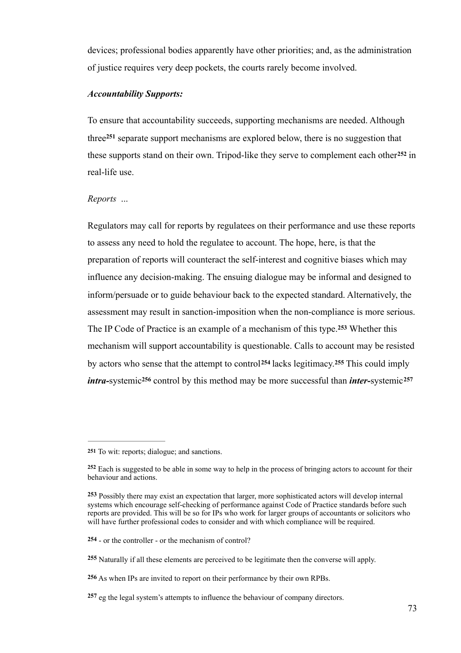devices; professional bodies apparently have other priorities; and, as the administration of justice requires very deep pockets, the courts rarely become involved.

### *Accountability Supports:*

To ensure that accountability succeeds, supporting mechanisms are needed. Although three<sup>251</sup> separate support mechanisms are explored below, there is no suggestion that these supports stand on their own. Tripod-like they serve to complement each other<sup>252</sup> in real-life use.

### *Reports* ...

Regulators may call for reports by regulatees on their performance and use these reports to assess any need to hold the regulatee to account. The hope, here, is that the preparation of reports will counteract the self-interest and cognitive biases which may influence any decision-making. The ensuing dialogue may be informal and designed to inform/persuade or to guide behaviour back to the expected standard. Alternatively, the assessment may result in sanction-imposition when the non-compliance is more serious. The IP Code of Practice is an example of a mechanism of this type.<sup>253</sup> Whether this mechanism will support accountability is questionable. Calls to account may be resisted by actors who sense that the attempt to control<sup>254</sup> lacks legitimacy.<sup>255</sup> This could imply *intra-systemic*<sup>256</sup> control by this method may be more successful than *inter-systemic*<sup>257</sup>

**254** - or the controller - or the mechanism of control?

<sup>251</sup> To wit: reports; dialogue; and sanctions.

Each is suggested to be able in some way to help in the process of bringing actors to account for their **<sup>252</sup>** behaviour and actions.

Possibly there may exist an expectation that larger, more sophisticated actors will develop internal **<sup>253</sup>** systems which encourage self-checking of performance against Code of Practice standards before such reports are provided. This will be so for IPs who work for larger groups of accountants or solicitors who will have further professional codes to consider and with which compliance will be required.

Naturally if all these elements are perceived to be legitimate then the converse will apply. **<sup>255</sup>**

**<sup>256</sup>** As when IPs are invited to report on their performance by their own RPBs.

<sup>257</sup> eg the legal system's attempts to influence the behaviour of company directors.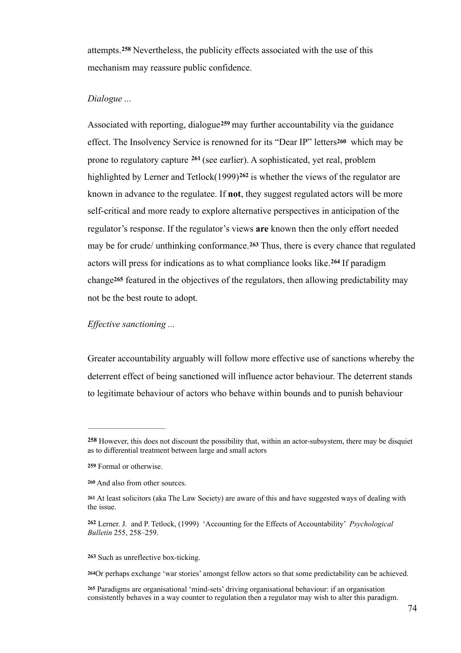attempts.<sup>258</sup> Nevertheless, the publicity effects associated with the use of this mechanism may reassure public confidence.

## *Dialogue ...*

Associated with reporting, dialogue<sup>259</sup> may further accountability via the guidance effect. The Insolvency Service is renowned for its "Dear IP" letters**260** which may be prone to regulatory capture <sup>261</sup> (see earlier). A sophisticated, yet real, problem highlighted by Lerner and Tetlock(1999)<sup>262</sup> is whether the views of the regulator are known in advance to the regulatee. If **not**, they suggest regulated actors will be more self-critical and more ready to explore alternative perspectives in anticipation of the regulator's response. If the regulator's views **are** known then the only effort needed may be for crude/ unthinking conformance.<sup>263</sup> Thus, there is every chance that regulated actors will press for indications as to what compliance looks like.<sup>264</sup> If paradigm change**265** featured in the objectives of the regulators, then allowing predictability may not be the best route to adopt.

#### *Effective sanctioning ...*

Greater accountability arguably will follow more effective use of sanctions whereby the deterrent effect of being sanctioned will influence actor behaviour. The deterrent stands to legitimate behaviour of actors who behave within bounds and to punish behaviour

263 Such as unreflective box-ticking.

Or perhaps exchange 'war stories' amongst fellow actors so that some predictability can be achieved. **<sup>264</sup>**

**<sup>258</sup>** However, this does not discount the possibility that, within an actor-subsystem, there may be disquiet as to differential treatment between large and small actors

Formal or otherwise. **259**

And also from other sources. **<sup>260</sup>**

At least solicitors (aka The Law Society) are aware of this and have suggested ways of dealing with **<sup>261</sup>** the issue.

Lerner. J. and P. Tetlock, (1999) 'Accounting for the Effects of Accountability' *Psychological* **<sup>262</sup>** *Bulletin* 255, 258–259.

Paradigms are organisational 'mind-sets' driving organisational behaviour: if an organisation **<sup>265</sup>** consistently behaves in a way counter to regulation then a regulator may wish to alter this paradigm.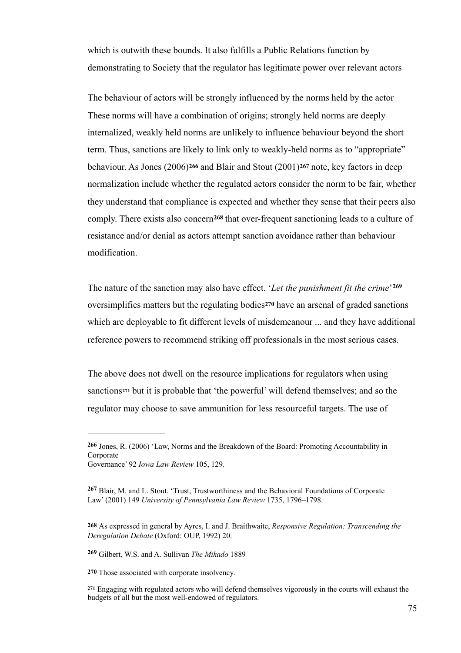which is outwith these bounds. It also fulfills a Public Relations function by demonstrating to Society that the regulator has legitimate power over relevant actors

The behaviour of actors will be strongly influenced by the norms held by the actor These norms will have a combination of origins; strongly held norms are deeply internalized, weakly held norms are unlikely to influence behaviour beyond the short term. Thus, sanctions are likely to link only to weakly-held norms as to "appropriate" behaviour. As Jones (2006)**266** and Blair and Stout (2001)**267** note, key factors in deep normalization include whether the regulated actors consider the norm to be fair, whether they understand that compliance is expected and whether they sense that their peers also comply. There exists also concern<sup>268</sup> that over-frequent sanctioning leads to a culture of resistance and/or denial as actors attempt sanction avoidance rather than behaviour modification.

The nature of the sanction may also have effect. '*Let the punishment fit the crime*' **269** oversimplifies matters but the regulating bodies**270** have an arsenal of graded sanctions which are deployable to fit different levels of misdemeanour ... and they have additional reference powers to recommend striking off professionals in the most serious cases.

The above does not dwell on the resource implications for regulators when using sanctions<sup>271</sup> but it is probable that 'the powerful' will defend themselves; and so the regulator may choose to save ammunition for less resourceful targets. The use of

Gilbert, W.S. and A. Sullivan *The Mikado* 1889 **<sup>269</sup>**

**270** Those associated with corporate insolvency.

<sup>266</sup> Jones, R. (2006) 'Law, Norms and the Breakdown of the Board: Promoting Accountability in **Corporate** 

Governance' 92 *Iowa Law Review* 105, 129.

Blair, M. and L. Stout. 'Trust, Trustworthiness and the Behavioral Foundations of Corporate **<sup>267</sup>** Law' (2001) 149 *University of Pennsylvania Law Review* 1735, 1796–1798.

**<sup>268</sup>** As expressed in general by Ayres, I. and J. Braithwaite, *Responsive Regulation: Transcending the Deregulation Debate* (Oxford: OUP, 1992) 20.

Engaging with regulated actors who will defend themselves vigorously in the courts will exhaust the **<sup>271</sup>** budgets of all but the most well-endowed of regulators.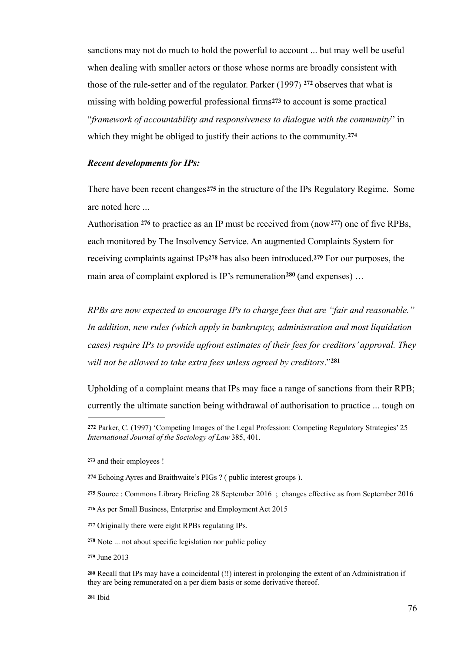sanctions may not do much to hold the powerful to account ... but may well be useful when dealing with smaller actors or those whose norms are broadly consistent with those of the rule-setter and of the regulator. Parker  $(1997)$  <sup>272</sup> observes that what is missing with holding powerful professional firms**273** to account is some practical "*framework of accountability and responsiveness to dialogue with the community*" in which they might be obliged to justify their actions to the community.**<sup>274</sup>**

## *Recent developments for IPs:*

There have been recent changes**275** in the structure of the IPs Regulatory Regime. Some are noted here ...

Authorisation  $276$  to practice as an IP must be received from (now  $277$ ) one of five RPBs, each monitored by The Insolvency Service. An augmented Complaints System for receiving complaints against IPs**<sup>278</sup>** has also been introduced.**<sup>279</sup>** For our purposes, the main area of complaint explored is IP's remuneration<sup>280</sup> (and expenses)  $\ldots$ 

*RPBs are now expected to encourage IPs to charge fees that are "fair and reasonable." In addition, new rules (which apply in bankruptcy, administration and most liquidation cases) require IPs to provide upfront estimates of their fees for creditors' approval. They will not be allowed to take extra fees unless agreed by creditors*."**<sup>281</sup>**

Upholding of a complaint means that IPs may face a range of sanctions from their RPB; currently the ultimate sanction being withdrawal of authorisation to practice ... tough on

Parker, C. (1997) 'Competing Images of the Legal Profession: Competing Regulatory Strategies' 25 **272** *International Journal of the Sociology of Law* 385, 401.

and their employees ! **<sup>273</sup>**

Echoing Ayres and Braithwaite's PIGs ? ( public interest groups ). **274**

**<sup>275</sup>** Source : Commons Library Briefing 28 September 2016 ; changes effective as from September 2016

**<sup>276</sup>** As per Small Business, Enterprise and Employment Act 2015

Originally there were eight RPBs regulating IPs. **<sup>277</sup>**

Note ... not about specific legislation nor public policy **<sup>278</sup>**

**<sup>279</sup>** June 2013

Recall that IPs may have a coincidental (!!) interest in prolonging the extent of an Administration if **<sup>280</sup>** they are being remunerated on a per diem basis or some derivative thereof.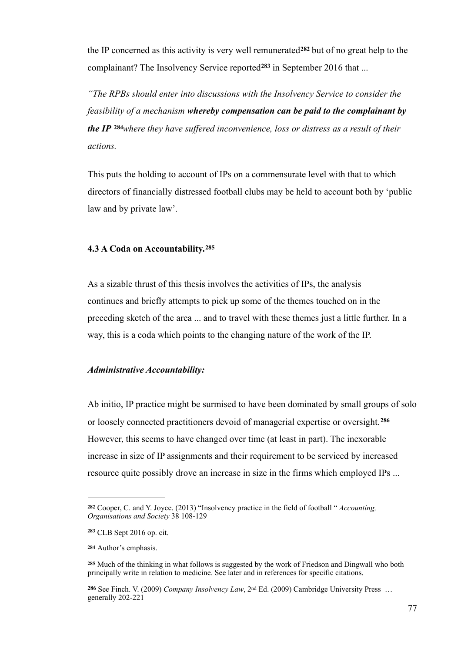the IP concerned as this activity is very well remunerated  $282$  but of no great help to the complainant? The Insolvency Service reported<sup>283</sup> in September 2016 that ...

*"The RPBs should enter into discussions with the Insolvency Service to consider the feasibility of a mechanism whereby compensation can be paid to the complainant by the IP* **<sup>284</sup>where they have suffered inconvenience, loss or distress as a result of their** *actions.* 

This puts the holding to account of IPs on a commensurate level with that to which directors of financially distressed football clubs may be held to account both by 'public law and by private law'.

#### **4.3 A Coda on Accountability.<sup>285</sup>**

As a sizable thrust of this thesis involves the activities of IPs, the analysis continues and briefly attempts to pick up some of the themes touched on in the preceding sketch of the area ... and to travel with these themes just a little further. In a way, this is a coda which points to the changing nature of the work of the IP.

#### *Administrative Accountability:*

Ab initio, IP practice might be surmised to have been dominated by small groups of solo or loosely connected practitioners devoid of managerial expertise or oversight.**<sup>286</sup>** However, this seems to have changed over time (at least in part). The inexorable increase in size of IP assignments and their requirement to be serviced by increased resource quite possibly drove an increase in size in the firms which employed IPs ...

See Finch. V. (2009) *Company Insolvency Law*, 2nd Ed. (2009) Cambridge University Press … **286** generally 202-221

Cooper, C. and Y. Joyce. (2013) "Insolvency practice in the field of football " *Accounting,* **<sup>282</sup>** *Organisations and Society* 38 108-129

CLB Sept 2016 op. cit. **<sup>283</sup>**

Author's emphasis. **<sup>284</sup>**

Much of the thinking in what follows is suggested by the work of Friedson and Dingwall who both **<sup>285</sup>** principally write in relation to medicine. See later and in references for specific citations.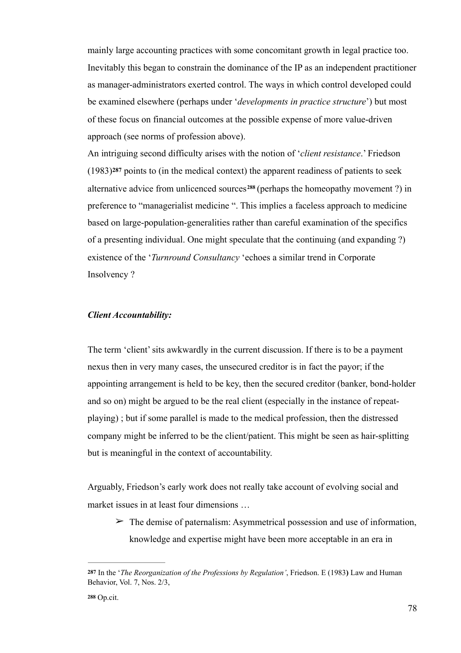mainly large accounting practices with some concomitant growth in legal practice too. Inevitably this began to constrain the dominance of the IP as an independent practitioner as manager-administrators exerted control. The ways in which control developed could be examined elsewhere (perhaps under '*developments in practice structure*') but most of these focus on financial outcomes at the possible expense of more value-driven approach (see norms of profession above).

An intriguing second difficulty arises with the notion of '*client resistance*.' Friedson (1983)**<sup>287</sup>** points to (in the medical context) the apparent readiness of patients to seek alternative advice from unlicenced sources<sup>288</sup> (perhaps the homeopathy movement ?) in preference to "managerialist medicine ". This implies a faceless approach to medicine based on large-population-generalities rather than careful examination of the specifics of a presenting individual. One might speculate that the continuing (and expanding ?) existence of the '*Turnround Consultancy* 'echoes a similar trend in Corporate Insolvency ?

### *Client Accountability:*

The term 'client' sits awkwardly in the current discussion. If there is to be a payment nexus then in very many cases, the unsecured creditor is in fact the payor; if the appointing arrangement is held to be key, then the secured creditor (banker, bond-holder and so on) might be argued to be the real client (especially in the instance of repeatplaying) ; but if some parallel is made to the medical profession, then the distressed company might be inferred to be the client/patient. This might be seen as hair-splitting but is meaningful in the context of accountability.

Arguably, Friedson's early work does not really take account of evolving social and market issues in at least four dimensions …

 $\geq$  The demise of paternalism: Asymmetrical possession and use of information, knowledge and expertise might have been more acceptable in an era in

In the '*The Reorganization of the Professions by Regulation'*, Friedson. E (1983**)** Law and Human **287** Behavior, Vol. 7, Nos. 2/3,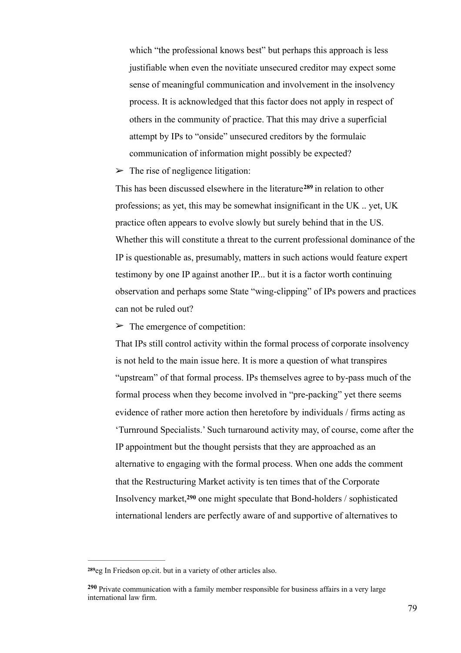which "the professional knows best" but perhaps this approach is less justifiable when even the novitiate unsecured creditor may expect some sense of meaningful communication and involvement in the insolvency process. It is acknowledged that this factor does not apply in respect of others in the community of practice. That this may drive a superficial attempt by IPs to "onside" unsecured creditors by the formulaic communication of information might possibly be expected?

 $\triangleright$  The rise of negligence litigation:

This has been discussed elsewhere in the literature<sup>289</sup> in relation to other professions; as yet, this may be somewhat insignificant in the UK .. yet, UK practice often appears to evolve slowly but surely behind that in the US. Whether this will constitute a threat to the current professional dominance of the IP is questionable as, presumably, matters in such actions would feature expert testimony by one IP against another IP... but it is a factor worth continuing observation and perhaps some State "wing-clipping" of IPs powers and practices can not be ruled out?

 $\triangleright$  The emergence of competition:

That IPs still control activity within the formal process of corporate insolvency is not held to the main issue here. It is more a question of what transpires "upstream" of that formal process. IPs themselves agree to by-pass much of the formal process when they become involved in "pre-packing" yet there seems evidence of rather more action then heretofore by individuals / firms acting as 'Turnround Specialists.' Such turnaround activity may, of course, come after the IP appointment but the thought persists that they are approached as an alternative to engaging with the formal process. When one adds the comment that the Restructuring Market activity is ten times that of the Corporate Insolvency market,<sup>290</sup> one might speculate that Bond-holders / sophisticated international lenders are perfectly aware of and supportive of alternatives to

<sup>289</sup>eg In Friedson op.cit. but in a variety of other articles also.

Private communication with a family member responsible for business affairs in a very large **<sup>290</sup>** international law firm.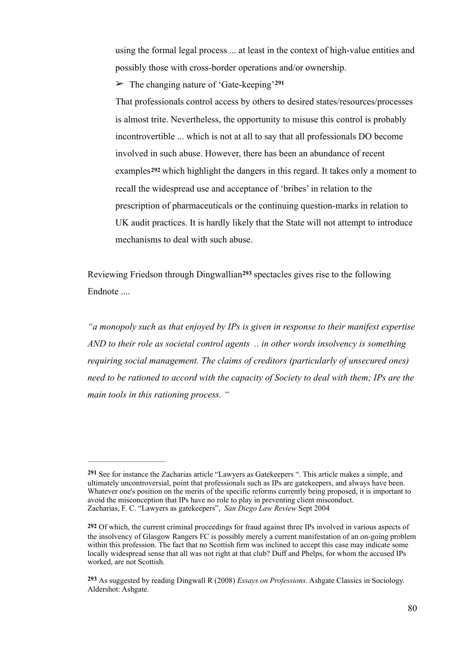using the formal legal process ... at least in the context of high-value entities and possibly those with cross-border operations and/or ownership.

➢ The changing nature of 'Gate-keeping'**<sup>291</sup>**

That professionals control access by others to desired states/resources/processes is almost trite. Nevertheless, the opportunity to misuse this control is probably incontrovertible ... which is not at all to say that all professionals DO become involved in such abuse. However, there has been an abundance of recent examples**292** which highlight the dangers in this regard. It takes only a moment to recall the widespread use and acceptance of 'bribes' in relation to the prescription of pharmaceuticals or the continuing question-marks in relation to UK audit practices. It is hardly likely that the State will not attempt to introduce mechanisms to deal with such abuse.

Reviewing Friedson through Dingwallian<sup>293</sup> spectacles gives rise to the following Endnote ....

*"a monopoly such as that enjoyed by IPs is given in response to their manifest expertise AND to their role as societal control agents .. in other words insolvency is something requiring social management. The claims of creditors (particularly of unsecured ones) need to be rationed to accord with the capacity of Society to deal with them; IPs are the main tools in this rationing process. "* 

See for instance the Zacharias article "Lawyers as Gatekeepers ". This article makes a simple, and **<sup>291</sup>** ultimately uncontroversial, point that professionals such as IPs are gatekeepers, and always have been. Whatever one's position on the merits of the specific reforms currently being proposed, it is important to avoid the misconception that IPs have no role to play in preventing client misconduct. Zacharias, F. C. "Lawyers as gatekeepers", *San Diego Law Review* Sept 2004

**<sup>292</sup>** Of which, the current criminal proceedings for fraud against three IPs involved in various aspects of the insolvency of Glasgow Rangers FC is possibly merely a current manifestation of an on-going problem within this profession. The fact that no Scottish firm was inclined to accept this case may indicate some locally widespread sense that all was not right at that club? Duff and Phelps, for whom the accused IPs worked, are not Scottish.

As suggested by reading Dingwall R (2008) *Essays on Professions*. Ashgate Classics in Sociology. **<sup>293</sup>** Aldershot: Ashgate.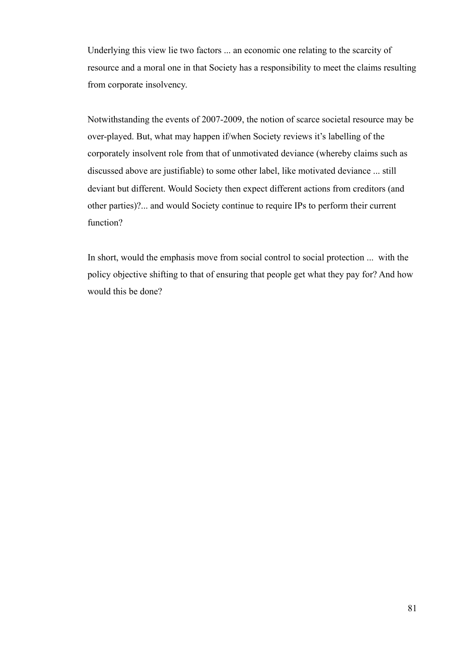Underlying this view lie two factors ... an economic one relating to the scarcity of resource and a moral one in that Society has a responsibility to meet the claims resulting from corporate insolvency.

Notwithstanding the events of 2007-2009, the notion of scarce societal resource may be over-played. But, what may happen if/when Society reviews it's labelling of the corporately insolvent role from that of unmotivated deviance (whereby claims such as discussed above are justifiable) to some other label, like motivated deviance ... still deviant but different. Would Society then expect different actions from creditors (and other parties)?... and would Society continue to require IPs to perform their current function?

In short, would the emphasis move from social control to social protection ... with the policy objective shifting to that of ensuring that people get what they pay for? And how would this be done?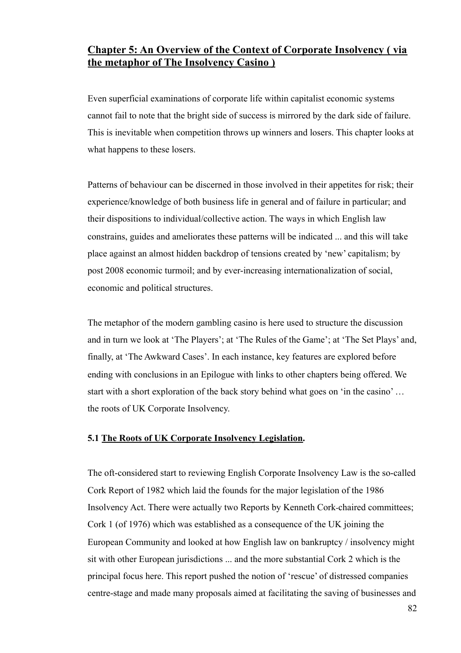# **Chapter 5: An Overview of the Context of Corporate Insolvency ( via the metaphor of The Insolvency Casino )**

Even superficial examinations of corporate life within capitalist economic systems cannot fail to note that the bright side of success is mirrored by the dark side of failure. This is inevitable when competition throws up winners and losers. This chapter looks at what happens to these losers.

Patterns of behaviour can be discerned in those involved in their appetites for risk; their experience/knowledge of both business life in general and of failure in particular; and their dispositions to individual/collective action. The ways in which English law constrains, guides and ameliorates these patterns will be indicated ... and this will take place against an almost hidden backdrop of tensions created by 'new' capitalism; by post 2008 economic turmoil; and by ever-increasing internationalization of social, economic and political structures.

The metaphor of the modern gambling casino is here used to structure the discussion and in turn we look at 'The Players'; at 'The Rules of the Game'; at 'The Set Plays' and, finally, at 'The Awkward Cases'. In each instance, key features are explored before ending with conclusions in an Epilogue with links to other chapters being offered. We start with a short exploration of the back story behind what goes on 'in the casino' … the roots of UK Corporate Insolvency.

# **5.1 The Roots of UK Corporate Insolvency Legislation.**

The oft-considered start to reviewing English Corporate Insolvency Law is the so-called Cork Report of 1982 which laid the founds for the major legislation of the 1986 Insolvency Act. There were actually two Reports by Kenneth Cork-chaired committees; Cork 1 (of 1976) which was established as a consequence of the UK joining the European Community and looked at how English law on bankruptcy / insolvency might sit with other European jurisdictions ... and the more substantial Cork 2 which is the principal focus here. This report pushed the notion of 'rescue' of distressed companies centre-stage and made many proposals aimed at facilitating the saving of businesses and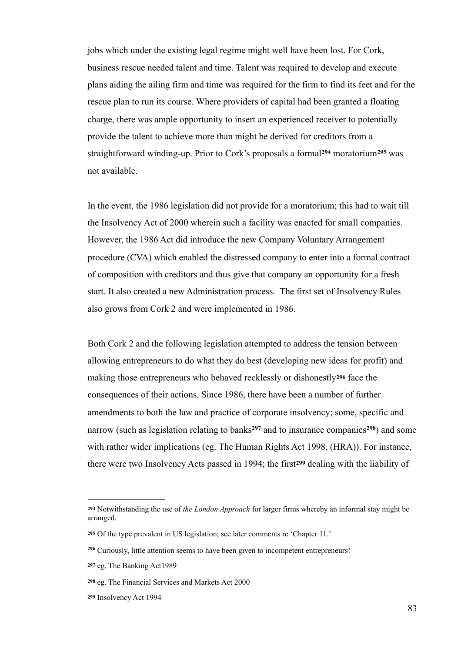jobs which under the existing legal regime might well have been lost. For Cork, business rescue needed talent and time. Talent was required to develop and execute plans aiding the ailing firm and time was required for the firm to find its feet and for the rescue plan to run its course. Where providers of capital had been granted a floating charge, there was ample opportunity to insert an experienced receiver to potentially provide the talent to achieve more than might be derived for creditors from a straightforward winding-up. Prior to Cork's proposals a formal<sup>294</sup> moratorium<sup>295</sup> was not available.

In the event, the 1986 legislation did not provide for a moratorium; this had to wait till the Insolvency Act of 2000 wherein such a facility was enacted for small companies. However, the 1986 Act did introduce the new Company Voluntary Arrangement procedure (CVA) which enabled the distressed company to enter into a formal contract of composition with creditors and thus give that company an opportunity for a fresh start. It also created a new Administration process. The first set of Insolvency Rules also grows from Cork 2 and were implemented in 1986.

Both Cork 2 and the following legislation attempted to address the tension between allowing entrepreneurs to do what they do best (developing new ideas for profit) and making those entrepreneurs who behaved recklessly or dishonestly**296** face the consequences of their actions. Since 1986, there have been a number of further amendments to both the law and practice of corporate insolvency; some, specific and narrow (such as legislation relating to banks<sup>297</sup> and to insurance companies<sup>298</sup>) and some with rather wider implications (eg. The Human Rights Act 1998, (HRA)). For instance, there were two Insolvency Acts passed in 1994; the first**<sup>299</sup>** dealing with the liability of

<sup>&</sup>lt;sup>294</sup> Notwithstanding the use of *the London Approach* for larger firms whereby an informal stay might be arranged.

Of the type prevalent in US legislation; see later comments re 'Chapter 11.' **<sup>295</sup>**

Curiously, little attention seems to have been given to incompetent entrepreneurs! **<sup>296</sup>**

**<sup>297</sup>** eg. The Banking Act1989

**<sup>298</sup>** eg. The Financial Services and Markets Act 2000

**<sup>299</sup>** Insolvency Act 1994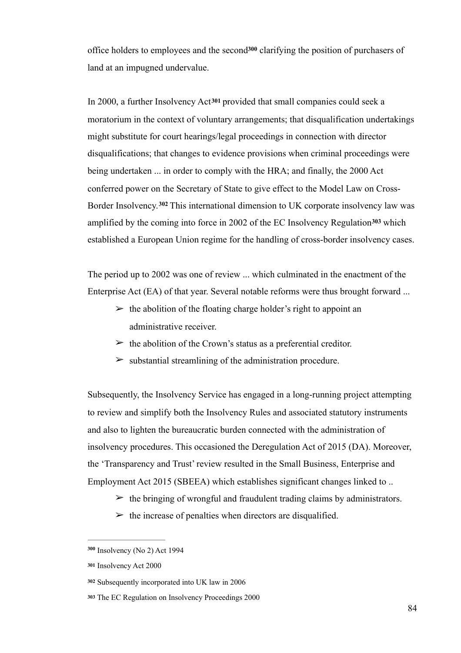office holders to employees and the second<sup>300</sup> clarifying the position of purchasers of land at an impugned undervalue.

In 2000, a further Insolvency Act**<sup>301</sup>** provided that small companies could seek a moratorium in the context of voluntary arrangements; that disqualification undertakings might substitute for court hearings/legal proceedings in connection with director disqualifications; that changes to evidence provisions when criminal proceedings were being undertaken ... in order to comply with the HRA; and finally, the 2000 Act conferred power on the Secretary of State to give effect to the Model Law on Cross-Border Insolvency.<sup>302</sup> This international dimension to UK corporate insolvency law was amplified by the coming into force in 2002 of the EC Insolvency Regulation<sup>303</sup> which established a European Union regime for the handling of cross-border insolvency cases.

The period up to 2002 was one of review ... which culminated in the enactment of the Enterprise Act (EA) of that year. Several notable reforms were thus brought forward ...

- $\geq$  the abolition of the floating charge holder's right to appoint an administrative receiver.
- $\triangleright$  the abolition of the Crown's status as a preferential creditor.
- $\triangleright$  substantial streamlining of the administration procedure.

Subsequently, the Insolvency Service has engaged in a long-running project attempting to review and simplify both the Insolvency Rules and associated statutory instruments and also to lighten the bureaucratic burden connected with the administration of insolvency procedures. This occasioned the Deregulation Act of 2015 (DA). Moreover, the 'Transparency and Trust' review resulted in the Small Business, Enterprise and Employment Act 2015 (SBEEA) which establishes significant changes linked to ..

- $\geq$  the bringing of wrongful and fraudulent trading claims by administrators.
- $\triangleright$  the increase of penalties when directors are disqualified.

Insolvency (No 2) Act 1994 **<sup>300</sup>**

**<sup>301</sup>** Insolvency Act 2000

**<sup>302</sup>** Subsequently incorporated into UK law in 2006

**<sup>303</sup>** The EC Regulation on Insolvency Proceedings 2000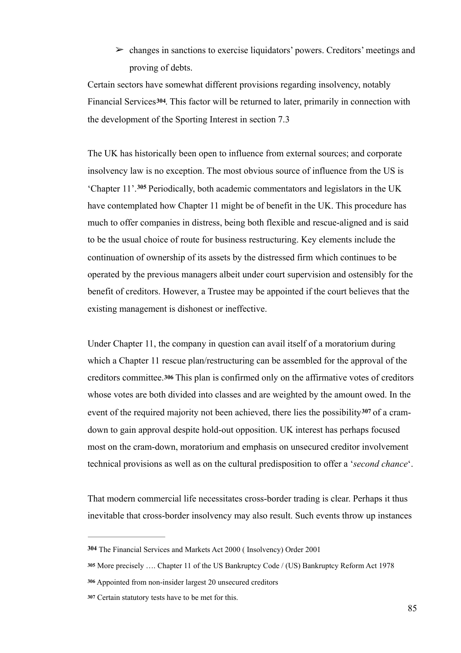$\geq$  changes in sanctions to exercise liquidators' powers. Creditors' meetings and proving of debts.

Certain sectors have somewhat different provisions regarding insolvency, notably Financial Services**304**. This factor will be returned to later, primarily in connection with the development of the Sporting Interest in section 7.3

The UK has historically been open to influence from external sources; and corporate insolvency law is no exception. The most obvious source of influence from the US is 'Chapter 11'.<sup>305</sup> Periodically, both academic commentators and legislators in the UK have contemplated how Chapter 11 might be of benefit in the UK. This procedure has much to offer companies in distress, being both flexible and rescue-aligned and is said to be the usual choice of route for business restructuring. Key elements include the continuation of ownership of its assets by the distressed firm which continues to be operated by the previous managers albeit under court supervision and ostensibly for the benefit of creditors. However, a Trustee may be appointed if the court believes that the existing management is dishonest or ineffective.

Under Chapter 11, the company in question can avail itself of a moratorium during which a Chapter 11 rescue plan/restructuring can be assembled for the approval of the creditors committee.**306** This plan is confirmed only on the affirmative votes of creditors whose votes are both divided into classes and are weighted by the amount owed. In the event of the required majority not been achieved, there lies the possibility <sup>307</sup> of a cramdown to gain approval despite hold-out opposition. UK interest has perhaps focused most on the cram-down, moratorium and emphasis on unsecured creditor involvement technical provisions as well as on the cultural predisposition to offer a '*second chance*'.

That modern commercial life necessitates cross-border trading is clear. Perhaps it thus inevitable that cross-border insolvency may also result. Such events throw up instances

**<sup>304</sup>** The Financial Services and Markets Act 2000 ( Insolvency) Order 2001

**<sup>305</sup>** More precisely …. Chapter 11 of the US Bankruptcy Code / (US) Bankruptcy Reform Act 1978

Appointed from non-insider largest 20 unsecured creditors **<sup>306</sup>**

Certain statutory tests have to be met for this. **<sup>307</sup>**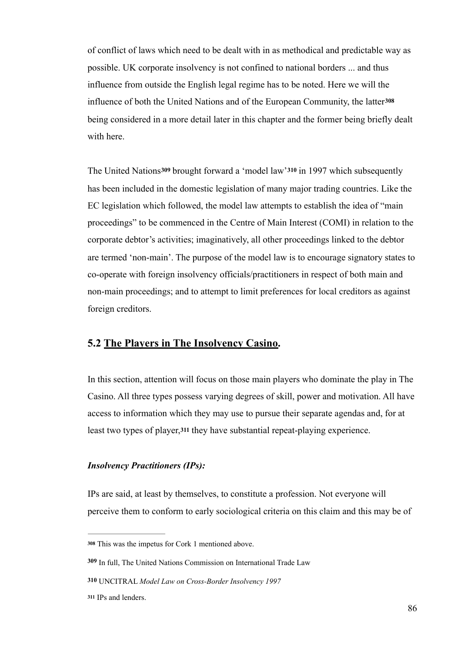of conflict of laws which need to be dealt with in as methodical and predictable way as possible. UK corporate insolvency is not confined to national borders ... and thus influence from outside the English legal regime has to be noted. Here we will the influence of both the United Nations and of the European Community, the latter**<sup>308</sup>** being considered in a more detail later in this chapter and the former being briefly dealt with here.

The United Nations**309** brought forward a 'model law'**310** in 1997 which subsequently has been included in the domestic legislation of many major trading countries. Like the EC legislation which followed, the model law attempts to establish the idea of "main proceedings" to be commenced in the Centre of Main Interest (COMI) in relation to the corporate debtor's activities; imaginatively, all other proceedings linked to the debtor are termed 'non-main'. The purpose of the model law is to encourage signatory states to co-operate with foreign insolvency officials/practitioners in respect of both main and non-main proceedings; and to attempt to limit preferences for local creditors as against foreign creditors.

# **5.2 The Players in The Insolvency Casino.**

In this section, attention will focus on those main players who dominate the play in The Casino. All three types possess varying degrees of skill, power and motivation. All have access to information which they may use to pursue their separate agendas and, for at least two types of player,**<sup>311</sup>** they have substantial repeat-playing experience.

### *Insolvency Practitioners (IPs):*

IPs are said, at least by themselves, to constitute a profession. Not everyone will perceive them to conform to early sociological criteria on this claim and this may be of

This was the impetus for Cork 1 mentioned above. **<sup>308</sup>**

**<sup>309</sup>** In full, The United Nations Commission on International Trade Law

**<sup>310</sup>** UNCITRAL *Model Law on Cross-Border Insolvency 1997*

<sup>311</sup> IPs and lenders.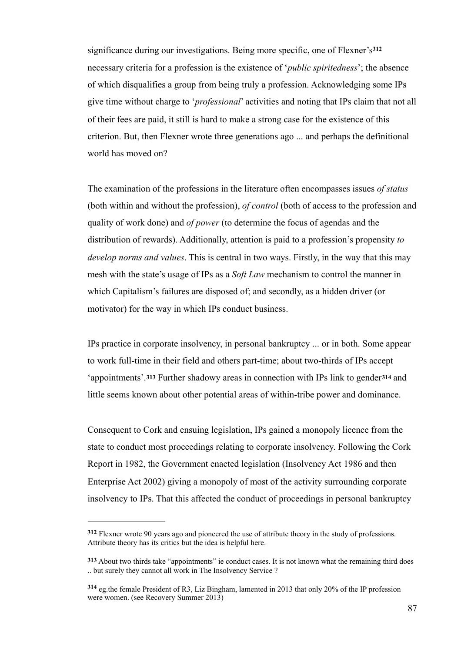significance during our investigations. Being more specific, one of Flexner's**<sup>312</sup>** necessary criteria for a profession is the existence of '*public spiritedness*'; the absence of which disqualifies a group from being truly a profession. Acknowledging some IPs give time without charge to '*professional*' activities and noting that IPs claim that not all of their fees are paid, it still is hard to make a strong case for the existence of this criterion. But, then Flexner wrote three generations ago ... and perhaps the definitional world has moved on?

The examination of the professions in the literature often encompasses issues *of status* (both within and without the profession), *of control* (both of access to the profession and quality of work done) and *of power* (to determine the focus of agendas and the distribution of rewards). Additionally, attention is paid to a profession's propensity *to develop norms and values*. This is central in two ways. Firstly, in the way that this may mesh with the state's usage of IPs as a *Soft Law* mechanism to control the manner in which Capitalism's failures are disposed of; and secondly, as a hidden driver (or motivator) for the way in which IPs conduct business.

IPs practice in corporate insolvency, in personal bankruptcy ... or in both. Some appear to work full-time in their field and others part-time; about two-thirds of IPs accept 'appointments'.**313** Further shadowy areas in connection with IPs link to gender**<sup>314</sup>** and little seems known about other potential areas of within-tribe power and dominance.

Consequent to Cork and ensuing legislation, IPs gained a monopoly licence from the state to conduct most proceedings relating to corporate insolvency. Following the Cork Report in 1982, the Government enacted legislation (Insolvency Act 1986 and then Enterprise Act 2002) giving a monopoly of most of the activity surrounding corporate insolvency to IPs. That this affected the conduct of proceedings in personal bankruptcy

Flexner wrote 90 years ago and pioneered the use of attribute theory in the study of professions. **<sup>312</sup>** Attribute theory has its critics but the idea is helpful here.

**<sup>313</sup>** About two thirds take "appointments" ie conduct cases. It is not known what the remaining third does .. but surely they cannot all work in The Insolvency Service ?

eg.the female President of R3, Liz Bingham, lamented in 2013 that only 20% of the IP profession **<sup>314</sup>** were women. (see Recovery Summer 2013)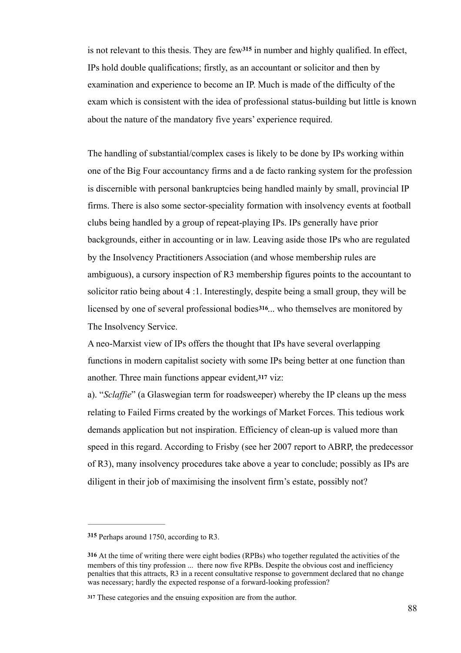is not relevant to this thesis. They are  $f{ew}^{315}$  in number and highly qualified. In effect, IPs hold double qualifications; firstly, as an accountant or solicitor and then by examination and experience to become an IP. Much is made of the difficulty of the exam which is consistent with the idea of professional status-building but little is known about the nature of the mandatory five years' experience required.

The handling of substantial/complex cases is likely to be done by IPs working within one of the Big Four accountancy firms and a de facto ranking system for the profession is discernible with personal bankruptcies being handled mainly by small, provincial IP firms. There is also some sector-speciality formation with insolvency events at football clubs being handled by a group of repeat-playing IPs. IPs generally have prior backgrounds, either in accounting or in law. Leaving aside those IPs who are regulated by the Insolvency Practitioners Association (and whose membership rules are ambiguous), a cursory inspection of R3 membership figures points to the accountant to solicitor ratio being about 4 :1. Interestingly, despite being a small group, they will be licensed by one of several professional bodies**316**... who themselves are monitored by The Insolvency Service.

A neo-Marxist view of IPs offers the thought that IPs have several overlapping functions in modern capitalist society with some IPs being better at one function than another. Three main functions appear evident,**317** viz:

a). "*Sclaffie*" (a Glaswegian term for roadsweeper) whereby the IP cleans up the mess relating to Failed Firms created by the workings of Market Forces. This tedious work demands application but not inspiration. Efficiency of clean-up is valued more than speed in this regard. According to Frisby (see her 2007 report to ABRP, the predecessor of R3), many insolvency procedures take above a year to conclude; possibly as IPs are diligent in their job of maximising the insolvent firm's estate, possibly not?

<sup>315</sup> Perhaps around 1750, according to R3.

**<sup>316</sup>** At the time of writing there were eight bodies (RPBs) who together regulated the activities of the members of this tiny profession ... there now five RPBs. Despite the obvious cost and inefficiency penalties that this attracts, R3 in a recent consultative response to government declared that no change was necessary; hardly the expected response of a forward-looking profession?

These categories and the ensuing exposition are from the author. **<sup>317</sup>**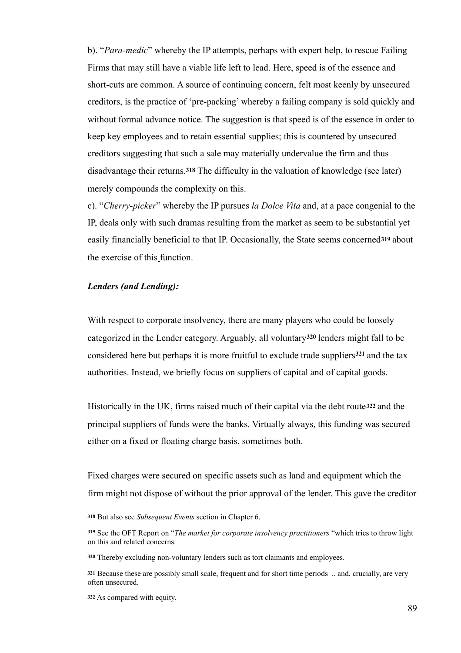b). "*Para-medic*" whereby the IP attempts, perhaps with expert help, to rescue Failing Firms that may still have a viable life left to lead. Here, speed is of the essence and short-cuts are common. A source of continuing concern, felt most keenly by unsecured creditors, is the practice of 'pre-packing' whereby a failing company is sold quickly and without formal advance notice. The suggestion is that speed is of the essence in order to keep key employees and to retain essential supplies; this is countered by unsecured creditors suggesting that such a sale may materially undervalue the firm and thus disadvantage their returns.**<sup>318</sup>** The difficulty in the valuation of knowledge (see later) merely compounds the complexity on this.

c). "*Cherry-picker*" whereby the IP pursues *la Dolce Vita* and, at a pace congenial to the IP, deals only with such dramas resulting from the market as seem to be substantial yet easily financially beneficial to that IP. Occasionally, the State seems concerned**319** about the exercise of this function.

### *Lenders (and Lending):*

With respect to corporate insolvency, there are many players who could be loosely categorized in the Lender category. Arguably, all voluntary<sup>320</sup> lenders might fall to be considered here but perhaps it is more fruitful to exclude trade suppliers $321$  and the tax authorities. Instead, we briefly focus on suppliers of capital and of capital goods.

Historically in the UK, firms raised much of their capital via the debt route**<sup>322</sup>** and the principal suppliers of funds were the banks. Virtually always, this funding was secured either on a fixed or floating charge basis, sometimes both.

Fixed charges were secured on specific assets such as land and equipment which the firm might not dispose of without the prior approval of the lender. This gave the creditor

But also see *Subsequent Events* section in Chapter 6. **<sup>318</sup>**

See the OFT Report on "*The market for corporate insolvency practitioners* "which tries to throw light **<sup>319</sup>** on this and related concerns.

Thereby excluding non-voluntary lenders such as tort claimants and employees. **<sup>320</sup>**

Because these are possibly small scale, frequent and for short time periods .. and, crucially, are very **<sup>321</sup>** often unsecured.

As compared with equity. **<sup>322</sup>**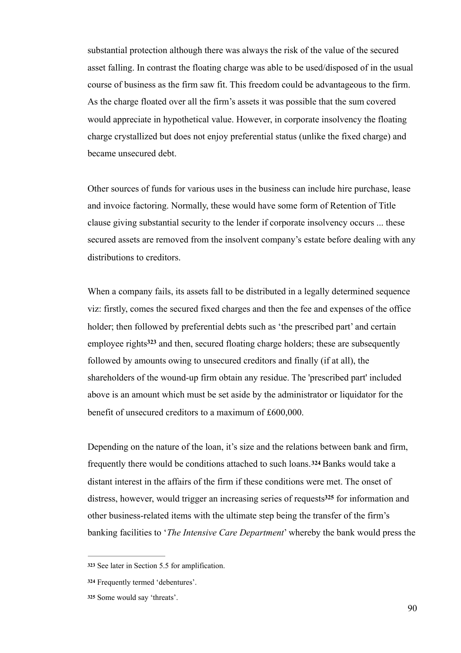substantial protection although there was always the risk of the value of the secured asset falling. In contrast the floating charge was able to be used/disposed of in the usual course of business as the firm saw fit. This freedom could be advantageous to the firm. As the charge floated over all the firm's assets it was possible that the sum covered would appreciate in hypothetical value. However, in corporate insolvency the floating charge crystallized but does not enjoy preferential status (unlike the fixed charge) and became unsecured debt.

Other sources of funds for various uses in the business can include hire purchase, lease and invoice factoring. Normally, these would have some form of Retention of Title clause giving substantial security to the lender if corporate insolvency occurs ... these secured assets are removed from the insolvent company's estate before dealing with any distributions to creditors.

When a company fails, its assets fall to be distributed in a legally determined sequence viz: firstly, comes the secured fixed charges and then the fee and expenses of the office holder; then followed by preferential debts such as 'the prescribed part' and certain employee rights<sup>323</sup> and then, secured floating charge holders; these are subsequently followed by amounts owing to unsecured creditors and finally (if at all), the shareholders of the wound-up firm obtain any residue. The 'prescribed part' included above is an amount which must be set aside by the administrator or liquidator for the benefit of unsecured creditors to a maximum of £600,000.

Depending on the nature of the loan, it's size and the relations between bank and firm, frequently there would be conditions attached to such loans.**324** Banks would take a distant interest in the affairs of the firm if these conditions were met. The onset of distress, however, would trigger an increasing series of requests<sup>325</sup> for information and other business-related items with the ultimate step being the transfer of the firm's banking facilities to '*The Intensive Care Department*' whereby the bank would press the

See later in Section 5.5 for amplification. **<sup>323</sup>**

Frequently termed 'debentures'. **<sup>324</sup>**

<sup>325</sup> Some would say 'threats'.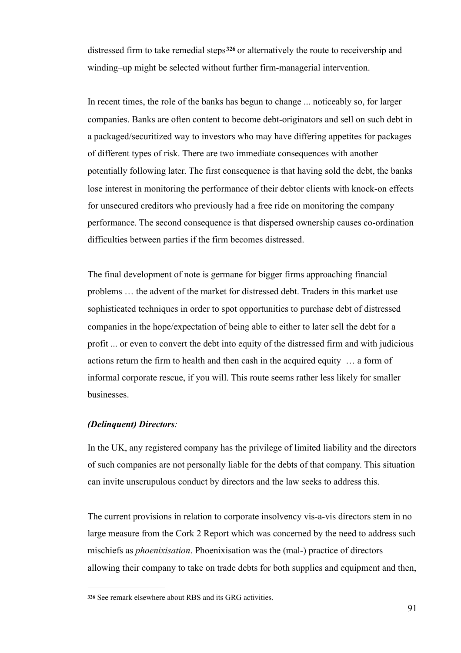distressed firm to take remedial steps<sup>326</sup> or alternatively the route to receivership and winding–up might be selected without further firm-managerial intervention.

In recent times, the role of the banks has begun to change ... noticeably so, for larger companies. Banks are often content to become debt-originators and sell on such debt in a packaged/securitized way to investors who may have differing appetites for packages of different types of risk. There are two immediate consequences with another potentially following later. The first consequence is that having sold the debt, the banks lose interest in monitoring the performance of their debtor clients with knock-on effects for unsecured creditors who previously had a free ride on monitoring the company performance. The second consequence is that dispersed ownership causes co-ordination difficulties between parties if the firm becomes distressed.

The final development of note is germane for bigger firms approaching financial problems … the advent of the market for distressed debt. Traders in this market use sophisticated techniques in order to spot opportunities to purchase debt of distressed companies in the hope/expectation of being able to either to later sell the debt for a profit ... or even to convert the debt into equity of the distressed firm and with judicious actions return the firm to health and then cash in the acquired equity … a form of informal corporate rescue, if you will. This route seems rather less likely for smaller businesses.

## *(Delinquent) Directors:*

In the UK, any registered company has the privilege of limited liability and the directors of such companies are not personally liable for the debts of that company. This situation can invite unscrupulous conduct by directors and the law seeks to address this.

The current provisions in relation to corporate insolvency vis-a-vis directors stem in no large measure from the Cork 2 Report which was concerned by the need to address such mischiefs as *phoenixisation*. Phoenixisation was the (mal-) practice of directors allowing their company to take on trade debts for both supplies and equipment and then,

See remark elsewhere about RBS and its GRG activities. **<sup>326</sup>**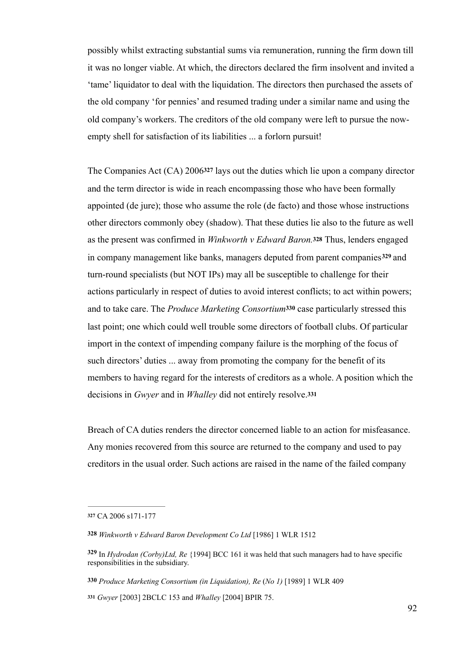possibly whilst extracting substantial sums via remuneration, running the firm down till it was no longer viable. At which, the directors declared the firm insolvent and invited a 'tame' liquidator to deal with the liquidation. The directors then purchased the assets of the old company 'for pennies' and resumed trading under a similar name and using the old company's workers. The creditors of the old company were left to pursue the nowempty shell for satisfaction of its liabilities ... a forlorn pursuit!

The Companies Act (CA) 2006**327** lays out the duties which lie upon a company director and the term director is wide in reach encompassing those who have been formally appointed (de jure); those who assume the role (de facto) and those whose instructions other directors commonly obey (shadow). That these duties lie also to the future as well as the present was confirmed in *Winkworth v Edward Baron.***<sup>328</sup>** Thus, lenders engaged in company management like banks, managers deputed from parent companies<sup>329</sup> and turn-round specialists (but NOT IPs) may all be susceptible to challenge for their actions particularly in respect of duties to avoid interest conflicts; to act within powers; and to take care. The *Produce Marketing Consortium***<sup>330</sup>** case particularly stressed this last point; one which could well trouble some directors of football clubs. Of particular import in the context of impending company failure is the morphing of the focus of such directors' duties ... away from promoting the company for the benefit of its members to having regard for the interests of creditors as a whole. A position which the decisions in *Gwyer* and in *Whalley* did not entirely resolve.**<sup>331</sup>**

Breach of CA duties renders the director concerned liable to an action for misfeasance. Any monies recovered from this source are returned to the company and used to pay creditors in the usual order. Such actions are raised in the name of the failed company

**<sup>327</sup>** CA 2006 s171-177

**<sup>328</sup>** *Winkworth v Edward Baron Development Co Ltd* [1986] 1 WLR 1512

In *Hydrodan (Corby)Ltd, Re* {1994] BCC 161 it was held that such managers had to have specific **<sup>329</sup>** responsibilities in the subsidiary.

**<sup>330</sup>** *Produce Marketing Consortium (in Liquidation), Re* (*No 1)* [1989] 1 WLR 409

*Gwyer* [2003] 2BCLC 153 and *Whalley* [2004] BPIR 75. **<sup>331</sup>**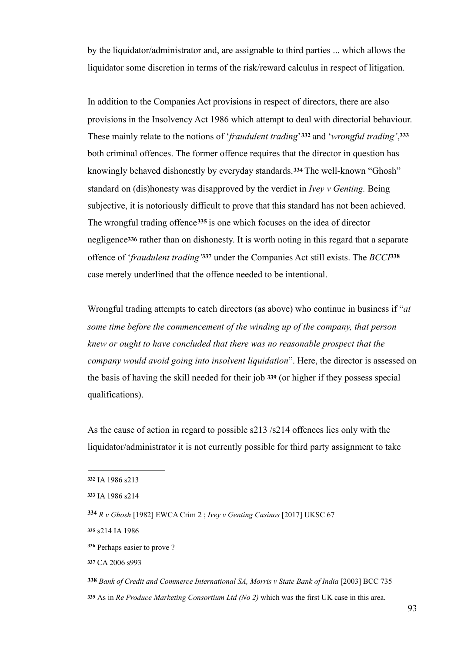by the liquidator/administrator and, are assignable to third parties ... which allows the liquidator some discretion in terms of the risk/reward calculus in respect of litigation.

In addition to the Companies Act provisions in respect of directors, there are also provisions in the Insolvency Act 1986 which attempt to deal with directorial behaviour. These mainly relate to the notions of '*fraudulent trading*' 332 and '*wrongful trading*', 333 both criminal offences. The former offence requires that the director in question has knowingly behaved dishonestly by everyday standards.**334** The well-known "Ghosh" standard on (dis)honesty was disapproved by the verdict in *Ivey v Genting.* Being subjective, it is notoriously difficult to prove that this standard has not been achieved. The wrongful trading offence<sup>335</sup> is one which focuses on the idea of director negligence**<sup>336</sup>** rather than on dishonesty. It is worth noting in this regard that a separate offence of '*fraudulent trading* '337 under the Companies Act still exists. The *BCCI*<sup>338</sup> case merely underlined that the offence needed to be intentional.

Wrongful trading attempts to catch directors (as above) who continue in business if "*at some time before the commencement of the winding up of the company, that person knew or ought to have concluded that there was no reasonable prospect that the company would avoid going into insolvent liquidation*". Here, the director is assessed on the basis of having the skill needed for their job **<sup>339</sup>** (or higher if they possess special qualifications).

As the cause of action in regard to possible s213 /s214 offences lies only with the liquidator/administrator it is not currently possible for third party assignment to take

**<sup>337</sup>** CA 2006 s993

**<sup>332</sup>** IA 1986 s213

**<sup>333</sup>** IA 1986 s214

*R v Ghosh* [1982] EWCA Crim 2 ; *Ivey v Genting Casinos* [2017] UKSC 67 **<sup>334</sup>**

**<sup>335</sup>** s214 IA 1986

Perhaps easier to prove ? **<sup>336</sup>**

**<sup>338</sup>** *Bank of Credit and Commerce International SA, Morris v State Bank of India* [2003] BCC 735

As in *Re Produce Marketing Consortium Ltd (No 2)* which was the first UK case in this area. **<sup>339</sup>**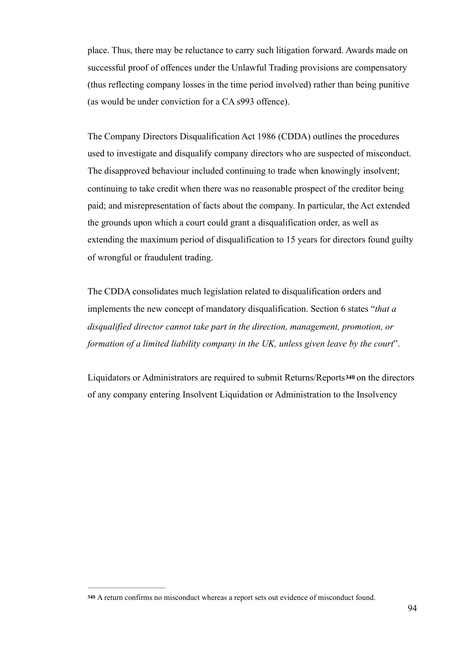place. Thus, there may be reluctance to carry such litigation forward. Awards made on successful proof of offences under the Unlawful Trading provisions are compensatory (thus reflecting company losses in the time period involved) rather than being punitive (as would be under conviction for a CA s993 offence).

The Company Directors Disqualification Act 1986 (CDDA) outlines the procedures used to investigate and disqualify company directors who are suspected of misconduct. The disapproved behaviour included continuing to trade when knowingly insolvent; continuing to take credit when there was no reasonable prospect of the creditor being paid; and misrepresentation of facts about the company. In particular, the Act extended the grounds upon which a court could grant a disqualification order, as well as extending the maximum period of disqualification to 15 years for directors found guilty of wrongful or fraudulent trading.

The CDDA consolidates much legislation related to disqualification orders and implements the new concept of mandatory disqualification. Section 6 states "*that a disqualified director cannot take part in the direction, management, promotion, or formation of a limited liability company in the UK, unless given leave by the court*".

Liquidators or Administrators are required to submit Returns/Reports**<sup>340</sup>** on the directors of any company entering Insolvent Liquidation or Administration to the Insolvency

A return confirms no misconduct whereas a report sets out evidence of misconduct found. **<sup>340</sup>**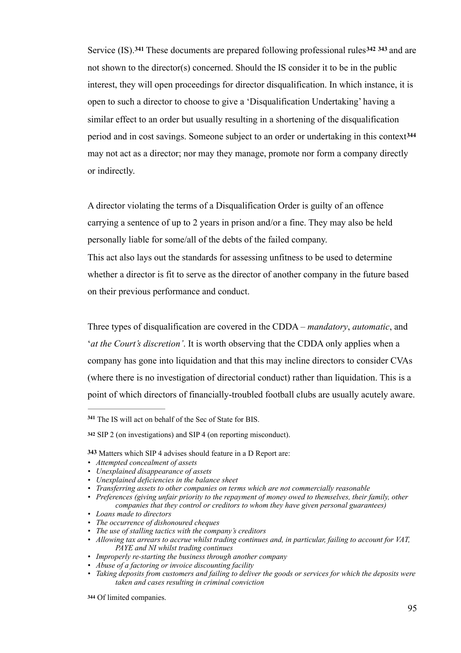Service (IS).<sup>341</sup> These documents are prepared following professional rules<sup>342</sup> <sup>343</sup> and are not shown to the director(s) concerned. Should the IS consider it to be in the public interest, they will open proceedings for director disqualification. In which instance, it is open to such a director to choose to give a 'Disqualification Undertaking' having a similar effect to an order but usually resulting in a shortening of the disqualification period and in cost savings. Someone subject to an order or undertaking in this context**<sup>344</sup>** may not act as a director; nor may they manage, promote nor form a company directly or indirectly.

A director violating the terms of a Disqualification Order is guilty of an offence carrying a sentence of up to 2 years in prison and/or a fine. They may also be held personally liable for some/all of the debts of the failed company.

This act also lays out the standards for assessing unfitness to be used to determine whether a director is fit to serve as the director of another company in the future based on their previous performance and conduct.

Three types of disqualification are covered in the CDDA – *mandatory*, *automatic*, and '*at the Court's discretion'*. It is worth observing that the CDDA only applies when a company has gone into liquidation and that this may incline directors to consider CVAs (where there is no investigation of directorial conduct) rather than liquidation. This is a point of which directors of financially-troubled football clubs are usually acutely aware.

- *• Unexplained disappearance of assets*
- *• Unexplained deficiencies in the balance sheet*
- *• Transferring assets to other companies on terms which are not commercially reasonable*
- *• Preferences (giving unfair priority to the repayment of money owed to themselves, their family, other companies that they control or creditors to whom they have given personal guarantees)*
- *• Loans made to directors*
- *• The occurrence of dishonoured cheques*
- *• The use of stalling tactics with the company's creditors*
- *• Allowing tax arrears to accrue whilst trading continues and, in particular, failing to account for VAT, PAYE and NI whilst trading continues*
- *• Improperly re-starting the business through another company*
- *• Abuse of a factoring or invoice discounting facility*
- *• Taking deposits from customers and failing to deliver the goods or services for which the deposits were taken and cases resulting in criminal conviction*

Of limited companies. **<sup>344</sup>**

The IS will act on behalf of the Sec of State for BIS. **<sup>341</sup>**

SIP 2 (on investigations) and SIP 4 (on reporting misconduct). **<sup>342</sup>**

**<sup>343</sup>** Matters which SIP 4 advises should feature in a D Report are:

*<sup>•</sup> Attempted concealment of assets*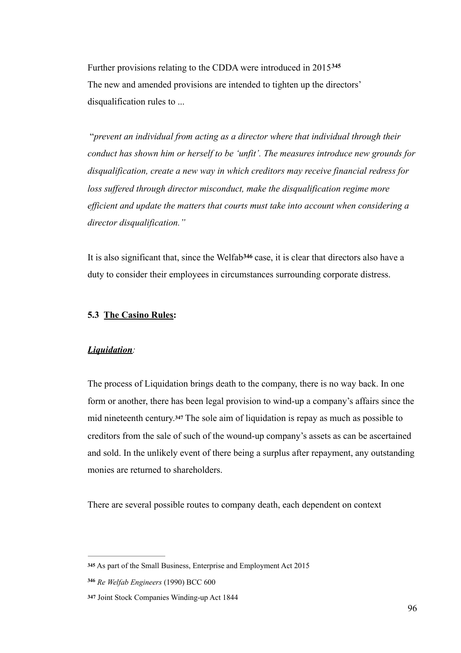Further provisions relating to the CDDA were introduced in 2015**<sup>345</sup>** The new and amended provisions are intended to tighten up the directors' disqualification rules to ...

 "*prevent an individual from acting as a director where that individual through their conduct has shown him or herself to be 'unfit'. The measures introduce new grounds for disqualification, create a new way in which creditors may receive financial redress for loss suffered through director misconduct, make the disqualification regime more efficient and update the matters that courts must take into account when considering a director disqualification."*

It is also significant that, since the Welfab<sup>346</sup> case, it is clear that directors also have a duty to consider their employees in circumstances surrounding corporate distress.

## **5.3 The Casino Rules:**

#### *Liquidation:*

The process of Liquidation brings death to the company, there is no way back. In one form or another, there has been legal provision to wind-up a company's affairs since the mid nineteenth century.<sup>347</sup> The sole aim of liquidation is repay as much as possible to creditors from the sale of such of the wound-up company's assets as can be ascertained and sold. In the unlikely event of there being a surplus after repayment, any outstanding monies are returned to shareholders.

There are several possible routes to company death, each dependent on context

**<sup>345</sup>** As part of the Small Business, Enterprise and Employment Act 2015

*Re Welfab Engineers* (1990) BCC 600 **<sup>346</sup>**

**<sup>347</sup>** Joint Stock Companies Winding-up Act 1844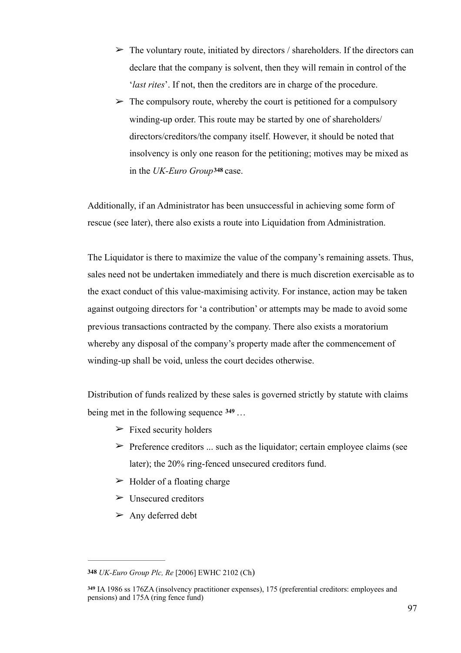- $\triangleright$  The voluntary route, initiated by directors / shareholders. If the directors can declare that the company is solvent, then they will remain in control of the '*last rites*'. If not, then the creditors are in charge of the procedure.
- $\triangleright$  The compulsory route, whereby the court is petitioned for a compulsory winding-up order. This route may be started by one of shareholders/ directors/creditors/the company itself. However, it should be noted that insolvency is only one reason for the petitioning; motives may be mixed as in the *UK-Euro Group***<sup>348</sup>** case.

Additionally, if an Administrator has been unsuccessful in achieving some form of rescue (see later), there also exists a route into Liquidation from Administration.

The Liquidator is there to maximize the value of the company's remaining assets. Thus, sales need not be undertaken immediately and there is much discretion exercisable as to the exact conduct of this value-maximising activity. For instance, action may be taken against outgoing directors for 'a contribution' or attempts may be made to avoid some previous transactions contracted by the company. There also exists a moratorium whereby any disposal of the company's property made after the commencement of winding-up shall be void, unless the court decides otherwise.

Distribution of funds realized by these sales is governed strictly by statute with claims being met in the following sequence … **349**

- $\triangleright$  Fixed security holders
- $\triangleright$  Preference creditors ... such as the liquidator; certain employee claims (see later); the 20% ring-fenced unsecured creditors fund.
- $\triangleright$  Holder of a floating charge
- $\triangleright$  Unsecured creditors
- $\triangleright$  Any deferred debt

**<sup>348</sup>** *UK-Euro Group Plc, Re* [2006] EWHC 2102 (Ch)

IA 1986 ss 176ZA (insolvency practitioner expenses), 175 (preferential creditors: employees and **<sup>349</sup>** pensions) and 175A (ring fence fund)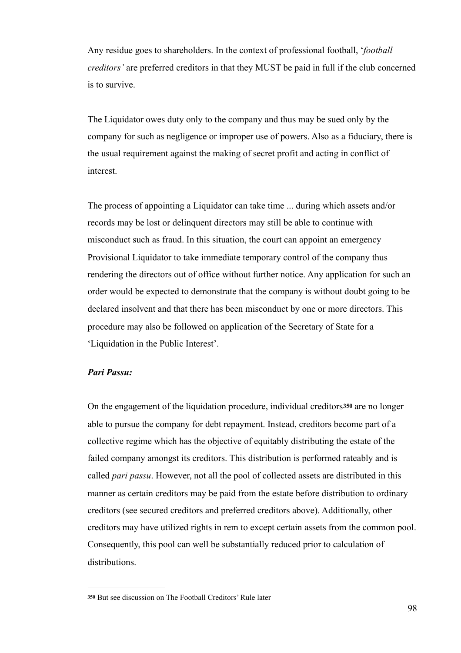Any residue goes to shareholders. In the context of professional football, '*football creditors'* are preferred creditors in that they MUST be paid in full if the club concerned is to survive.

The Liquidator owes duty only to the company and thus may be sued only by the company for such as negligence or improper use of powers. Also as a fiduciary, there is the usual requirement against the making of secret profit and acting in conflict of interest.

The process of appointing a Liquidator can take time ... during which assets and/or records may be lost or delinquent directors may still be able to continue with misconduct such as fraud. In this situation, the court can appoint an emergency Provisional Liquidator to take immediate temporary control of the company thus rendering the directors out of office without further notice. Any application for such an order would be expected to demonstrate that the company is without doubt going to be declared insolvent and that there has been misconduct by one or more directors. This procedure may also be followed on application of the Secretary of State for a 'Liquidation in the Public Interest'.

# *Pari Passu:*

On the engagement of the liquidation procedure, individual creditors**350** are no longer able to pursue the company for debt repayment. Instead, creditors become part of a collective regime which has the objective of equitably distributing the estate of the failed company amongst its creditors. This distribution is performed rateably and is called *pari passu*. However, not all the pool of collected assets are distributed in this manner as certain creditors may be paid from the estate before distribution to ordinary creditors (see secured creditors and preferred creditors above). Additionally, other creditors may have utilized rights in rem to except certain assets from the common pool. Consequently, this pool can well be substantially reduced prior to calculation of distributions.

But see discussion on The Football Creditors' Rule later **<sup>350</sup>**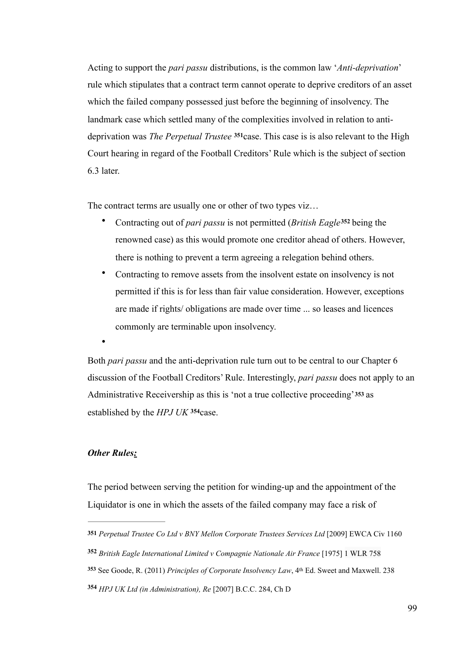Acting to support the *pari passu* distributions, is the common law '*Anti-deprivation*' rule which stipulates that a contract term cannot operate to deprive creditors of an asset which the failed company possessed just before the beginning of insolvency. The landmark case which settled many of the complexities involved in relation to antideprivation was *The Perpetual Trustee*<sup>351</sup>case. This case is is also relevant to the High Court hearing in regard of the Football Creditors' Rule which is the subject of section 6.3 later.

The contract terms are usually one or other of two types viz...

- Contracting out of *pari passu* is not permitted (*British Eagle*<sup>352</sup> being the renowned case) as this would promote one creditor ahead of others. However, there is nothing to prevent a term agreeing a relegation behind others.
- Contracting to remove assets from the insolvent estate on insolvency is not permitted if this is for less than fair value consideration. However, exceptions are made if rights/ obligations are made over time ... so leases and licences commonly are terminable upon insolvency.

Both *pari passu* and the anti-deprivation rule turn out to be central to our Chapter 6 discussion of the Football Creditors' Rule. Interestingly, *pari passu* does not apply to an Administrative Receivership as this is 'not a true collective proceeding'**353** as established by the *HPJ UK* <sup>354</sup> case.

# *Other Rules:*

 $\bullet$ 

The period between serving the petition for winding-up and the appointment of the Liquidator is one in which the assets of the failed company may face a risk of

**<sup>351</sup>** *Perpetual Trustee Co Ltd v BNY Mellon Corporate Trustees Services Ltd* [2009] EWCA Civ 1160

*British Eagle International Limited v Compagnie Nationale Air France* [1975] 1 WLR 758 **<sup>352</sup>**

<sup>353</sup> See Goode, R. (2011) *Principles of Corporate Insolvency Law*, 4<sup>th</sup> Ed. Sweet and Maxwell. 238

*HPJ UK Ltd (in Administration), Re* [2007] B.C.C. 284, Ch D **<sup>354</sup>**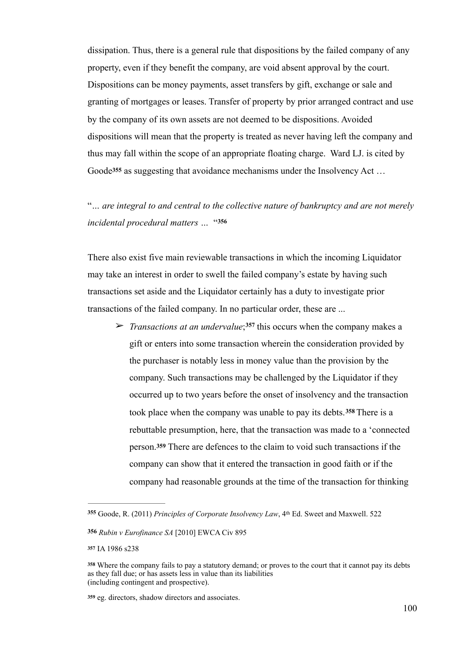dissipation. Thus, there is a general rule that dispositions by the failed company of any property, even if they benefit the company, are void absent approval by the court. Dispositions can be money payments, asset transfers by gift, exchange or sale and granting of mortgages or leases. Transfer of property by prior arranged contract and use by the company of its own assets are not deemed to be dispositions. Avoided dispositions will mean that the property is treated as never having left the company and thus may fall within the scope of an appropriate floating charge. Ward LJ. is cited by Goode**355** as suggesting that avoidance mechanisms under the Insolvency Act …

"*… are integral to and central to the collective nature of bankruptcy and are not merely incidental procedural matters …* "**<sup>356</sup>**

There also exist five main reviewable transactions in which the incoming Liquidator may take an interest in order to swell the failed company's estate by having such transactions set aside and the Liquidator certainly has a duty to investigate prior transactions of the failed company. In no particular order, these are ...

 $\triangleright$  *Transactions at an undervalue*;<sup>357</sup> this occurs when the company makes a gift or enters into some transaction wherein the consideration provided by the purchaser is notably less in money value than the provision by the company. Such transactions may be challenged by the Liquidator if they occurred up to two years before the onset of insolvency and the transaction took place when the company was unable to pay its debts.<sup>358</sup> There is a rebuttable presumption, here, that the transaction was made to a 'connected person.**359** There are defences to the claim to void such transactions if the company can show that it entered the transaction in good faith or if the company had reasonable grounds at the time of the transaction for thinking

Goode, R. (2011) *Principles of Corporate Insolvency Law*, 4th Ed. Sweet and Maxwell. 522 **<sup>355</sup>**

**<sup>356</sup>** *Rubin v Eurofinance SA* [2010] EWCA Civ 895

**<sup>357</sup>** IA 1986 s238

Where the company fails to pay a statutory demand; or proves to the court that it cannot pay its debts **<sup>358</sup>** as they fall due; or has assets less in value than its liabilities (including contingent and prospective).

eg. directors, shadow directors and associates. **<sup>359</sup>**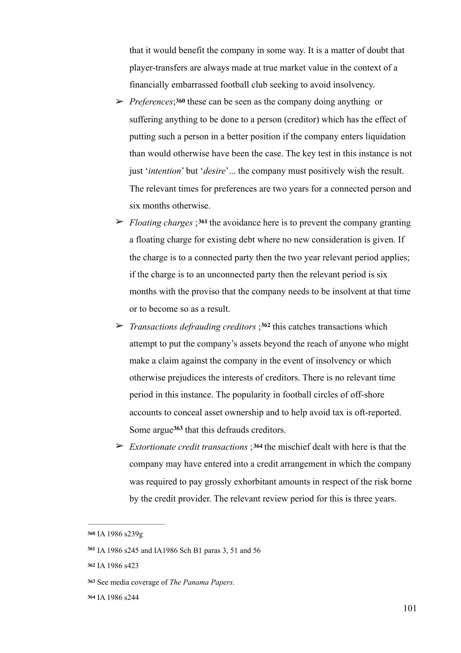that it would benefit the company in some way. It is a matter of doubt that player-transfers are always made at true market value in the context of a financially embarrassed football club seeking to avoid insolvency.

- ➢ *Preferences*;**360** these can be seen as the company doing anything or suffering anything to be done to a person (creditor) which has the effect of putting such a person in a better position if the company enters liquidation than would otherwise have been the case. The key test in this instance is not just '*intention*' but '*desire*'... the company must positively wish the result. The relevant times for preferences are two years for a connected person and six months otherwise.
- $\triangleright$  *Floating charges* ;<sup>361</sup> the avoidance here is to prevent the company granting a floating charge for existing debt where no new consideration is given. If the charge is to a connected party then the two year relevant period applies; if the charge is to an unconnected party then the relevant period is six months with the proviso that the company needs to be insolvent at that time or to become so as a result.
- ➢ *Transactions defrauding creditors* ; this catches transactions which **<sup>362</sup>** attempt to put the company's assets beyond the reach of anyone who might make a claim against the company in the event of insolvency or which otherwise prejudices the interests of creditors. There is no relevant time period in this instance. The popularity in football circles of off-shore accounts to conceal asset ownership and to help avoid tax is oft-reported. Some argue<sup>363</sup> that this defrauds creditors.
- ➢ *Extortionate credit transactions* ;**<sup>364</sup>** the mischief dealt with here is that the company may have entered into a credit arrangement in which the company was required to pay grossly exhorbitant amounts in respect of the risk borne by the credit provider. The relevant review period for this is three years.

**<sup>360</sup>** IA 1986 s239g

IA 1986 s245 and IA1986 Sch B1 paras 3, 51 and 56 **<sup>361</sup>**

**<sup>362</sup>** IA 1986 s423

See media coverage of *The Panama Papers*. **363**

**<sup>364</sup>** IA 1986 s244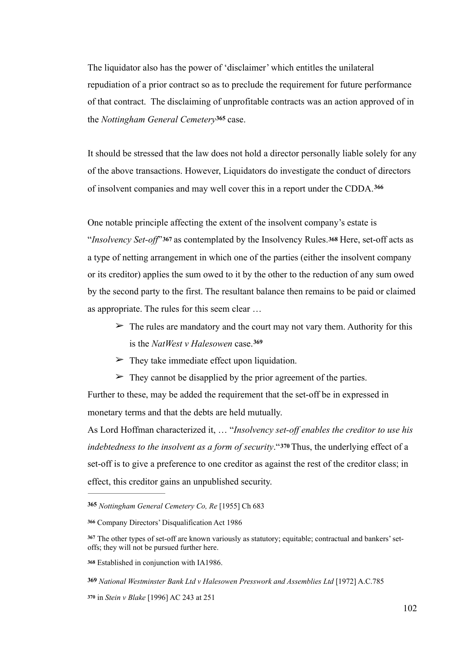The liquidator also has the power of 'disclaimer' which entitles the unilateral repudiation of a prior contract so as to preclude the requirement for future performance of that contract. The disclaiming of unprofitable contracts was an action approved of in the *Nottingham General Cemetery*<sup>365</sup> case.

It should be stressed that the law does not hold a director personally liable solely for any of the above transactions. However, Liquidators do investigate the conduct of directors of insolvent companies and may well cover this in a report under the CDDA.**<sup>366</sup>**

One notable principle affecting the extent of the insolvent company's estate is "*Insolvency Set-off*"**367** as contemplated by the Insolvency Rules.**<sup>368</sup>** Here, set-off acts as a type of netting arrangement in which one of the parties (either the insolvent company or its creditor) applies the sum owed to it by the other to the reduction of any sum owed by the second party to the first. The resultant balance then remains to be paid or claimed as appropriate. The rules for this seem clear …

- $\geq$  The rules are mandatory and the court may not vary them. Authority for this is the *NatWest v Halesowen* case.**<sup>369</sup>**
- $\triangleright$  They take immediate effect upon liquidation.
- $\geq$  They cannot be disapplied by the prior agreement of the parties.

Further to these, may be added the requirement that the set-off be in expressed in monetary terms and that the debts are held mutually.

As Lord Hoffman characterized it, … "*Insolvency set-off enables the creditor to use his indebtedness to the insolvent as a form of security*."**<sup>370</sup>** Thus, the underlying effect of a set-off is to give a preference to one creditor as against the rest of the creditor class; in effect, this creditor gains an unpublished security.

*Nottingham General Cemetery Co, Re* [1955] Ch 683 **<sup>365</sup>**

**<sup>366</sup>** Company Directors' Disqualification Act 1986

<sup>&</sup>lt;sup>367</sup> The other types of set-off are known variously as statutory; equitable; contractual and bankers' setoffs; they will not be pursued further here.

Established in conjunction with IA1986. **<sup>368</sup>**

**<sup>369</sup>** *National Westminster Bank Ltd v Halesowen Presswork and Assemblies Ltd* [1972] A.C.785

**<sup>370</sup>** in *Stein v Blake* [1996] AC 243 at 251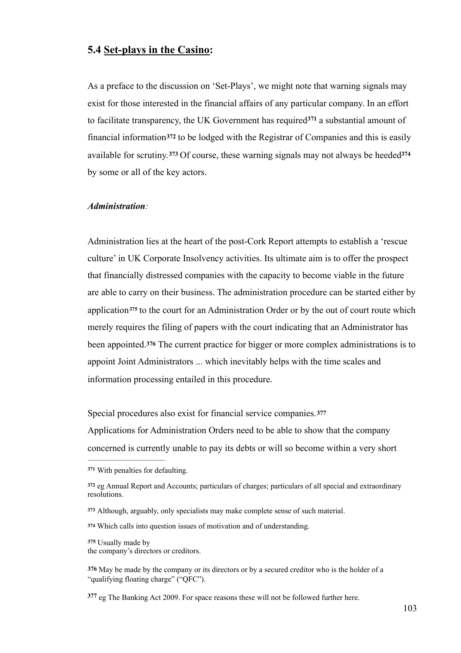# **5.4 Set-plays in the Casino:**

As a preface to the discussion on 'Set-Plays', we might note that warning signals may exist for those interested in the financial affairs of any particular company. In an effort to facilitate transparency, the UK Government has required  $371$  a substantial amount of financial information**372** to be lodged with the Registrar of Companies and this is easily available for scrutiny.**373** Of course, these warning signals may not always be heeded**<sup>374</sup>** by some or all of the key actors.

#### *Administration:*

Administration lies at the heart of the post-Cork Report attempts to establish a 'rescue culture' in UK Corporate Insolvency activities. Its ultimate aim is to offer the prospect that financially distressed companies with the capacity to become viable in the future are able to carry on their business. The administration procedure can be started either by application<sup>375</sup> to the court for an Administration Order or by the out of court route which merely requires the filing of papers with the court indicating that an Administrator has been appointed.**<sup>376</sup>** The current practice for bigger or more complex administrations is to appoint Joint Administrators ... which inevitably helps with the time scales and information processing entailed in this procedure.

Special procedures also exist for financial service companies.**<sup>377</sup>**

Applications for Administration Orders need to be able to show that the company concerned is currently unable to pay its debts or will so become within a very short

Which calls into question issues of motivation and of understanding. **<sup>374</sup>**

Usually made by **<sup>375</sup>**

the company's directors or creditors.

377 eg The Banking Act 2009. For space reasons these will not be followed further here.

With penalties for defaulting. **<sup>371</sup>**

eg Annual Report and Accounts; particulars of charges; particulars of all special and extraordinary **<sup>372</sup>** resolutions.

Although, arguably, only specialists may make complete sense of such material. **<sup>373</sup>**

**<sup>376</sup>** May be made by the company or its directors or by a secured creditor who is the holder of a "qualifying floating charge" ("QFC").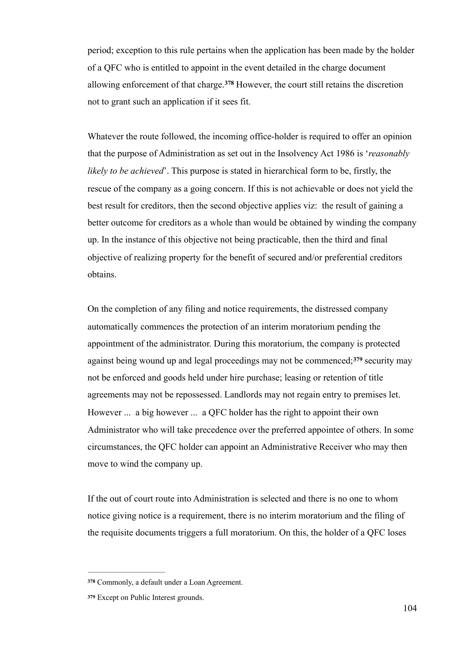period; exception to this rule pertains when the application has been made by the holder of a QFC who is entitled to appoint in the event detailed in the charge document allowing enforcement of that charge.<sup>378</sup> However, the court still retains the discretion not to grant such an application if it sees fit.

Whatever the route followed, the incoming office-holder is required to offer an opinion that the purpose of Administration as set out in the Insolvency Act 1986 is '*reasonably likely to be achieved*'. This purpose is stated in hierarchical form to be, firstly, the rescue of the company as a going concern. If this is not achievable or does not yield the best result for creditors, then the second objective applies viz: the result of gaining a better outcome for creditors as a whole than would be obtained by winding the company up. In the instance of this objective not being practicable, then the third and final objective of realizing property for the benefit of secured and/or preferential creditors obtains.

On the completion of any filing and notice requirements, the distressed company automatically commences the protection of an interim moratorium pending the appointment of the administrator. During this moratorium, the company is protected against being wound up and legal proceedings may not be commenced;  $379$  security may not be enforced and goods held under hire purchase; leasing or retention of title agreements may not be repossessed. Landlords may not regain entry to premises let. However ... a big however ... a QFC holder has the right to appoint their own Administrator who will take precedence over the preferred appointee of others. In some circumstances, the QFC holder can appoint an Administrative Receiver who may then move to wind the company up.

If the out of court route into Administration is selected and there is no one to whom notice giving notice is a requirement, there is no interim moratorium and the filing of the requisite documents triggers a full moratorium. On this, the holder of a QFC loses

Commonly, a default under a Loan Agreement. **<sup>378</sup>**

Except on Public Interest grounds. **<sup>379</sup>**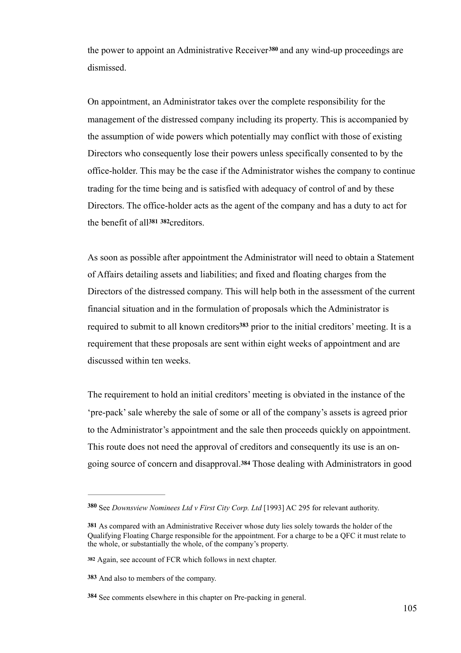the power to appoint an Administrative Receiver<sup>380</sup> and any wind-up proceedings are dismissed.

On appointment, an Administrator takes over the complete responsibility for the management of the distressed company including its property. This is accompanied by the assumption of wide powers which potentially may conflict with those of existing Directors who consequently lose their powers unless specifically consented to by the office-holder. This may be the case if the Administrator wishes the company to continue trading for the time being and is satisfied with adequacy of control of and by these Directors. The office-holder acts as the agent of the company and has a duty to act for the benefit of all<sup>381</sup> <sup>382</sup> creditors.

As soon as possible after appointment the Administrator will need to obtain a Statement of Affairs detailing assets and liabilities; and fixed and floating charges from the Directors of the distressed company. This will help both in the assessment of the current financial situation and in the formulation of proposals which the Administrator is required to submit to all known creditors<sup>383</sup> prior to the initial creditors' meeting. It is a requirement that these proposals are sent within eight weeks of appointment and are discussed within ten weeks.

The requirement to hold an initial creditors' meeting is obviated in the instance of the 'pre-pack' sale whereby the sale of some or all of the company's assets is agreed prior to the Administrator's appointment and the sale then proceeds quickly on appointment. This route does not need the approval of creditors and consequently its use is an ongoing source of concern and disapproval.**384** Those dealing with Administrators in good

See *Downsview Nominees Ltd v First City Corp. Ltd* [1993] AC 295 for relevant authority. **<sup>380</sup>**

**<sup>381</sup>** As compared with an Administrative Receiver whose duty lies solely towards the holder of the Qualifying Floating Charge responsible for the appointment. For a charge to be a QFC it must relate to the whole, or substantially the whole, of the company's property.

Again, see account of FCR which follows in next chapter. **<sup>382</sup>**

**<sup>383</sup>** And also to members of the company.

See comments elsewhere in this chapter on Pre-packing in general. **<sup>384</sup>**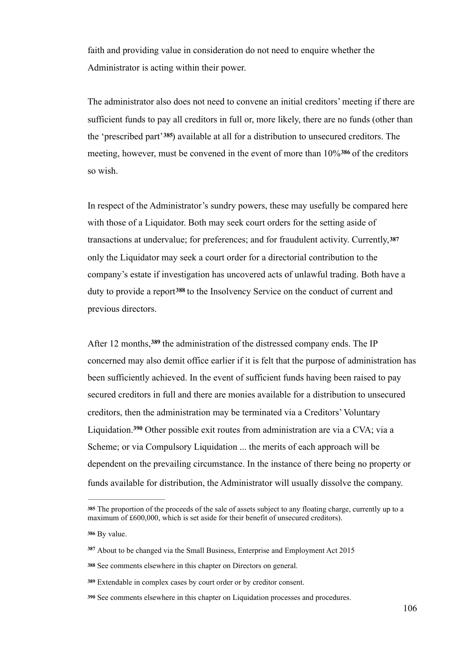faith and providing value in consideration do not need to enquire whether the Administrator is acting within their power.

The administrator also does not need to convene an initial creditors' meeting if there are sufficient funds to pay all creditors in full or, more likely, there are no funds (other than the 'prescribed part'<sup>385</sup>) available at all for a distribution to unsecured creditors. The meeting, however, must be convened in the event of more than  $10\%$ <sup>386</sup> of the creditors so wish.

In respect of the Administrator's sundry powers, these may usefully be compared here with those of a Liquidator. Both may seek court orders for the setting aside of transactions at undervalue; for preferences; and for fraudulent activity. Currently,**<sup>387</sup>** only the Liquidator may seek a court order for a directorial contribution to the company's estate if investigation has uncovered acts of unlawful trading. Both have a duty to provide a report<sup>388</sup> to the Insolvency Service on the conduct of current and previous directors.

After 12 months, 389 the administration of the distressed company ends. The IP concerned may also demit office earlier if it is felt that the purpose of administration has been sufficiently achieved. In the event of sufficient funds having been raised to pay secured creditors in full and there are monies available for a distribution to unsecured creditors, then the administration may be terminated via a Creditors' Voluntary Liquidation.<sup>390</sup> Other possible exit routes from administration are via a CVA; via a Scheme; or via Compulsory Liquidation ... the merits of each approach will be dependent on the prevailing circumstance. In the instance of there being no property or funds available for distribution, the Administrator will usually dissolve the company.

The proportion of the proceeds of the sale of assets subject to any floating charge, currently up to a **<sup>385</sup>** maximum of £600,000, which is set aside for their benefit of unsecured creditors).

By value. **<sup>386</sup>**

About to be changed via the Small Business, Enterprise and Employment Act 2015 **<sup>387</sup>**

See comments elsewhere in this chapter on Directors on general. **<sup>388</sup>**

Extendable in complex cases by court order or by creditor consent. **<sup>389</sup>**

See comments elsewhere in this chapter on Liquidation processes and procedures. **<sup>390</sup>**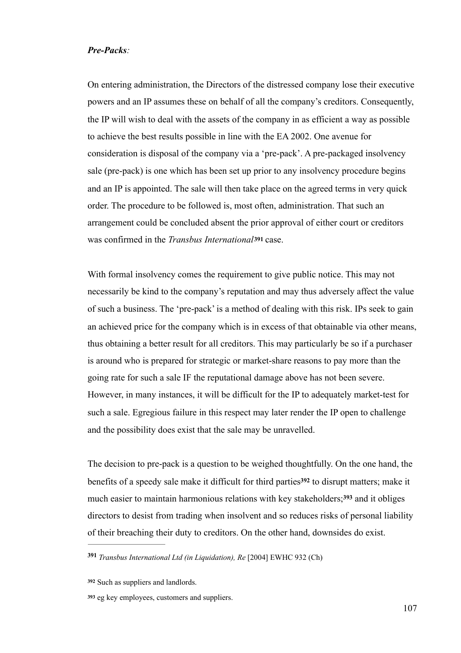#### *Pre-Packs:*

On entering administration, the Directors of the distressed company lose their executive powers and an IP assumes these on behalf of all the company's creditors. Consequently, the IP will wish to deal with the assets of the company in as efficient a way as possible to achieve the best results possible in line with the EA 2002. One avenue for consideration is disposal of the company via a 'pre-pack'. A pre-packaged insolvency sale (pre-pack) is one which has been set up prior to any insolvency procedure begins and an IP is appointed. The sale will then take place on the agreed terms in very quick order. The procedure to be followed is, most often, administration. That such an arrangement could be concluded absent the prior approval of either court or creditors was confirmed in the *Transbus International***<sup>391</sup>** case.

With formal insolvency comes the requirement to give public notice. This may not necessarily be kind to the company's reputation and may thus adversely affect the value of such a business. The 'pre-pack' is a method of dealing with this risk. IPs seek to gain an achieved price for the company which is in excess of that obtainable via other means, thus obtaining a better result for all creditors. This may particularly be so if a purchaser is around who is prepared for strategic or market-share reasons to pay more than the going rate for such a sale IF the reputational damage above has not been severe. However, in many instances, it will be difficult for the IP to adequately market-test for such a sale. Egregious failure in this respect may later render the IP open to challenge and the possibility does exist that the sale may be unravelled.

The decision to pre-pack is a question to be weighed thoughtfully. On the one hand, the benefits of a speedy sale make it difficult for third parties<sup>392</sup> to disrupt matters; make it much easier to maintain harmonious relations with key stakeholders;<sup>393</sup> and it obliges directors to desist from trading when insolvent and so reduces risks of personal liability of their breaching their duty to creditors. On the other hand, downsides do exist.

*Transbus International Ltd (in Liquidation), Re* [2004] EWHC 932 (Ch) **<sup>391</sup>**

Such as suppliers and landlords. **<sup>392</sup>**

eg key employees, customers and suppliers. **<sup>393</sup>**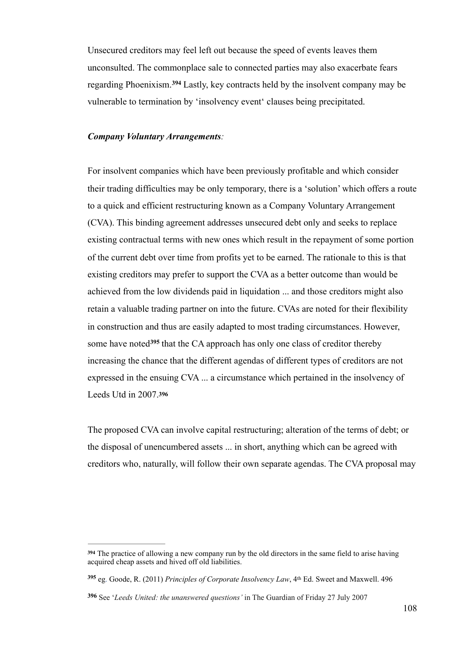Unsecured creditors may feel left out because the speed of events leaves them unconsulted. The commonplace sale to connected parties may also exacerbate fears regarding Phoenixism.<sup>394</sup> Lastly, key contracts held by the insolvent company may be vulnerable to termination by 'insolvency event' clauses being precipitated.

#### *Company Voluntary Arrangements:*

For insolvent companies which have been previously profitable and which consider their trading difficulties may be only temporary, there is a 'solution' which offers a route to a quick and efficient restructuring known as a Company Voluntary Arrangement (CVA). This binding agreement addresses unsecured debt only and seeks to replace existing contractual terms with new ones which result in the repayment of some portion of the current debt over time from profits yet to be earned. The rationale to this is that existing creditors may prefer to support the CVA as a better outcome than would be achieved from the low dividends paid in liquidation ... and those creditors might also retain a valuable trading partner on into the future. CVAs are noted for their flexibility in construction and thus are easily adapted to most trading circumstances. However, some have noted<sup>395</sup> that the CA approach has only one class of creditor thereby increasing the chance that the different agendas of different types of creditors are not expressed in the ensuing CVA ... a circumstance which pertained in the insolvency of Leeds Utd in 2007.**<sup>396</sup>**

The proposed CVA can involve capital restructuring; alteration of the terms of debt; or the disposal of unencumbered assets ... in short, anything which can be agreed with creditors who, naturally, will follow their own separate agendas. The CVA proposal may

<sup>&</sup>lt;sup>394</sup> The practice of allowing a new company run by the old directors in the same field to arise having acquired cheap assets and hived off old liabilities.

eg. Goode, R. (2011) *Principles of Corporate Insolvency Law*, 4th Ed. Sweet and Maxwell. 496 **<sup>395</sup>**

See '*Leeds United: the unanswered questions'* in The Guardian of Friday 27 July 2007 **<sup>396</sup>**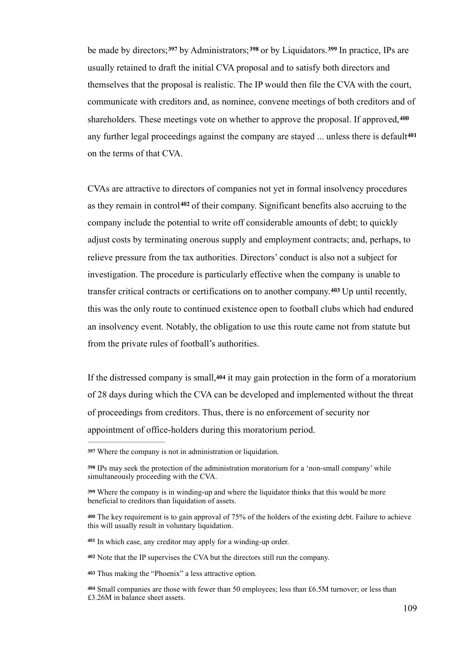be made by directors;<sup>397</sup> by Administrators;<sup>398</sup> or by Liquidators.<sup>399</sup> In practice, IPs are usually retained to draft the initial CVA proposal and to satisfy both directors and themselves that the proposal is realistic. The IP would then file the CVA with the court, communicate with creditors and, as nominee, convene meetings of both creditors and of shareholders. These meetings vote on whether to approve the proposal. If approved,**<sup>400</sup>** any further legal proceedings against the company are stayed ... unless there is default**<sup>401</sup>** on the terms of that CVA.

CVAs are attractive to directors of companies not yet in formal insolvency procedures as they remain in control<sup>402</sup> of their company. Significant benefits also accruing to the company include the potential to write off considerable amounts of debt; to quickly adjust costs by terminating onerous supply and employment contracts; and, perhaps, to relieve pressure from the tax authorities. Directors' conduct is also not a subject for investigation. The procedure is particularly effective when the company is unable to transfer critical contracts or certifications on to another company. Up until recently, **<sup>403</sup>** this was the only route to continued existence open to football clubs which had endured an insolvency event. Notably, the obligation to use this route came not from statute but from the private rules of football's authorities.

If the distressed company is small,**<sup>404</sup>** it may gain protection in the form of a moratorium of 28 days during which the CVA can be developed and implemented without the threat of proceedings from creditors. Thus, there is no enforcement of security nor appointment of office-holders during this moratorium period.

<sup>401</sup> In which case, any creditor may apply for a winding-up order.

Note that the IP supervises the CVA but the directors still run the company. **<sup>402</sup>**

Thus making the "Phoenix" a less attractive option. **<sup>403</sup>**

Where the company is not in administration or liquidation. **<sup>397</sup>**

IPs may seek the protection of the administration moratorium for a 'non-small company' while **<sup>398</sup>** simultaneously proceeding with the CVA.

Where the company is in winding-up and where the liquidator thinks that this would be more **<sup>399</sup>** beneficial to creditors than liquidation of assets.

The key requirement is to gain approval of 75% of the holders of the existing debt. Failure to achieve **<sup>400</sup>** this will usually result in voluntary liquidation.

Small companies are those with fewer than 50 employees; less than £6.5M turnover; or less than **<sup>404</sup>** £3.26M in balance sheet assets.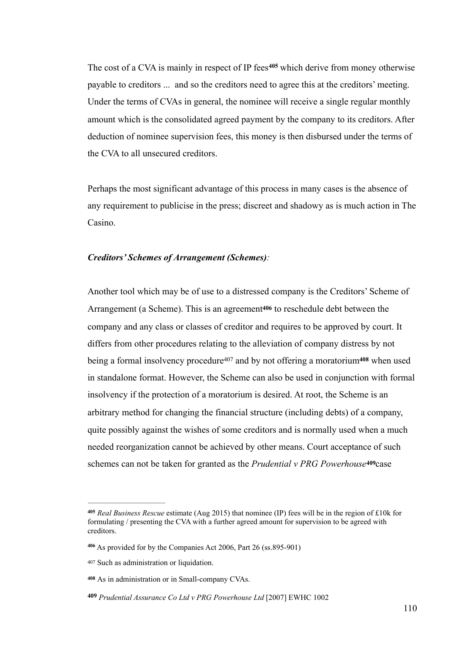The cost of a CVA is mainly in respect of IP fees<sup>405</sup> which derive from money otherwise payable to creditors ... and so the creditors need to agree this at the creditors' meeting. Under the terms of CVAs in general, the nominee will receive a single regular monthly amount which is the consolidated agreed payment by the company to its creditors. After deduction of nominee supervision fees, this money is then disbursed under the terms of the CVA to all unsecured creditors.

Perhaps the most significant advantage of this process in many cases is the absence of any requirement to publicise in the press; discreet and shadowy as is much action in The Casino.

#### *Creditors' Schemes of Arrangement (Schemes):*

Another tool which may be of use to a distressed company is the Creditors' Scheme of Arrangement (a Scheme). This is an agreement**<sup>406</sup>** to reschedule debt between the company and any class or classes of creditor and requires to be approved by court. It differs from other procedures relating to the alleviation of company distress by not being a formal insolvency procedure<sup>407</sup> and by not offering a moratorium<sup>408</sup> when used in standalone format. However, the Scheme can also be used in conjunction with formal insolvency if the protection of a moratorium is desired. At root, the Scheme is an arbitrary method for changing the financial structure (including debts) of a company, quite possibly against the wishes of some creditors and is normally used when a much needed reorganization cannot be achieved by other means. Court acceptance of such schemes can not be taken for granted as the *Prudential v PRG Powerhouse***409**case

*Real Business Rescue* estimate (Aug 2015) that nominee (IP) fees will be in the region of £10k for **<sup>405</sup>** formulating / presenting the CVA with a further agreed amount for supervision to be agreed with creditors.

As provided for by the Companies Act 2006, Part 26 (ss.895-901) **<sup>406</sup>**

<sup>407</sup> Such as administration or liquidation.

As in administration or in Small-company CVAs. **<sup>408</sup>**

*Prudential Assurance Co Ltd v PRG Powerhouse Ltd* [2007] EWHC 1002 **<sup>409</sup>**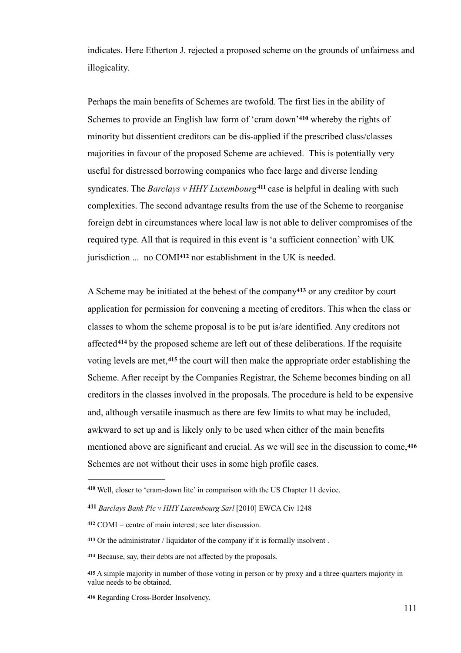indicates. Here Etherton J. rejected a proposed scheme on the grounds of unfairness and illogicality.

Perhaps the main benefits of Schemes are twofold. The first lies in the ability of Schemes to provide an English law form of 'cram down'<sup>410</sup> whereby the rights of minority but dissentient creditors can be dis-applied if the prescribed class/classes majorities in favour of the proposed Scheme are achieved. This is potentially very useful for distressed borrowing companies who face large and diverse lending syndicates. The *Barclays v HHY Luxembourg*<sup>411</sup> case is helpful in dealing with such complexities. The second advantage results from the use of the Scheme to reorganise foreign debt in circumstances where local law is not able to deliver compromises of the required type. All that is required in this event is 'a sufficient connection' with UK jurisdiction ... no COMI<sup>412</sup> nor establishment in the UK is needed.

A Scheme may be initiated at the behest of the company<sup>413</sup> or any creditor by court application for permission for convening a meeting of creditors. This when the class or classes to whom the scheme proposal is to be put is/are identified. Any creditors not affected<sup>414</sup> by the proposed scheme are left out of these deliberations. If the requisite voting levels are met, <sup>415</sup> the court will then make the appropriate order establishing the Scheme. After receipt by the Companies Registrar, the Scheme becomes binding on all creditors in the classes involved in the proposals. The procedure is held to be expensive and, although versatile inasmuch as there are few limits to what may be included, awkward to set up and is likely only to be used when either of the main benefits mentioned above are significant and crucial. As we will see in the discussion to come,**<sup>416</sup>** Schemes are not without their uses in some high profile cases.

Well, closer to 'cram-down lite' in comparison with the US Chapter 11 device. **<sup>410</sup>**

*Barclays Bank Plc v HHY Luxembourg Sarl* [2010] EWCA Civ 1248 **<sup>411</sup>**

 $412$  COMI = centre of main interest; see later discussion.

Or the administrator / liquidator of the company if it is formally insolvent . **<sup>413</sup>**

Because, say, their debts are not affected by the proposals. **<sup>414</sup>**

<sup>415</sup> A simple majority in number of those voting in person or by proxy and a three-quarters majority in value needs to be obtained.

Regarding Cross-Border Insolvency. **<sup>416</sup>**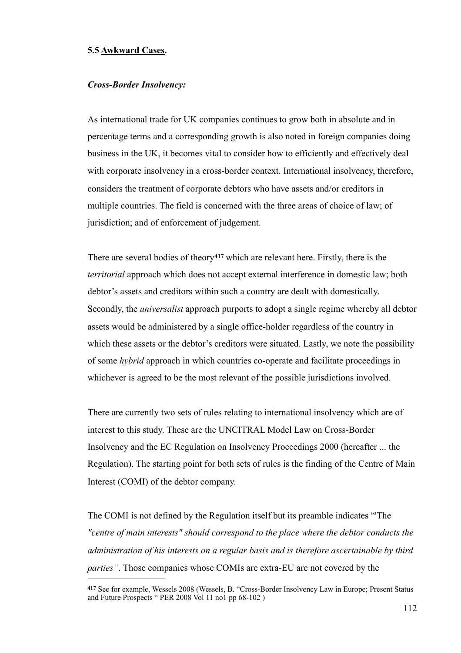#### **5.5 Awkward Cases.**

#### *Cross-Border Insolvency:*

As international trade for UK companies continues to grow both in absolute and in percentage terms and a corresponding growth is also noted in foreign companies doing business in the UK, it becomes vital to consider how to efficiently and effectively deal with corporate insolvency in a cross-border context. International insolvency, therefore, considers the treatment of corporate debtors who have assets and/or creditors in multiple countries. The field is concerned with the three areas of choice of law; of jurisdiction; and of enforcement of judgement.

There are several bodies of theory<sup>417</sup> which are relevant here. Firstly, there is the *territorial* approach which does not accept external interference in domestic law; both debtor's assets and creditors within such a country are dealt with domestically. Secondly, the *universalist* approach purports to adopt a single regime whereby all debtor assets would be administered by a single office-holder regardless of the country in which these assets or the debtor's creditors were situated. Lastly, we note the possibility of some *hybrid* approach in which countries co-operate and facilitate proceedings in whichever is agreed to be the most relevant of the possible jurisdictions involved.

There are currently two sets of rules relating to international insolvency which are of interest to this study. These are the UNCITRAL Model Law on Cross-Border Insolvency and the EC Regulation on Insolvency Proceedings 2000 (hereafter ... the Regulation). The starting point for both sets of rules is the finding of the Centre of Main Interest (COMI) of the debtor company.

The COMI is not defined by the Regulation itself but its preamble indicates "'The *"centre of main interests" should correspond to the place where the debtor conducts the administration of his interests on a regular basis and is therefore ascertainable by third parties"*. Those companies whose COMIs are extra-EU are not covered by the

<sup>417</sup> See for example, Wessels 2008 (Wessels, B. "Cross-Border Insolvency Law in Europe; Present Status and Future Prospects " PER 2008 Vol 11 no1 pp 68-102 )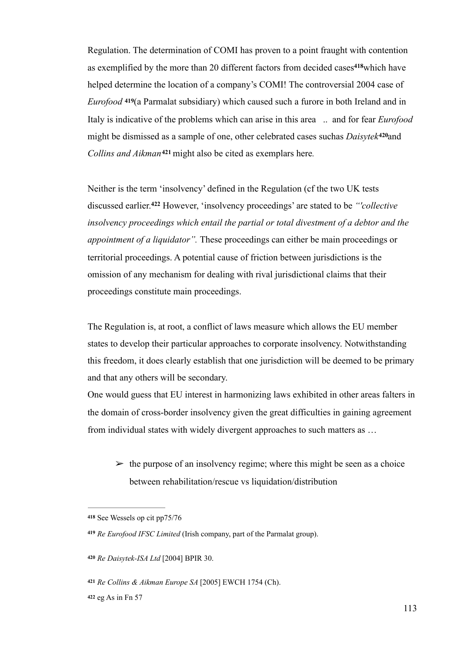Regulation. The determination of COMI has proven to a point fraught with contention as exemplified by the more than 20 different factors from decided cases<sup>418</sup>which have helped determine the location of a company's COMI! The controversial 2004 case of *Eurofood* **<sup>419</sup>**(a Parmalat subsidiary) which caused such a furore in both Ireland and in Italy is indicative of the problems which can arise in this area .. and for fear *Eurofood*  might be dismissed as a sample of one, other celebrated cases suchas *Daisytek*<sup>420</sup> and *Collins and Aikman*<sup>421</sup> might also be cited as exemplars here.

Neither is the term 'insolvency' defined in the Regulation (cf the two UK tests discussed earlier.<sup>422</sup> However, 'insolvency proceedings' are stated to be *"collective insolvency proceedings which entail the partial or total divestment of a debtor and the appointment of a liquidator".* These proceedings can either be main proceedings or territorial proceedings. A potential cause of friction between jurisdictions is the omission of any mechanism for dealing with rival jurisdictional claims that their proceedings constitute main proceedings.

The Regulation is, at root, a conflict of laws measure which allows the EU member states to develop their particular approaches to corporate insolvency. Notwithstanding this freedom, it does clearly establish that one jurisdiction will be deemed to be primary and that any others will be secondary.

One would guess that EU interest in harmonizing laws exhibited in other areas falters in the domain of cross-border insolvency given the great difficulties in gaining agreement from individual states with widely divergent approaches to such matters as …

 $\geq$  the purpose of an insolvency regime; where this might be seen as a choice between rehabilitation/rescue vs liquidation/distribution

**<sup>418</sup>** See Wessels op cit pp75/76

*Re Eurofood IFSC Limited* (Irish company, part of the Parmalat group). **<sup>419</sup>**

*Re Daisytek-ISA Ltd* [2004] BPIR 30. **<sup>420</sup>**

*Re Collins & Aikman Europe SA* [2005] EWCH 1754 (Ch). **<sup>421</sup>**

**<sup>422</sup>** eg As in Fn 57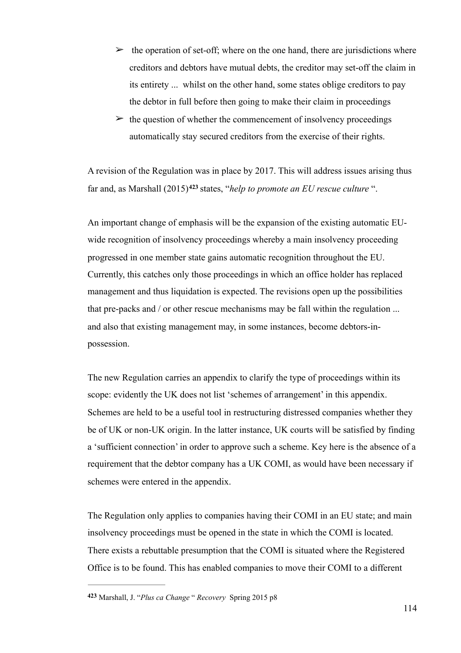- $\geq$  the operation of set-off; where on the one hand, there are jurisdictions where creditors and debtors have mutual debts, the creditor may set-off the claim in its entirety ... whilst on the other hand, some states oblige creditors to pay the debtor in full before then going to make their claim in proceedings
- $\geq$  the question of whether the commencement of insolvency proceedings automatically stay secured creditors from the exercise of their rights.

A revision of the Regulation was in place by 2017. This will address issues arising thus far and, as Marshall (2015)<sup>423</sup> states, "*help to promote an EU rescue culture*".

An important change of emphasis will be the expansion of the existing automatic EUwide recognition of insolvency proceedings whereby a main insolvency proceeding progressed in one member state gains automatic recognition throughout the EU. Currently, this catches only those proceedings in which an office holder has replaced management and thus liquidation is expected. The revisions open up the possibilities that pre-packs and / or other rescue mechanisms may be fall within the regulation ... and also that existing management may, in some instances, become debtors-inpossession.

The new Regulation carries an appendix to clarify the type of proceedings within its scope: evidently the UK does not list 'schemes of arrangement' in this appendix. Schemes are held to be a useful tool in restructuring distressed companies whether they be of UK or non-UK origin. In the latter instance, UK courts will be satisfied by finding a 'sufficient connection' in order to approve such a scheme. Key here is the absence of a requirement that the debtor company has a UK COMI, as would have been necessary if schemes were entered in the appendix.

The Regulation only applies to companies having their COMI in an EU state; and main insolvency proceedings must be opened in the state in which the COMI is located. There exists a rebuttable presumption that the COMI is situated where the Registered Office is to be found. This has enabled companies to move their COMI to a different

Marshall, J. "*Plus ca Change* " *Recovery* Spring 2015 p8 **<sup>423</sup>**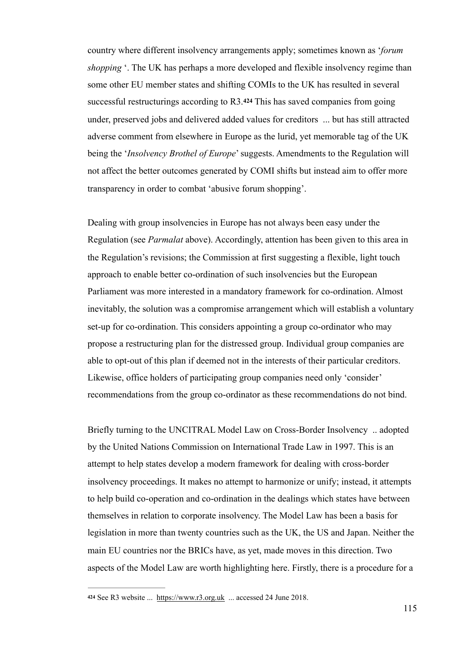country where different insolvency arrangements apply; sometimes known as '*forum shopping* '. The UK has perhaps a more developed and flexible insolvency regime than some other EU member states and shifting COMIs to the UK has resulted in several successful restructurings according to R3.**<sup>424</sup>** This has saved companies from going under, preserved jobs and delivered added values for creditors ... but has still attracted adverse comment from elsewhere in Europe as the lurid, yet memorable tag of the UK being the '*Insolvency Brothel of Europe*' suggests. Amendments to the Regulation will not affect the better outcomes generated by COMI shifts but instead aim to offer more transparency in order to combat 'abusive forum shopping'.

Dealing with group insolvencies in Europe has not always been easy under the Regulation (see *Parmalat* above). Accordingly, attention has been given to this area in the Regulation's revisions; the Commission at first suggesting a flexible, light touch approach to enable better co-ordination of such insolvencies but the European Parliament was more interested in a mandatory framework for co-ordination. Almost inevitably, the solution was a compromise arrangement which will establish a voluntary set-up for co-ordination. This considers appointing a group co-ordinator who may propose a restructuring plan for the distressed group. Individual group companies are able to opt-out of this plan if deemed not in the interests of their particular creditors. Likewise, office holders of participating group companies need only 'consider' recommendations from the group co-ordinator as these recommendations do not bind.

Briefly turning to the UNCITRAL Model Law on Cross-Border Insolvency .. adopted by the United Nations Commission on International Trade Law in 1997. This is an attempt to help states develop a modern framework for dealing with cross-border insolvency proceedings. It makes no attempt to harmonize or unify; instead, it attempts to help build co-operation and co-ordination in the dealings which states have between themselves in relation to corporate insolvency. The Model Law has been a basis for legislation in more than twenty countries such as the UK, the US and Japan. Neither the main EU countries nor the BRICs have, as yet, made moves in this direction. Two aspects of the Model Law are worth highlighting here. Firstly, there is a procedure for a

See R3 website ... https://www.r3.org.uk ... accessed 24 June 2018. **<sup>424</sup>**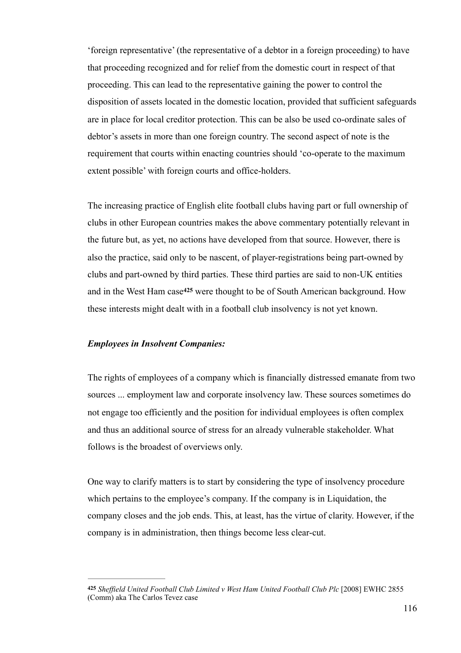'foreign representative' (the representative of a debtor in a foreign proceeding) to have that proceeding recognized and for relief from the domestic court in respect of that proceeding. This can lead to the representative gaining the power to control the disposition of assets located in the domestic location, provided that sufficient safeguards are in place for local creditor protection. This can be also be used co-ordinate sales of debtor's assets in more than one foreign country. The second aspect of note is the requirement that courts within enacting countries should 'co-operate to the maximum extent possible' with foreign courts and office-holders.

The increasing practice of English elite football clubs having part or full ownership of clubs in other European countries makes the above commentary potentially relevant in the future but, as yet, no actions have developed from that source. However, there is also the practice, said only to be nascent, of player-registrations being part-owned by clubs and part-owned by third parties. These third parties are said to non-UK entities and in the West Ham case<sup>425</sup> were thought to be of South American background. How these interests might dealt with in a football club insolvency is not yet known.

#### *Employees in Insolvent Companies:*

The rights of employees of a company which is financially distressed emanate from two sources ... employment law and corporate insolvency law. These sources sometimes do not engage too efficiently and the position for individual employees is often complex and thus an additional source of stress for an already vulnerable stakeholder. What follows is the broadest of overviews only.

One way to clarify matters is to start by considering the type of insolvency procedure which pertains to the employee's company. If the company is in Liquidation, the company closes and the job ends. This, at least, has the virtue of clarity. However, if the company is in administration, then things become less clear-cut.

*Sheffield United Football Club Limited v West Ham United Football Club Plc* [2008] EWHC 2855 **425** (Comm) aka The Carlos Tevez case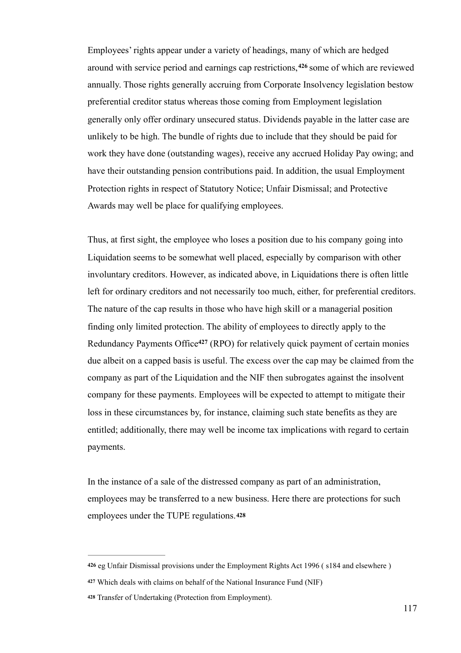Employees' rights appear under a variety of headings, many of which are hedged around with service period and earnings cap restrictions,<sup>426</sup> some of which are reviewed annually. Those rights generally accruing from Corporate Insolvency legislation bestow preferential creditor status whereas those coming from Employment legislation generally only offer ordinary unsecured status. Dividends payable in the latter case are unlikely to be high. The bundle of rights due to include that they should be paid for work they have done (outstanding wages), receive any accrued Holiday Pay owing; and have their outstanding pension contributions paid. In addition, the usual Employment Protection rights in respect of Statutory Notice; Unfair Dismissal; and Protective Awards may well be place for qualifying employees.

Thus, at first sight, the employee who loses a position due to his company going into Liquidation seems to be somewhat well placed, especially by comparison with other involuntary creditors. However, as indicated above, in Liquidations there is often little left for ordinary creditors and not necessarily too much, either, for preferential creditors. The nature of the cap results in those who have high skill or a managerial position finding only limited protection. The ability of employees to directly apply to the Redundancy Payments Office<sup>427</sup> (RPO) for relatively quick payment of certain monies due albeit on a capped basis is useful. The excess over the cap may be claimed from the company as part of the Liquidation and the NIF then subrogates against the insolvent company for these payments. Employees will be expected to attempt to mitigate their loss in these circumstances by, for instance, claiming such state benefits as they are entitled; additionally, there may well be income tax implications with regard to certain payments.

In the instance of a sale of the distressed company as part of an administration, employees may be transferred to a new business. Here there are protections for such employees under the TUPE regulations.**<sup>428</sup>**

eg Unfair Dismissal provisions under the Employment Rights Act 1996 ( s184 and elsewhere ) **426**

Which deals with claims on behalf of the National Insurance Fund (NIF) **<sup>427</sup>**

Transfer of Undertaking (Protection from Employment). **<sup>428</sup>**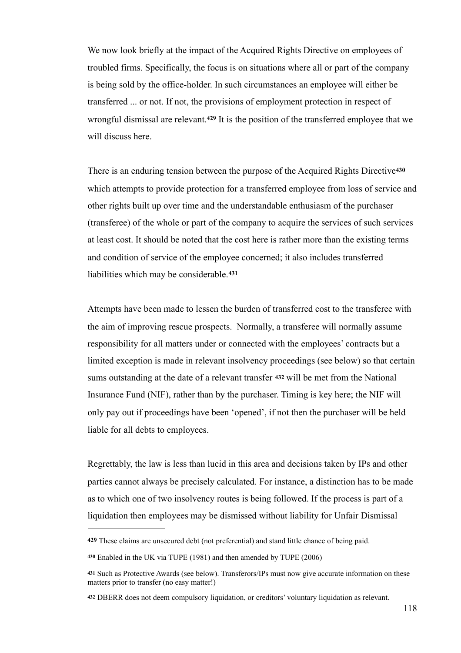We now look briefly at the impact of the Acquired Rights Directive on employees of troubled firms. Specifically, the focus is on situations where all or part of the company is being sold by the office-holder. In such circumstances an employee will either be transferred ... or not. If not, the provisions of employment protection in respect of wrongful dismissal are relevant.<sup>429</sup> It is the position of the transferred employee that we will discuss here.

There is an enduring tension between the purpose of the Acquired Rights Directive**<sup>430</sup>** which attempts to provide protection for a transferred employee from loss of service and other rights built up over time and the understandable enthusiasm of the purchaser (transferee) of the whole or part of the company to acquire the services of such services at least cost. It should be noted that the cost here is rather more than the existing terms and condition of service of the employee concerned; it also includes transferred liabilities which may be considerable.**<sup>431</sup>**

Attempts have been made to lessen the burden of transferred cost to the transferee with the aim of improving rescue prospects. Normally, a transferee will normally assume responsibility for all matters under or connected with the employees' contracts but a limited exception is made in relevant insolvency proceedings (see below) so that certain sums outstanding at the date of a relevant transfer **432** will be met from the National Insurance Fund (NIF), rather than by the purchaser. Timing is key here; the NIF will only pay out if proceedings have been 'opened', if not then the purchaser will be held liable for all debts to employees.

Regrettably, the law is less than lucid in this area and decisions taken by IPs and other parties cannot always be precisely calculated. For instance, a distinction has to be made as to which one of two insolvency routes is being followed. If the process is part of a liquidation then employees may be dismissed without liability for Unfair Dismissal

**<sup>429</sup>** These claims are unsecured debt (not preferential) and stand little chance of being paid.

Enabled in the UK via TUPE (1981) and then amended by TUPE (2006) **<sup>430</sup>**

<sup>&</sup>lt;sup>431</sup> Such as Protective Awards (see below). Transferors/IPs must now give accurate information on these matters prior to transfer (no easy matter!)

DBERR does not deem compulsory liquidation, or creditors' voluntary liquidation as relevant. **<sup>432</sup>**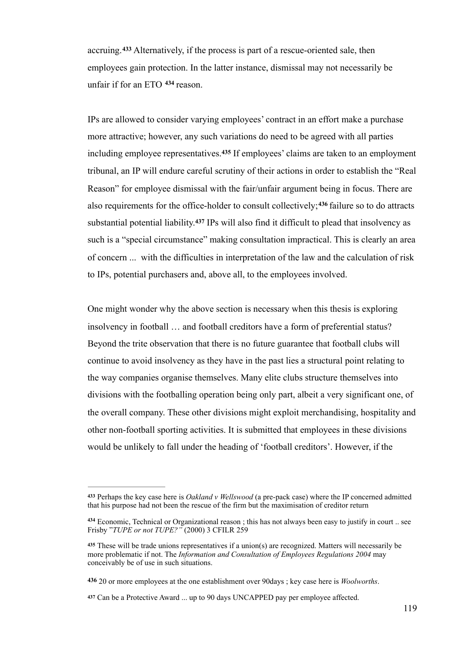accruing. <sup>433</sup> Alternatively, if the process is part of a rescue-oriented sale, then employees gain protection. In the latter instance, dismissal may not necessarily be unfair if for an ETO  $434$  reason.

IPs are allowed to consider varying employees' contract in an effort make a purchase more attractive; however, any such variations do need to be agreed with all parties including employee representatives.<sup>435</sup> If employees' claims are taken to an employment tribunal, an IP will endure careful scrutiny of their actions in order to establish the "Real Reason" for employee dismissal with the fair/unfair argument being in focus. There are also requirements for the office-holder to consult collectively;<sup>436</sup> failure so to do attracts substantial potential liability.<sup>437</sup> IPs will also find it difficult to plead that insolvency as such is a "special circumstance" making consultation impractical. This is clearly an area of concern ... with the difficulties in interpretation of the law and the calculation of risk to IPs, potential purchasers and, above all, to the employees involved.

One might wonder why the above section is necessary when this thesis is exploring insolvency in football … and football creditors have a form of preferential status? Beyond the trite observation that there is no future guarantee that football clubs will continue to avoid insolvency as they have in the past lies a structural point relating to the way companies organise themselves. Many elite clubs structure themselves into divisions with the footballing operation being only part, albeit a very significant one, of the overall company. These other divisions might exploit merchandising, hospitality and other non-football sporting activities. It is submitted that employees in these divisions would be unlikely to fall under the heading of 'football creditors'. However, if the

Perhaps the key case here is *Oakland v Wellswood* (a pre-pack case) where the IP concerned admitted **<sup>433</sup>** that his purpose had not been the rescue of the firm but the maximisation of creditor return

<sup>434</sup> Economic, Technical or Organizational reason; this has not always been easy to justify in court .. see Frisby "*TUPE or not TUPE?"* (2000) 3 CFILR 259

These will be trade unions representatives if a union(s) are recognized. Matters will necessarily be **<sup>435</sup>** more problematic if not. The *Information and Consultation of Employees Regulations 2004* may conceivably be of use in such situations.

**<sup>436</sup>** 20 or more employees at the one establishment over 90days ; key case here is *Woolworths*.

Can be a Protective Award ... up to 90 days UNCAPPED pay per employee affected. **<sup>437</sup>**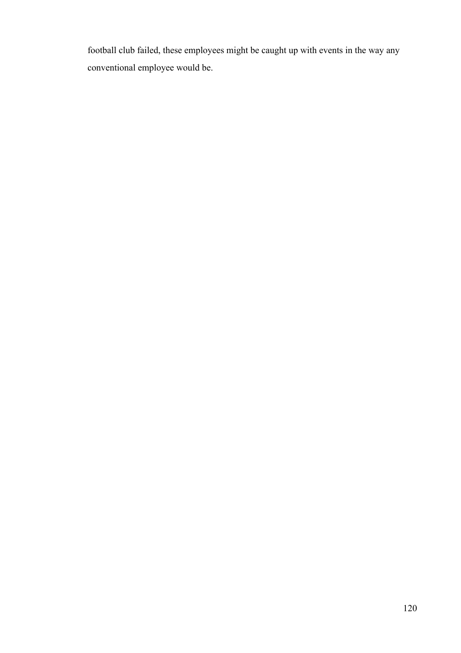football club failed, these employees might be caught up with events in the way any conventional employee would be.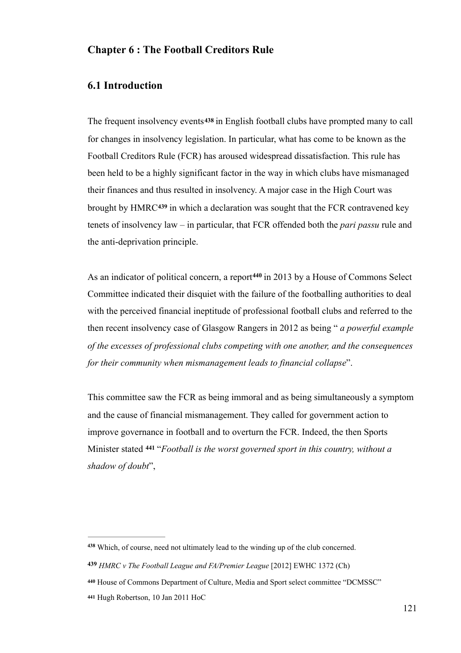### **Chapter 6 : The Football Creditors Rule**

## **6.1 Introduction**

The frequent insolvency events**438** in English football clubs have prompted many to call for changes in insolvency legislation. In particular, what has come to be known as the Football Creditors Rule (FCR) has aroused widespread dissatisfaction. This rule has been held to be a highly significant factor in the way in which clubs have mismanaged their finances and thus resulted in insolvency. A major case in the High Court was brought by HMRC<sup>439</sup> in which a declaration was sought that the FCR contravened key tenets of insolvency law – in particular, that FCR offended both the *pari passu* rule and the anti-deprivation principle.

As an indicator of political concern, a report<sup>440</sup> in 2013 by a House of Commons Select Committee indicated their disquiet with the failure of the footballing authorities to deal with the perceived financial ineptitude of professional football clubs and referred to the then recent insolvency case of Glasgow Rangers in 2012 as being " *a powerful example of the excesses of professional clubs competing with one another, and the consequences for their community when mismanagement leads to financial collapse*".

This committee saw the FCR as being immoral and as being simultaneously a symptom and the cause of financial mismanagement. They called for government action to improve governance in football and to overturn the FCR. Indeed, the then Sports Minister stated <sup>441</sup> "*Football is the worst governed sport in this country, without a shadow of doubt*",

Which, of course, need not ultimately lead to the winding up of the club concerned. **<sup>438</sup>**

*HMRC v The Football League and FA/Premier League* [2012] EWHC 1372 (Ch) **<sup>439</sup>**

**<sup>440</sup>** House of Commons Department of Culture, Media and Sport select committee "DCMSSC"

**<sup>441</sup>** Hugh Robertson, 10 Jan 2011 HoC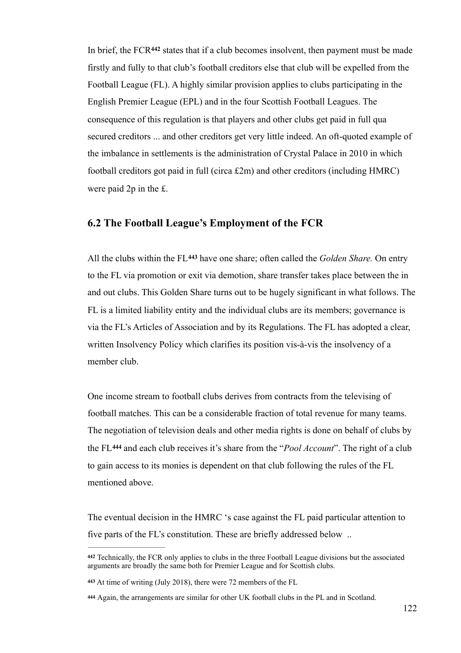In brief, the FCR<sup>442</sup> states that if a club becomes insolvent, then payment must be made firstly and fully to that club's football creditors else that club will be expelled from the Football League (FL). A highly similar provision applies to clubs participating in the English Premier League (EPL) and in the four Scottish Football Leagues. The consequence of this regulation is that players and other clubs get paid in full qua secured creditors ... and other creditors get very little indeed. An oft-quoted example of the imbalance in settlements is the administration of Crystal Palace in 2010 in which football creditors got paid in full (circa £2m) and other creditors (including HMRC) were paid 2p in the £.

# **6.2 The Football League's Employment of the FCR**

All the clubs within the FL<sup>443</sup> have one share; often called the *Golden Share*. On entry to the FL via promotion or exit via demotion, share transfer takes place between the in and out clubs. This Golden Share turns out to be hugely significant in what follows. The FL is a limited liability entity and the individual clubs are its members; governance is via the FL's Articles of Association and by its Regulations. The FL has adopted a clear, written Insolvency Policy which clarifies its position vis-à-vis the insolvency of a member club.

One income stream to football clubs derives from contracts from the televising of football matches. This can be a considerable fraction of total revenue for many teams. The negotiation of television deals and other media rights is done on behalf of clubs by the FL<sup>444</sup> and each club receives it's share from the "*Pool Account*". The right of a club to gain access to its monies is dependent on that club following the rules of the FL mentioned above.

The eventual decision in the HMRC 's case against the FL paid particular attention to five parts of the FL's constitution. These are briefly addressed below ..

Technically, the FCR only applies to clubs in the three Football League divisions but the associated **<sup>442</sup>** arguments are broadly the same both for Premier League and for Scottish clubs.

**<sup>443</sup>** At time of writing (July 2018), there were 72 members of the FL

Again, the arrangements are similar for other UK football clubs in the PL and in Scotland. **<sup>444</sup>**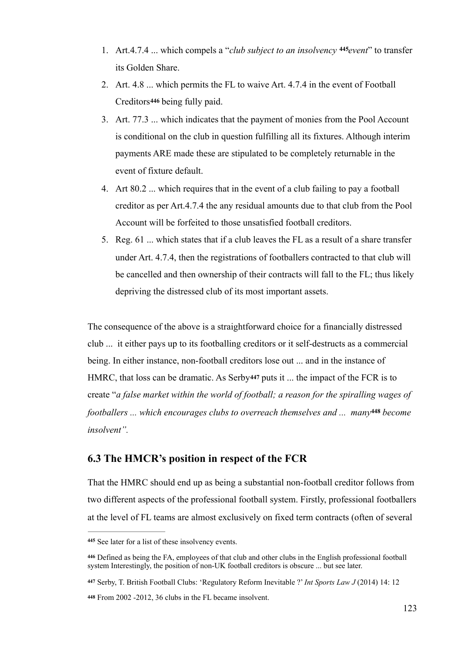- 1. Art.4.7.4 ... which compels a "*club subject to an insolvency event*" to transfer **<sup>445</sup>** its Golden Share.
- 2. Art. 4.8 ... which permits the FL to waive Art. 4.7.4 in the event of Football Creditors**<sup>446</sup>** being fully paid.
- 3. Art. 77.3 ... which indicates that the payment of monies from the Pool Account is conditional on the club in question fulfilling all its fixtures. Although interim payments ARE made these are stipulated to be completely returnable in the event of fixture default.
- 4. Art 80.2 ... which requires that in the event of a club failing to pay a football creditor as per Art.4.7.4 the any residual amounts due to that club from the Pool Account will be forfeited to those unsatisfied football creditors.
- 5. Reg. 61 ... which states that if a club leaves the FL as a result of a share transfer under Art. 4.7.4, then the registrations of footballers contracted to that club will be cancelled and then ownership of their contracts will fall to the FL; thus likely depriving the distressed club of its most important assets.

The consequence of the above is a straightforward choice for a financially distressed club ... it either pays up to its footballing creditors or it self-destructs as a commercial being. In either instance, non-football creditors lose out ... and in the instance of HMRC, that loss can be dramatic. As Serby**<sup>447</sup>** puts it ... the impact of the FCR is to create "*a false market within the world of football; a reason for the spiralling wages of footballers ... which encourages clubs to overreach themselves and ... many*<sup>448</sup> *become insolvent".*

# **6.3 The HMCR's position in respect of the FCR**

That the HMRC should end up as being a substantial non-football creditor follows from two different aspects of the professional football system. Firstly, professional footballers at the level of FL teams are almost exclusively on fixed term contracts (often of several

**<sup>447</sup>** Serby, T. British Football Clubs: 'Regulatory Reform Inevitable ?' *Int Sports Law J* (2014) 14: 12

From 2002 -2012, 36 clubs in the FL became insolvent. **<sup>448</sup>**

See later for a list of these insolvency events. **<sup>445</sup>**

Defined as being the FA, employees of that club and other clubs in the English professional football **<sup>446</sup>** system Interestingly, the position of non-UK football creditors is obscure ... but see later.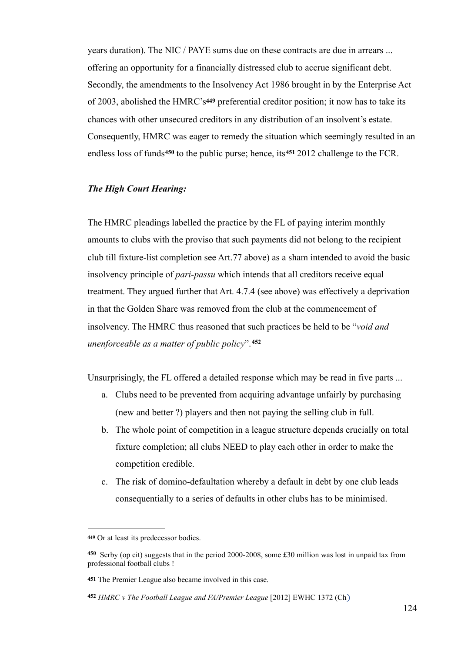years duration). The NIC / PAYE sums due on these contracts are due in arrears ... offering an opportunity for a financially distressed club to accrue significant debt. Secondly, the amendments to the Insolvency Act 1986 brought in by the Enterprise Act of 2003, abolished the HMRC's**449** preferential creditor position; it now has to take its chances with other unsecured creditors in any distribution of an insolvent's estate. Consequently, HMRC was eager to remedy the situation which seemingly resulted in an endless loss of funds<sup>450</sup> to the public purse; hence, its  $451\,2012$  challenge to the FCR.

#### *The High Court Hearing:*

The HMRC pleadings labelled the practice by the FL of paying interim monthly amounts to clubs with the proviso that such payments did not belong to the recipient club till fixture-list completion see Art.77 above) as a sham intended to avoid the basic insolvency principle of *pari-passu* which intends that all creditors receive equal treatment. They argued further that Art. 4.7.4 (see above) was effectively a deprivation in that the Golden Share was removed from the club at the commencement of insolvency. The HMRC thus reasoned that such practices be held to be "*void and unenforceable as a matter of public policy*".**<sup>452</sup>**

Unsurprisingly, the FL offered a detailed response which may be read in five parts ...

- a. Clubs need to be prevented from acquiring advantage unfairly by purchasing (new and better ?) players and then not paying the selling club in full.
- b. The whole point of competition in a league structure depends crucially on total fixture completion; all clubs NEED to play each other in order to make the competition credible.
- c. The risk of domino-defaultation whereby a default in debt by one club leads consequentially to a series of defaults in other clubs has to be minimised.

Or at least its predecessor bodies. **<sup>449</sup>**

Serby (op cit) suggests that in the period 2000-2008, some £30 million was lost in unpaid tax from **<sup>450</sup>** professional football clubs !

The Premier League also became involved in this case. **451**

*HMRC v The Football League and FA/Premier League* [2012] EWHC 1372 (Ch) **452**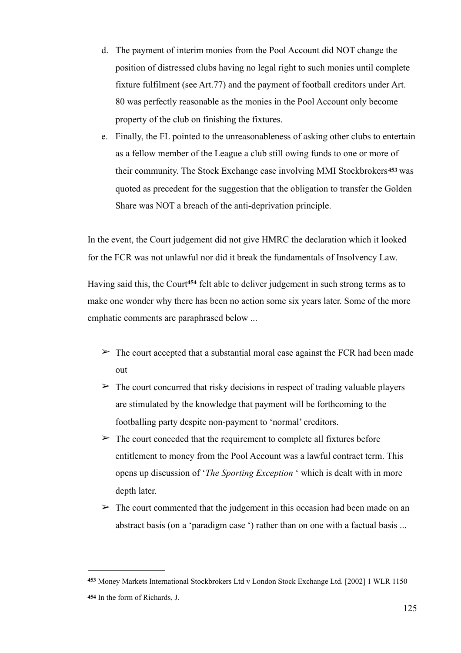- d. The payment of interim monies from the Pool Account did NOT change the position of distressed clubs having no legal right to such monies until complete fixture fulfilment (see Art.77) and the payment of football creditors under Art. 80 was perfectly reasonable as the monies in the Pool Account only become property of the club on finishing the fixtures.
- e. Finally, the FL pointed to the unreasonableness of asking other clubs to entertain as a fellow member of the League a club still owing funds to one or more of their community. The Stock Exchange case involving MMI Stockbrokers**453** was quoted as precedent for the suggestion that the obligation to transfer the Golden Share was NOT a breach of the anti-deprivation principle.

In the event, the Court judgement did not give HMRC the declaration which it looked for the FCR was not unlawful nor did it break the fundamentals of Insolvency Law.

Having said this, the Court<sup>454</sup> felt able to deliver judgement in such strong terms as to make one wonder why there has been no action some six years later. Some of the more emphatic comments are paraphrased below ...

- $\triangleright$  The court accepted that a substantial moral case against the FCR had been made out
- $\geq$  The court concurred that risky decisions in respect of trading valuable players are stimulated by the knowledge that payment will be forthcoming to the footballing party despite non-payment to 'normal' creditors.
- $\triangleright$  The court conceded that the requirement to complete all fixtures before entitlement to money from the Pool Account was a lawful contract term. This opens up discussion of '*The Sporting Exception* ' which is dealt with in more depth later.
- $\geq$  The court commented that the judgement in this occasion had been made on an abstract basis (on a 'paradigm case ') rather than on one with a factual basis ...

Money Markets International Stockbrokers Ltd v London Stock Exchange Ltd. [2002] 1 WLR 1150 **<sup>453</sup>** 454 In the form of Richards, J.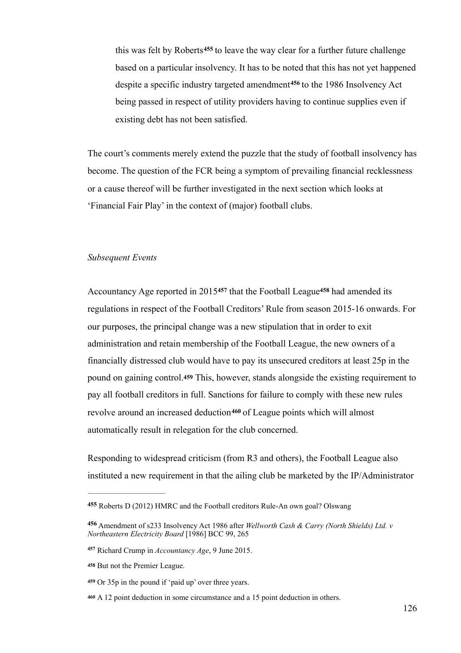this was felt by Roberts<sup>455</sup> to leave the way clear for a further future challenge based on a particular insolvency. It has to be noted that this has not yet happened despite a specific industry targeted amendment<sup>456</sup> to the 1986 Insolvency Act being passed in respect of utility providers having to continue supplies even if existing debt has not been satisfied.

The court's comments merely extend the puzzle that the study of football insolvency has become. The question of the FCR being a symptom of prevailing financial recklessness or a cause thereof will be further investigated in the next section which looks at 'Financial Fair Play' in the context of (major) football clubs.

#### *Subsequent Events*

Accountancy Age reported in 2015<sup>457</sup> that the Football League<sup>458</sup> had amended its regulations in respect of the Football Creditors' Rule from season 2015-16 onwards. For our purposes, the principal change was a new stipulation that in order to exit administration and retain membership of the Football League, the new owners of a financially distressed club would have to pay its unsecured creditors at least 25p in the pound on gaining control.**<sup>459</sup>** This, however, stands alongside the existing requirement to pay all football creditors in full. Sanctions for failure to comply with these new rules revolve around an increased deduction<sup>460</sup> of League points which will almost automatically result in relegation for the club concerned.

Responding to widespread criticism (from R3 and others), the Football League also instituted a new requirement in that the ailing club be marketed by the IP/Administrator

Roberts D (2012) HMRC and the Football creditors Rule-An own goal? Olswang **<sup>455</sup>**

Amendment of s233 Insolvency Act 1986 after *Wellworth Cash & Carry (North Shields) Ltd. v* **<sup>456</sup>** *Northeastern Electricity Board* [1986] BCC 99, 265

Richard Crump in *Accountancy Age*, 9 June 2015. **<sup>457</sup>**

But not the Premier League. **<sup>458</sup>**

Or 35p in the pound if 'paid up' over three years. **<sup>459</sup>**

A 12 point deduction in some circumstance and a 15 point deduction in others. **<sup>460</sup>**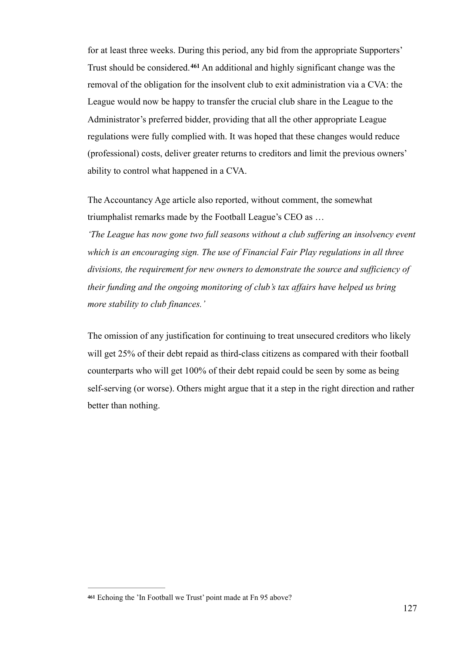for at least three weeks. During this period, any bid from the appropriate Supporters' Trust should be considered.<sup>461</sup> An additional and highly significant change was the removal of the obligation for the insolvent club to exit administration via a CVA: the League would now be happy to transfer the crucial club share in the League to the Administrator's preferred bidder, providing that all the other appropriate League regulations were fully complied with. It was hoped that these changes would reduce (professional) costs, deliver greater returns to creditors and limit the previous owners' ability to control what happened in a CVA.

The Accountancy Age article also reported, without comment, the somewhat triumphalist remarks made by the Football League's CEO as …

*'The League has now gone two full seasons without a club suffering an insolvency event which is an encouraging sign. The use of Financial Fair Play regulations in all three divisions, the requirement for new owners to demonstrate the source and sufficiency of their funding and the ongoing monitoring of club's tax affairs have helped us bring more stability to club finances.'* 

The omission of any justification for continuing to treat unsecured creditors who likely will get 25% of their debt repaid as third-class citizens as compared with their football counterparts who will get 100% of their debt repaid could be seen by some as being self-serving (or worse). Others might argue that it a step in the right direction and rather better than nothing.

**<sup>461</sup>** Echoing the 'In Football we Trust' point made at Fn 95 above?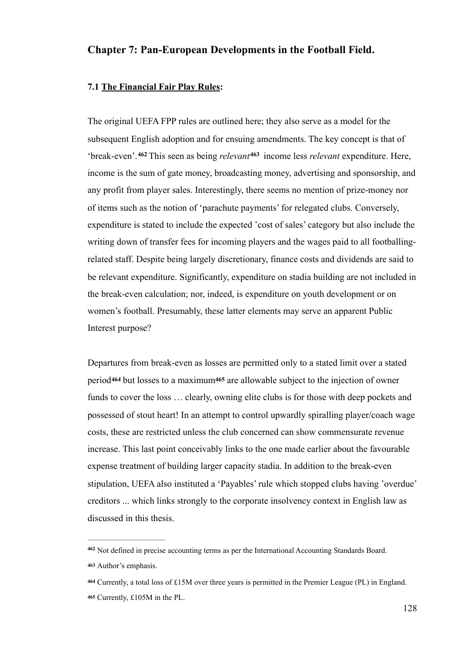## **Chapter 7: Pan-European Developments in the Football Field.**

#### **7.1 The Financial Fair Play Rules:**

The original UEFA FPP rules are outlined here; they also serve as a model for the subsequent English adoption and for ensuing amendments. The key concept is that of 'break-even'. <sup>462</sup> This seen as being *relevant*<sup>463</sup> income less *relevant* expenditure. Here, income is the sum of gate money, broadcasting money, advertising and sponsorship, and any profit from player sales. Interestingly, there seems no mention of prize-money nor of items such as the notion of 'parachute payments' for relegated clubs. Conversely, expenditure is stated to include the expected 'cost of sales' category but also include the writing down of transfer fees for incoming players and the wages paid to all footballingrelated staff. Despite being largely discretionary, finance costs and dividends are said to be relevant expenditure. Significantly, expenditure on stadia building are not included in the break-even calculation; nor, indeed, is expenditure on youth development or on women's football. Presumably, these latter elements may serve an apparent Public Interest purpose?

Departures from break-even as losses are permitted only to a stated limit over a stated period**464** but losses to a maximum**465** are allowable subject to the injection of owner funds to cover the loss … clearly, owning elite clubs is for those with deep pockets and possessed of stout heart! In an attempt to control upwardly spiralling player/coach wage costs, these are restricted unless the club concerned can show commensurate revenue increase. This last point conceivably links to the one made earlier about the favourable expense treatment of building larger capacity stadia. In addition to the break-even stipulation, UEFA also instituted a 'Payables' rule which stopped clubs having 'overdue' creditors ... which links strongly to the corporate insolvency context in English law as discussed in this thesis.

Not defined in precise accounting terms as per the International Accounting Standards Board. **<sup>462</sup>**

Author's emphasis. **<sup>463</sup>**

Currently, a total loss of £15M over three years is permitted in the Premier League (PL) in England. **<sup>464</sup>** Currently, £105M in the PL. **<sup>465</sup>**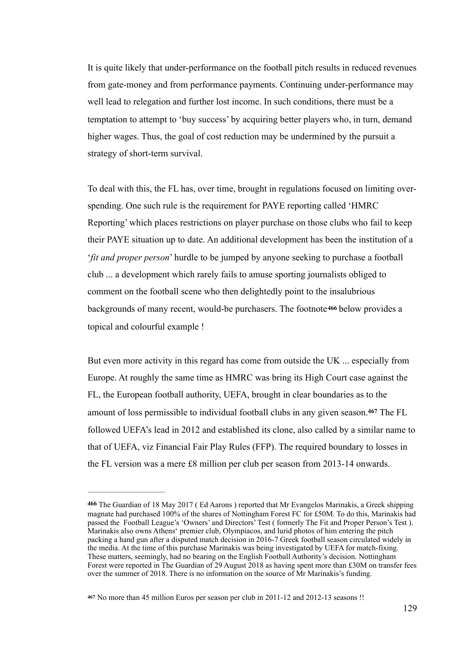It is quite likely that under-performance on the football pitch results in reduced revenues from gate-money and from performance payments. Continuing under-performance may well lead to relegation and further lost income. In such conditions, there must be a temptation to attempt to 'buy success' by acquiring better players who, in turn, demand higher wages. Thus, the goal of cost reduction may be undermined by the pursuit a strategy of short-term survival.

To deal with this, the FL has, over time, brought in regulations focused on limiting overspending. One such rule is the requirement for PAYE reporting called 'HMRC Reporting' which places restrictions on player purchase on those clubs who fail to keep their PAYE situation up to date. An additional development has been the institution of a '*fit and proper person*' hurdle to be jumped by anyone seeking to purchase a football club ... a development which rarely fails to amuse sporting journalists obliged to comment on the football scene who then delightedly point to the insalubrious backgrounds of many recent, would-be purchasers. The footnote**<sup>466</sup>** below provides a topical and colourful example !

But even more activity in this regard has come from outside the UK ... especially from Europe. At roughly the same time as HMRC was bring its High Court case against the FL, the European football authority, UEFA, brought in clear boundaries as to the amount of loss permissible to individual football clubs in any given season.<sup>467</sup> The FL followed UEFA's lead in 2012 and established its clone, also called by a similar name to that of UEFA, viz Financial Fair Play Rules (FFP). The required boundary to losses in the FL version was a mere £8 million per club per season from 2013-14 onwards.

**<sup>466</sup>** The Guardian of 18 May 2017 ( Ed Aarons ) reported that Mr Evangelos Marinakis, a Greek shipping magnate had purchased 100% of the shares of Nottingham Forest FC for £50M. To do this, Marinakis had passed the Football League's 'Owners' and Directors' Test ( formerly The Fit and Proper Person's Test ). Marinakis also owns Athens' premier club, Olympiacos, and lurid photos of him entering the pitch packing a hand gun after a disputed match decision in 2016-7 Greek football season circulated widely in the media. At the time of this purchase Marinakis was being investigated by UEFA for match-fixing. These matters, seemingly, had no bearing on the English Football Authority's decision. Nottingham Forest were reported in The Guardian of 29 August 2018 as having spent more than £30M on transfer fees over the summer of 2018. There is no information on the source of Mr Marinakis's funding.

No more than 45 million Euros per season per club in 2011-12 and 2012-13 seasons !! **<sup>467</sup>**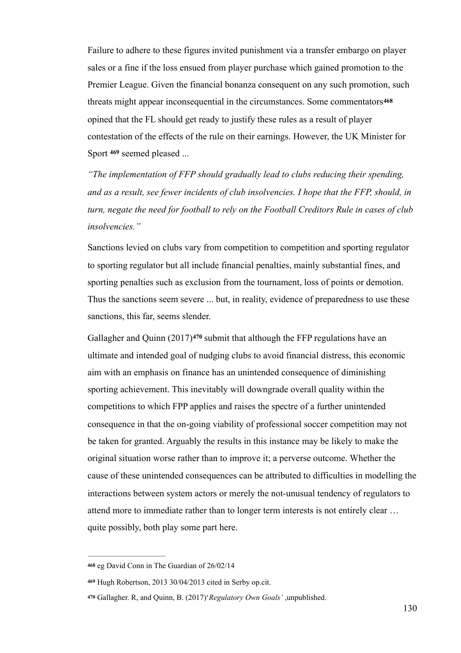Failure to adhere to these figures invited punishment via a transfer embargo on player sales or a fine if the loss ensued from player purchase which gained promotion to the Premier League. Given the financial bonanza consequent on any such promotion, such threats might appear inconsequential in the circumstances. Some commentators **<sup>468</sup>** opined that the FL should get ready to justify these rules as a result of player contestation of the effects of the rule on their earnings. However, the UK Minister for Sport <sup>469</sup> seemed pleased ...

*"The implementation of FFP should gradually lead to clubs reducing their spending, and as a result, see fewer incidents of club insolvencies. I hope that the FFP, should, in turn, negate the need for football to rely on the Football Creditors Rule in cases of club insolvencies."* 

Sanctions levied on clubs vary from competition to competition and sporting regulator to sporting regulator but all include financial penalties, mainly substantial fines, and sporting penalties such as exclusion from the tournament, loss of points or demotion. Thus the sanctions seem severe ... but, in reality, evidence of preparedness to use these sanctions, this far, seems slender.

Gallagher and Quinn (2017)<sup>470</sup> submit that although the FFP regulations have an ultimate and intended goal of nudging clubs to avoid financial distress, this economic aim with an emphasis on finance has an unintended consequence of diminishing sporting achievement. This inevitably will downgrade overall quality within the competitions to which FPP applies and raises the spectre of a further unintended consequence in that the on-going viability of professional soccer competition may not be taken for granted. Arguably the results in this instance may be likely to make the original situation worse rather than to improve it; a perverse outcome. Whether the cause of these unintended consequences can be attributed to difficulties in modelling the interactions between system actors or merely the not-unusual tendency of regulators to attend more to immediate rather than to longer term interests is not entirely clear … quite possibly, both play some part here.

**<sup>468</sup>** eg David Conn in The Guardian of 26/02/14

Hugh Robertson, 2013 30/04/2013 cited in Serby op.cit. **<sup>469</sup>**

Gallagher. R, and Quinn, B. (2017)'*Regulatory Own Goals'* ,unpublished. **<sup>470</sup>**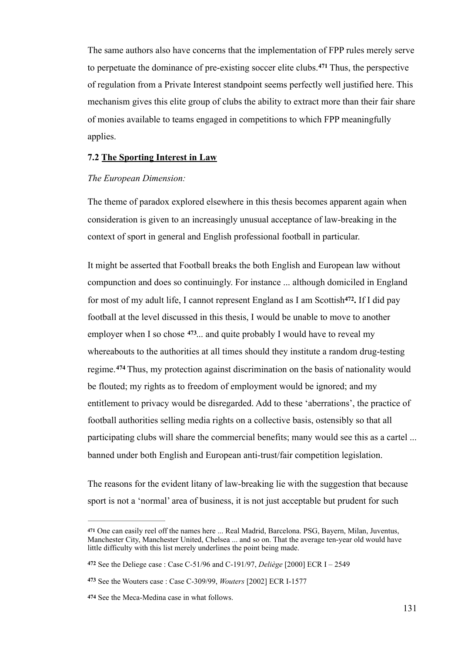The same authors also have concerns that the implementation of FPP rules merely serve to perpetuate the dominance of pre-existing soccer elite clubs.<sup>471</sup> Thus, the perspective of regulation from a Private Interest standpoint seems perfectly well justified here. This mechanism gives this elite group of clubs the ability to extract more than their fair share of monies available to teams engaged in competitions to which FPP meaningfully applies.

### **7.2 The Sporting Interest in Law**

#### *The European Dimension:*

The theme of paradox explored elsewhere in this thesis becomes apparent again when consideration is given to an increasingly unusual acceptance of law-breaking in the context of sport in general and English professional football in particular.

It might be asserted that Football breaks the both English and European law without compunction and does so continuingly. For instance ... although domiciled in England for most of my adult life, I cannot represent England as I am Scottish<sup>472</sup>. If I did pay football at the level discussed in this thesis, I would be unable to move to another employer when I so chose  $473$ ... and quite probably I would have to reveal my whereabouts to the authorities at all times should they institute a random drug-testing regime.<sup>474</sup> Thus, my protection against discrimination on the basis of nationality would be flouted; my rights as to freedom of employment would be ignored; and my entitlement to privacy would be disregarded. Add to these 'aberrations', the practice of football authorities selling media rights on a collective basis, ostensibly so that all participating clubs will share the commercial benefits; many would see this as a cartel ... banned under both English and European anti-trust/fair competition legislation.

The reasons for the evident litany of law-breaking lie with the suggestion that because sport is not a 'normal' area of business, it is not just acceptable but prudent for such

<sup>&</sup>lt;sup>471</sup> One can easily reel off the names here ... Real Madrid, Barcelona, PSG, Bayern, Milan, Juventus, Manchester City, Manchester United, Chelsea ... and so on. That the average ten-year old would have little difficulty with this list merely underlines the point being made.

**<sup>472</sup>** See the Deliege case : Case C-51/96 and C-191/97, *Deliège* [2000] ECR I – 2549

See the Wouters case : Case C-309/99, *Wouters* [2002] ECR I-1577 **<sup>473</sup>**

<sup>474</sup> See the Meca-Medina case in what follows.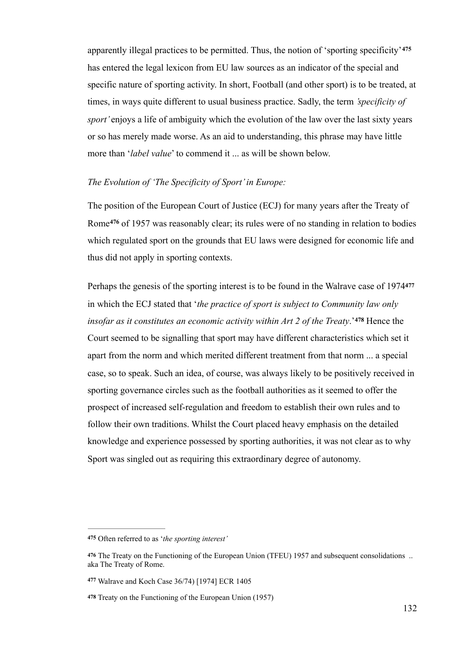apparently illegal practices to be permitted. Thus, the notion of 'sporting specificity'**<sup>475</sup>** has entered the legal lexicon from EU law sources as an indicator of the special and specific nature of sporting activity. In short, Football (and other sport) is to be treated, at times, in ways quite different to usual business practice. Sadly, the term *'specificity of sport'* enjoys a life of ambiguity which the evolution of the law over the last sixty years or so has merely made worse. As an aid to understanding, this phrase may have little more than '*label value*' to commend it ... as will be shown below.

### *The Evolution of 'The Specificity of Sport' in Europe:*

The position of the European Court of Justice (ECJ) for many years after the Treaty of Rome<sup>476</sup> of 1957 was reasonably clear; its rules were of no standing in relation to bodies which regulated sport on the grounds that EU laws were designed for economic life and thus did not apply in sporting contexts.

Perhaps the genesis of the sporting interest is to be found in the Walrave case of 1974**<sup>477</sup>** in which the ECJ stated that '*the practice of sport is subject to Community law only insofar as it constitutes an economic activity within Art 2 of the Treaty.* <sup>478</sup> Hence the Court seemed to be signalling that sport may have different characteristics which set it apart from the norm and which merited different treatment from that norm ... a special case, so to speak. Such an idea, of course, was always likely to be positively received in sporting governance circles such as the football authorities as it seemed to offer the prospect of increased self-regulation and freedom to establish their own rules and to follow their own traditions. Whilst the Court placed heavy emphasis on the detailed knowledge and experience possessed by sporting authorities, it was not clear as to why Sport was singled out as requiring this extraordinary degree of autonomy.

Often referred to as '*the sporting interest'* **475**

<sup>&</sup>lt;sup>476</sup> The Treaty on the Functioning of the European Union (TFEU) 1957 and subsequent consolidations .. aka The Treaty of Rome.

Walrave and Koch Case 36/74) [1974] ECR 1405 **<sup>477</sup>**

Treaty on the Functioning of the European Union (1957) **478**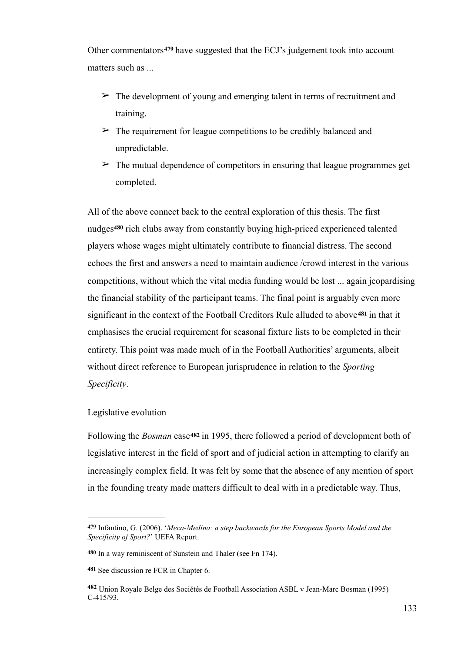Other commentators<sup>479</sup> have suggested that the ECJ's judgement took into account matters such as

- $\geq$  The development of young and emerging talent in terms of recruitment and training.
- $\geq$  The requirement for league competitions to be credibly balanced and unpredictable.
- $\geq$  The mutual dependence of competitors in ensuring that league programmes get completed.

All of the above connect back to the central exploration of this thesis. The first nudges<sup>480</sup> rich clubs away from constantly buying high-priced experienced talented players whose wages might ultimately contribute to financial distress. The second echoes the first and answers a need to maintain audience /crowd interest in the various competitions, without which the vital media funding would be lost ... again jeopardising the financial stability of the participant teams. The final point is arguably even more significant in the context of the Football Creditors Rule alluded to above<sup>481</sup> in that it emphasises the crucial requirement for seasonal fixture lists to be completed in their entirety. This point was made much of in the Football Authorities' arguments, albeit without direct reference to European jurisprudence in relation to the *Sporting Specificity*.

### Legislative evolution

Following the *Bosman* case**482** in 1995, there followed a period of development both of legislative interest in the field of sport and of judicial action in attempting to clarify an increasingly complex field. It was felt by some that the absence of any mention of sport in the founding treaty made matters difficult to deal with in a predictable way. Thus,

Infantino, G. (2006). '*Meca-Medina: a step backwards for the European Sports Model and the* **479** *Specificity of Sport?*' UEFA Report.

In a way reminiscent of Sunstein and Thaler (see Fn 174). **480**

<sup>481</sup> See discussion re FCR in Chapter 6.

Union Royale Belge des Sociétés de Football Association ASBL v Jean-Marc Bosman (1995) **<sup>482</sup>** C-415/93.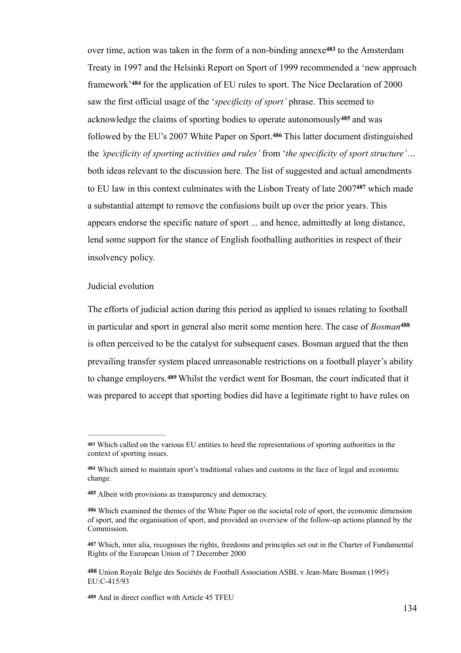over time, action was taken in the form of a non-binding annexe<sup>483</sup> to the Amsterdam Treaty in 1997 and the Helsinki Report on Sport of 1999 recommended a 'new approach framework<sup>'484</sup> for the application of EU rules to sport. The Nice Declaration of 2000 saw the first official usage of the '*specificity of sport'* phrase. This seemed to acknowledge the claims of sporting bodies to operate autonomously <sup>485</sup> and was followed by the EU's 2007 White Paper on Sport.<sup>486</sup> This latter document distinguished the *'specificity of sporting activities and rules'* from '*the specificity of sport structure' .*.. both ideas relevant to the discussion here. The list of suggested and actual amendments to EU law in this context culminates with the Lisbon Treaty of late 2007<sup>487</sup> which made a substantial attempt to remove the confusions built up over the prior years. This appears endorse the specific nature of sport ... and hence, admittedly at long distance, lend some support for the stance of English footballing authorities in respect of their insolvency policy.

#### Judicial evolution

The efforts of judicial action during this period as applied to issues relating to football in particular and sport in general also merit some mention here. The case of *Bosman***<sup>488</sup>** is often perceived to be the catalyst for subsequent cases. Bosman argued that the then prevailing transfer system placed unreasonable restrictions on a football player's ability to change employers.<sup>489</sup> Whilst the verdict went for Bosman, the court indicated that it was prepared to accept that sporting bodies did have a legitimate right to have rules on

Which called on the various EU entities to heed the representations of sporting authorities in the **<sup>483</sup>** context of sporting issues.

Which aimed to maintain sport's traditional values and customs in the face of legal and economic **<sup>484</sup>** change.

Albeit with provisions as transparency and democracy. **<sup>485</sup>**

Which examined the themes of the White Paper on the societal role of sport, the economic dimension **486** of sport, and the organisation of sport, and provided an overview of the follow-up actions planned by the Commission.

Which, inter alia, recognises the rights, freedoms and principles set out in the Charter of Fundamental **487** Rights of the European Union of 7 December 2000

**<sup>488</sup>** Union Royale Belge des Sociétés de Football Association ASBL v Jean-Marc Bosman (1995) EU:C-415/93

**<sup>489</sup>** And in direct conflict with Article 45 TFEU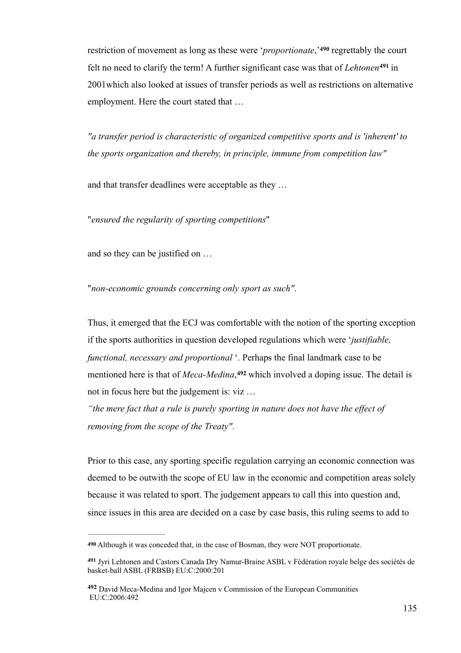restriction of movement as long as these were '*proportionate*,<sup>'490</sup> regrettably the court felt no need to clarify the term! A further significant case was that of *Lehtonen*<sup>491</sup> in 2001which also looked at issues of transfer periods as well as restrictions on alternative employment. Here the court stated that …

*"a transfer period is characteristic of organized competitive sports and is 'inherent' to the sports organization and thereby, in principle, immune from competition law"*

and that transfer deadlines were acceptable as they …

"*ensured the regularity of sporting competitions*"

and so they can be justified on …

"*non-economic grounds concerning only sport as such"*.

Thus, it emerged that the ECJ was comfortable with the notion of the sporting exception if the sports authorities in question developed regulations which were '*justifiable, functional, necessary and proportional* '. Perhaps the final landmark case to be mentioned here is that of *Meca-Medina*,<sup>492</sup> which involved a doping issue. The detail is not in focus here but the judgement is: viz …

*"the mere fact that a rule is purely sporting in nature does not have the effect of removing from the scope of the Treaty"*.

Prior to this case, any sporting specific regulation carrying an economic connection was deemed to be outwith the scope of EU law in the economic and competition areas solely because it was related to sport. The judgement appears to call this into question and, since issues in this area are decided on a case by case basis, this ruling seems to add to

Although it was conceded that, in the case of Bosman, they were NOT proportionate. **490**

Jyri Lehtonen and Castors Canada Dry Namur-Braine ASBL v Fédération royale belge des sociétés de **<sup>491</sup>** basket-ball ASBL (FRBSB) EU:C:2000:201

David Meca-Medina and Igor Majcen v Commission of the European Communities **<sup>492</sup>** EU:C:2006:492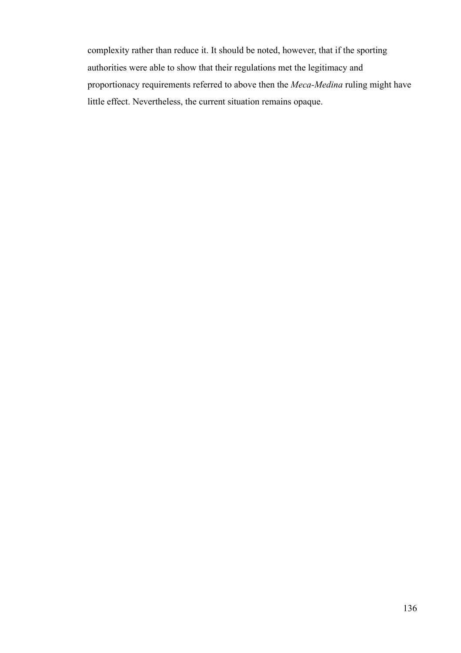complexity rather than reduce it. It should be noted, however, that if the sporting authorities were able to show that their regulations met the legitimacy and proportionacy requirements referred to above then the *Meca-Medina* ruling might have little effect. Nevertheless, the current situation remains opaque.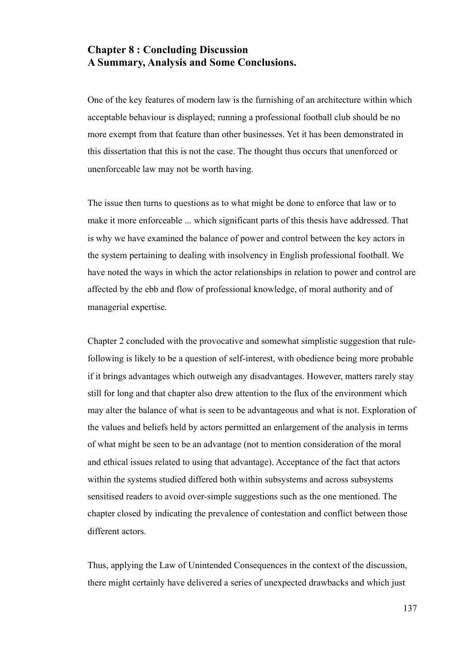# **Chapter 8 : Concluding Discussion A Summary, Analysis and Some Conclusions.**

One of the key features of modern law is the furnishing of an architecture within which acceptable behaviour is displayed; running a professional football club should be no more exempt from that feature than other businesses. Yet it has been demonstrated in this dissertation that this is not the case. The thought thus occurs that unenforced or unenforceable law may not be worth having.

The issue then turns to questions as to what might be done to enforce that law or to make it more enforceable ... which significant parts of this thesis have addressed. That is why we have examined the balance of power and control between the key actors in the system pertaining to dealing with insolvency in English professional football. We have noted the ways in which the actor relationships in relation to power and control are affected by the ebb and flow of professional knowledge, of moral authority and of managerial expertise.

Chapter 2 concluded with the provocative and somewhat simplistic suggestion that rulefollowing is likely to be a question of self-interest, with obedience being more probable if it brings advantages which outweigh any disadvantages. However, matters rarely stay still for long and that chapter also drew attention to the flux of the environment which may alter the balance of what is seen to be advantageous and what is not. Exploration of the values and beliefs held by actors permitted an enlargement of the analysis in terms of what might be seen to be an advantage (not to mention consideration of the moral and ethical issues related to using that advantage). Acceptance of the fact that actors within the systems studied differed both within subsystems and across subsystems sensitised readers to avoid over-simple suggestions such as the one mentioned. The chapter closed by indicating the prevalence of contestation and conflict between those different actors.

Thus, applying the Law of Unintended Consequences in the context of the discussion, there might certainly have delivered a series of unexpected drawbacks and which just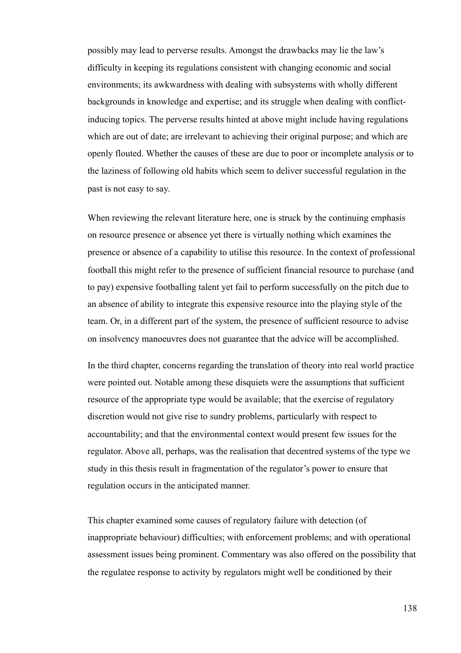possibly may lead to perverse results. Amongst the drawbacks may lie the law's difficulty in keeping its regulations consistent with changing economic and social environments; its awkwardness with dealing with subsystems with wholly different backgrounds in knowledge and expertise; and its struggle when dealing with conflictinducing topics. The perverse results hinted at above might include having regulations which are out of date; are irrelevant to achieving their original purpose; and which are openly flouted. Whether the causes of these are due to poor or incomplete analysis or to the laziness of following old habits which seem to deliver successful regulation in the past is not easy to say.

When reviewing the relevant literature here, one is struck by the continuing emphasis on resource presence or absence yet there is virtually nothing which examines the presence or absence of a capability to utilise this resource. In the context of professional football this might refer to the presence of sufficient financial resource to purchase (and to pay) expensive footballing talent yet fail to perform successfully on the pitch due to an absence of ability to integrate this expensive resource into the playing style of the team. Or, in a different part of the system, the presence of sufficient resource to advise on insolvency manoeuvres does not guarantee that the advice will be accomplished.

In the third chapter, concerns regarding the translation of theory into real world practice were pointed out. Notable among these disquiets were the assumptions that sufficient resource of the appropriate type would be available; that the exercise of regulatory discretion would not give rise to sundry problems, particularly with respect to accountability; and that the environmental context would present few issues for the regulator. Above all, perhaps, was the realisation that decentred systems of the type we study in this thesis result in fragmentation of the regulator's power to ensure that regulation occurs in the anticipated manner.

This chapter examined some causes of regulatory failure with detection (of inappropriate behaviour) difficulties; with enforcement problems; and with operational assessment issues being prominent. Commentary was also offered on the possibility that the regulatee response to activity by regulators might well be conditioned by their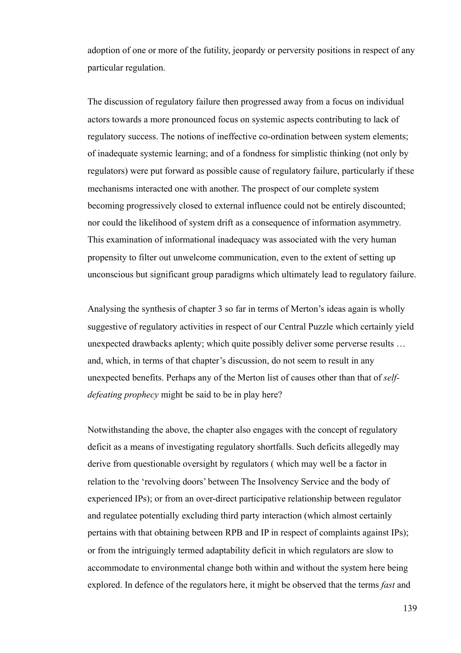adoption of one or more of the futility, jeopardy or perversity positions in respect of any particular regulation.

The discussion of regulatory failure then progressed away from a focus on individual actors towards a more pronounced focus on systemic aspects contributing to lack of regulatory success. The notions of ineffective co-ordination between system elements; of inadequate systemic learning; and of a fondness for simplistic thinking (not only by regulators) were put forward as possible cause of regulatory failure, particularly if these mechanisms interacted one with another. The prospect of our complete system becoming progressively closed to external influence could not be entirely discounted; nor could the likelihood of system drift as a consequence of information asymmetry. This examination of informational inadequacy was associated with the very human propensity to filter out unwelcome communication, even to the extent of setting up unconscious but significant group paradigms which ultimately lead to regulatory failure.

Analysing the synthesis of chapter 3 so far in terms of Merton's ideas again is wholly suggestive of regulatory activities in respect of our Central Puzzle which certainly yield unexpected drawbacks aplenty; which quite possibly deliver some perverse results … and, which, in terms of that chapter's discussion, do not seem to result in any unexpected benefits. Perhaps any of the Merton list of causes other than that of *selfdefeating prophecy* might be said to be in play here?

Notwithstanding the above, the chapter also engages with the concept of regulatory deficit as a means of investigating regulatory shortfalls. Such deficits allegedly may derive from questionable oversight by regulators ( which may well be a factor in relation to the 'revolving doors' between The Insolvency Service and the body of experienced IPs); or from an over-direct participative relationship between regulator and regulatee potentially excluding third party interaction (which almost certainly pertains with that obtaining between RPB and IP in respect of complaints against IPs); or from the intriguingly termed adaptability deficit in which regulators are slow to accommodate to environmental change both within and without the system here being explored. In defence of the regulators here, it might be observed that the terms *fast* and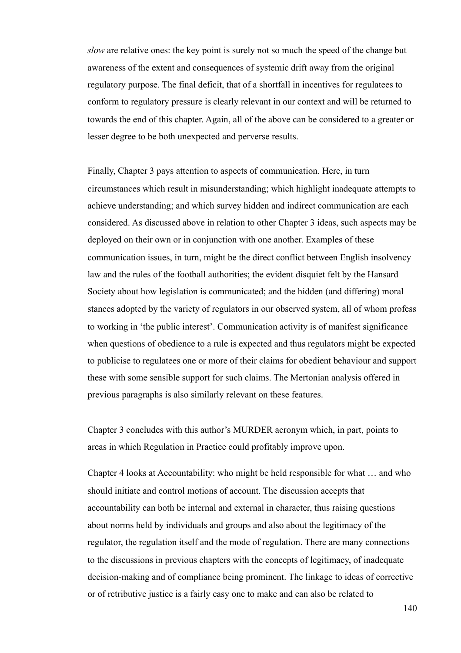*slow* are relative ones: the key point is surely not so much the speed of the change but awareness of the extent and consequences of systemic drift away from the original regulatory purpose. The final deficit, that of a shortfall in incentives for regulatees to conform to regulatory pressure is clearly relevant in our context and will be returned to towards the end of this chapter. Again, all of the above can be considered to a greater or lesser degree to be both unexpected and perverse results.

Finally, Chapter 3 pays attention to aspects of communication. Here, in turn circumstances which result in misunderstanding; which highlight inadequate attempts to achieve understanding; and which survey hidden and indirect communication are each considered. As discussed above in relation to other Chapter 3 ideas, such aspects may be deployed on their own or in conjunction with one another. Examples of these communication issues, in turn, might be the direct conflict between English insolvency law and the rules of the football authorities; the evident disquiet felt by the Hansard Society about how legislation is communicated; and the hidden (and differing) moral stances adopted by the variety of regulators in our observed system, all of whom profess to working in 'the public interest'. Communication activity is of manifest significance when questions of obedience to a rule is expected and thus regulators might be expected to publicise to regulatees one or more of their claims for obedient behaviour and support these with some sensible support for such claims. The Mertonian analysis offered in previous paragraphs is also similarly relevant on these features.

Chapter 3 concludes with this author's MURDER acronym which, in part, points to areas in which Regulation in Practice could profitably improve upon.

Chapter 4 looks at Accountability: who might be held responsible for what … and who should initiate and control motions of account. The discussion accepts that accountability can both be internal and external in character, thus raising questions about norms held by individuals and groups and also about the legitimacy of the regulator, the regulation itself and the mode of regulation. There are many connections to the discussions in previous chapters with the concepts of legitimacy, of inadequate decision-making and of compliance being prominent. The linkage to ideas of corrective or of retributive justice is a fairly easy one to make and can also be related to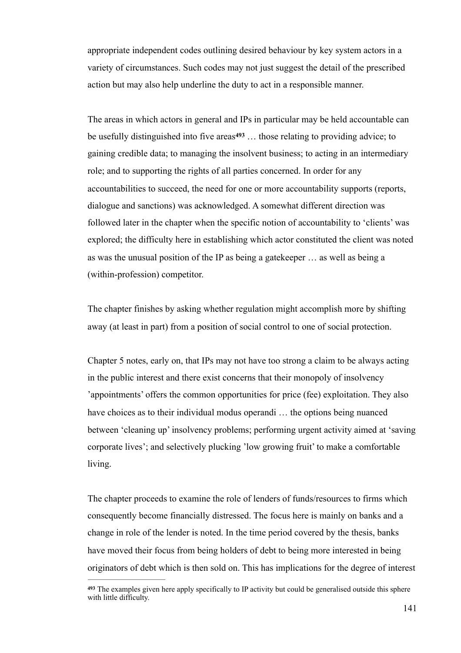appropriate independent codes outlining desired behaviour by key system actors in a variety of circumstances. Such codes may not just suggest the detail of the prescribed action but may also help underline the duty to act in a responsible manner.

The areas in which actors in general and IPs in particular may be held accountable can be usefully distinguished into five areas<sup>493</sup> ... those relating to providing advice; to gaining credible data; to managing the insolvent business; to acting in an intermediary role; and to supporting the rights of all parties concerned. In order for any accountabilities to succeed, the need for one or more accountability supports (reports, dialogue and sanctions) was acknowledged. A somewhat different direction was followed later in the chapter when the specific notion of accountability to 'clients' was explored; the difficulty here in establishing which actor constituted the client was noted as was the unusual position of the IP as being a gatekeeper … as well as being a (within-profession) competitor.

The chapter finishes by asking whether regulation might accomplish more by shifting away (at least in part) from a position of social control to one of social protection.

Chapter 5 notes, early on, that IPs may not have too strong a claim to be always acting in the public interest and there exist concerns that their monopoly of insolvency 'appointments' offers the common opportunities for price (fee) exploitation. They also have choices as to their individual modus operandi … the options being nuanced between 'cleaning up' insolvency problems; performing urgent activity aimed at 'saving corporate lives'; and selectively plucking 'low growing fruit' to make a comfortable living.

The chapter proceeds to examine the role of lenders of funds/resources to firms which consequently become financially distressed. The focus here is mainly on banks and a change in role of the lender is noted. In the time period covered by the thesis, banks have moved their focus from being holders of debt to being more interested in being originators of debt which is then sold on. This has implications for the degree of interest

The examples given here apply specifically to IP activity but could be generalised outside this sphere **<sup>493</sup>** with little difficulty.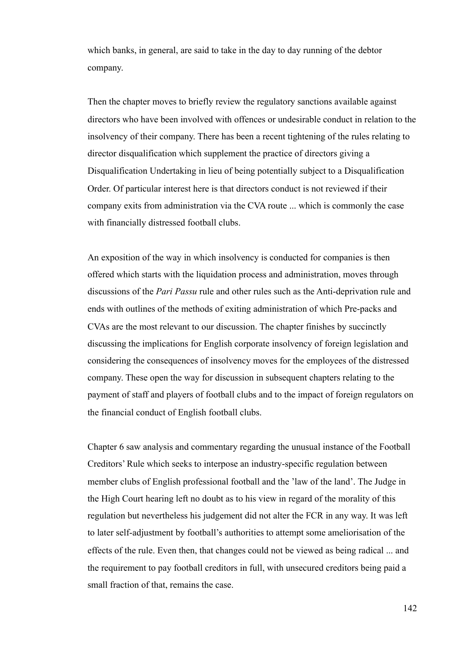which banks, in general, are said to take in the day to day running of the debtor company.

Then the chapter moves to briefly review the regulatory sanctions available against directors who have been involved with offences or undesirable conduct in relation to the insolvency of their company. There has been a recent tightening of the rules relating to director disqualification which supplement the practice of directors giving a Disqualification Undertaking in lieu of being potentially subject to a Disqualification Order. Of particular interest here is that directors conduct is not reviewed if their company exits from administration via the CVA route ... which is commonly the case with financially distressed football clubs.

An exposition of the way in which insolvency is conducted for companies is then offered which starts with the liquidation process and administration, moves through discussions of the *Pari Passu* rule and other rules such as the Anti-deprivation rule and ends with outlines of the methods of exiting administration of which Pre-packs and CVAs are the most relevant to our discussion. The chapter finishes by succinctly discussing the implications for English corporate insolvency of foreign legislation and considering the consequences of insolvency moves for the employees of the distressed company. These open the way for discussion in subsequent chapters relating to the payment of staff and players of football clubs and to the impact of foreign regulators on the financial conduct of English football clubs.

Chapter 6 saw analysis and commentary regarding the unusual instance of the Football Creditors' Rule which seeks to interpose an industry-specific regulation between member clubs of English professional football and the 'law of the land'. The Judge in the High Court hearing left no doubt as to his view in regard of the morality of this regulation but nevertheless his judgement did not alter the FCR in any way. It was left to later self-adjustment by football's authorities to attempt some ameliorisation of the effects of the rule. Even then, that changes could not be viewed as being radical ... and the requirement to pay football creditors in full, with unsecured creditors being paid a small fraction of that, remains the case.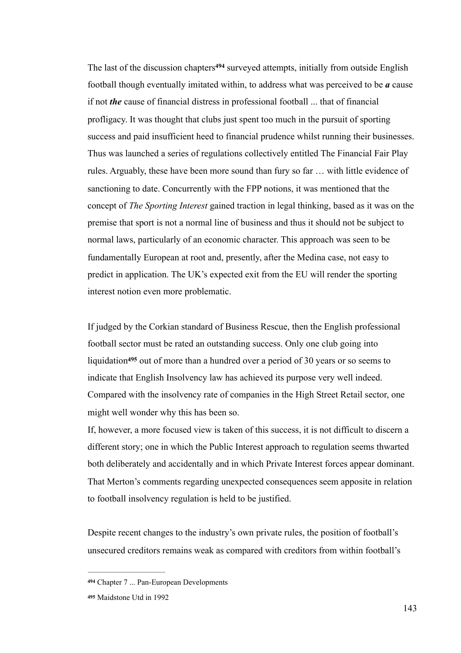The last of the discussion chapters<sup>494</sup> surveyed attempts, initially from outside English football though eventually imitated within, to address what was perceived to be *a* cause if not *the* cause of financial distress in professional football ... that of financial profligacy. It was thought that clubs just spent too much in the pursuit of sporting success and paid insufficient heed to financial prudence whilst running their businesses. Thus was launched a series of regulations collectively entitled The Financial Fair Play rules. Arguably, these have been more sound than fury so far … with little evidence of sanctioning to date. Concurrently with the FPP notions, it was mentioned that the concept of *The Sporting Interest* gained traction in legal thinking, based as it was on the premise that sport is not a normal line of business and thus it should not be subject to normal laws, particularly of an economic character. This approach was seen to be fundamentally European at root and, presently, after the Medina case, not easy to predict in application. The UK's expected exit from the EU will render the sporting interest notion even more problematic.

If judged by the Corkian standard of Business Rescue, then the English professional football sector must be rated an outstanding success. Only one club going into liquidation<sup>495</sup> out of more than a hundred over a period of 30 years or so seems to indicate that English Insolvency law has achieved its purpose very well indeed. Compared with the insolvency rate of companies in the High Street Retail sector, one might well wonder why this has been so.

If, however, a more focused view is taken of this success, it is not difficult to discern a different story; one in which the Public Interest approach to regulation seems thwarted both deliberately and accidentally and in which Private Interest forces appear dominant. That Merton's comments regarding unexpected consequences seem apposite in relation to football insolvency regulation is held to be justified.

Despite recent changes to the industry's own private rules, the position of football's unsecured creditors remains weak as compared with creditors from within football's

Chapter 7 ... Pan-European Developments **<sup>494</sup>**

**<sup>495</sup>** Maidstone Utd in 1992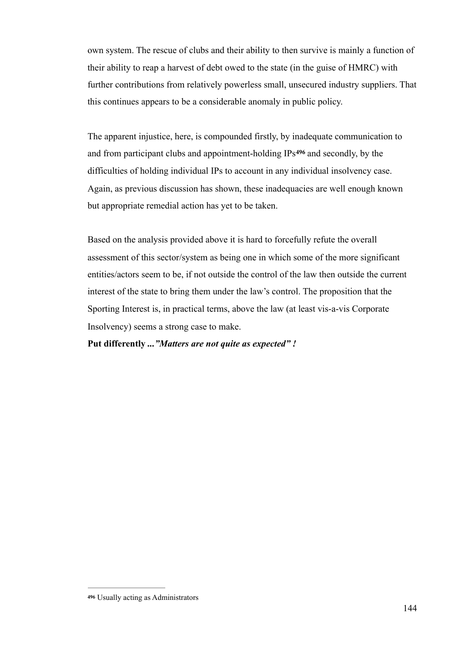own system. The rescue of clubs and their ability to then survive is mainly a function of their ability to reap a harvest of debt owed to the state (in the guise of HMRC) with further contributions from relatively powerless small, unsecured industry suppliers. That this continues appears to be a considerable anomaly in public policy.

The apparent injustice, here, is compounded firstly, by inadequate communication to and from participant clubs and appointment-holding IPs<sup>496</sup> and secondly, by the difficulties of holding individual IPs to account in any individual insolvency case. Again, as previous discussion has shown, these inadequacies are well enough known but appropriate remedial action has yet to be taken.

Based on the analysis provided above it is hard to forcefully refute the overall assessment of this sector/system as being one in which some of the more significant entities/actors seem to be, if not outside the control of the law then outside the current interest of the state to bring them under the law's control. The proposition that the Sporting Interest is, in practical terms, above the law (at least vis-a-vis Corporate Insolvency) seems a strong case to make.

#### **Put differently** *..."Matters are not quite as expected" !*

Usually acting as Administrators **<sup>496</sup>**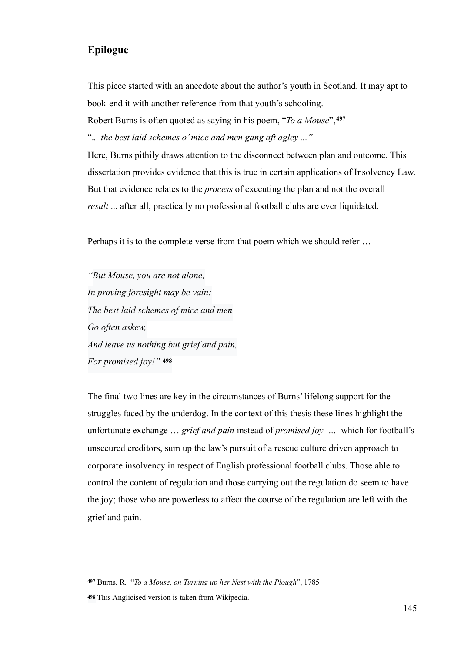### **Epilogue**

This piece started with an anecdote about the author's youth in Scotland. It may apt to book-end it with another reference from that youth's schooling. Robert Burns is often quoted as saying in his poem, "*To a Mouse*",**<sup>497</sup>** ".*.. the best laid schemes o' mice and men gang aft agley ..."*  Here, Burns pithily draws attention to the disconnect between plan and outcome. This dissertation provides evidence that this is true in certain applications of Insolvency Law.

But that evidence relates to the *process* of executing the plan and not the overall

*result* ... after all, practically no professional football clubs are ever liquidated.

Perhaps it is to the complete verse from that poem which we should refer …

*"But Mouse, you are not alone, In proving foresight may be vain: The best laid schemes of mice and men Go often askew, And leave us nothing but grief and pain, For promised joy!"* **<sup>498</sup>**

The final two lines are key in the circumstances of Burns' lifelong support for the struggles faced by the underdog. In the context of this thesis these lines highlight the unfortunate exchange … *grief and pain* instead of *promised joy …* which for football's unsecured creditors, sum up the law's pursuit of a rescue culture driven approach to corporate insolvency in respect of English professional football clubs. Those able to control the content of regulation and those carrying out the regulation do seem to have the joy; those who are powerless to affect the course of the regulation are left with the grief and pain.

**<sup>497</sup>** Burns, R. "*To a Mouse, on Turning up her Nest with the Plough*", 1785

This Anglicised version is taken from Wikipedia. **<sup>498</sup>**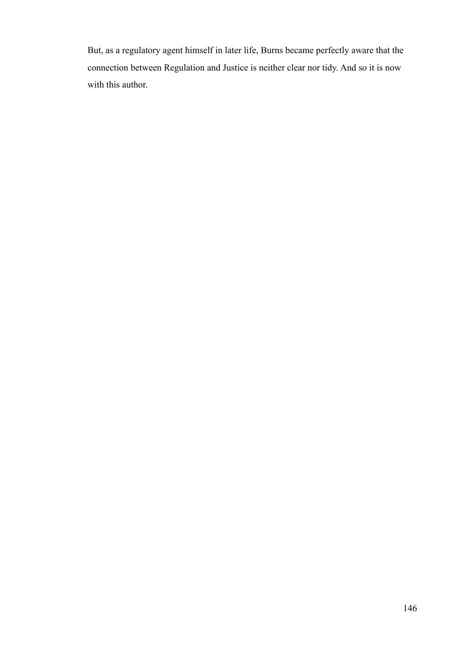But, as a regulatory agent himself in later life, Burns became perfectly aware that the connection between Regulation and Justice is neither clear nor tidy. And so it is now with this author.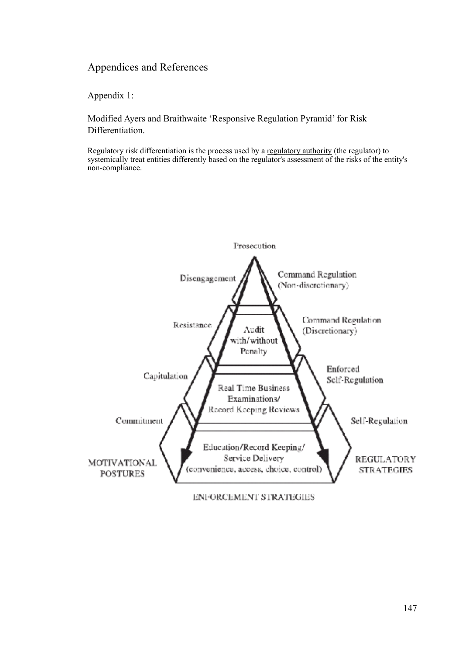# Appendices and References

Appendix 1:

Modified Ayers and Braithwaite 'Responsive Regulation Pyramid' for Risk Differentiation.

Regulatory risk differentiation is the process used by a regulatory authority (the regulator) to systemically treat entities differently based on the regulator's assessment of the risks of the entity's non-compliance.



ENFORCEMENT STRATEGIES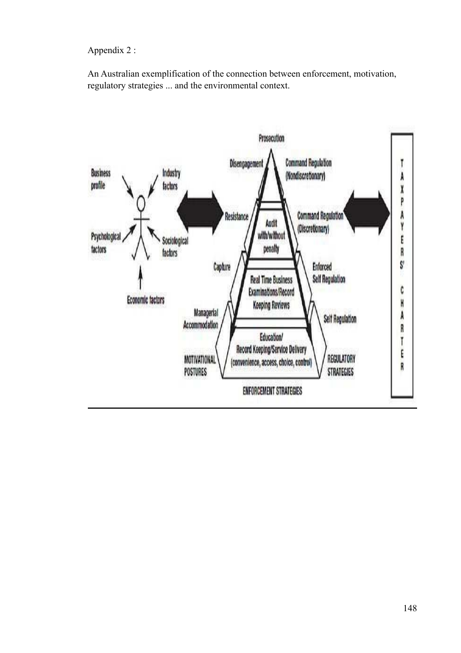Appendix 2 :

An Australian exemplification of the connection between enforcement, motivation, regulatory strategies ... and the environmental context.

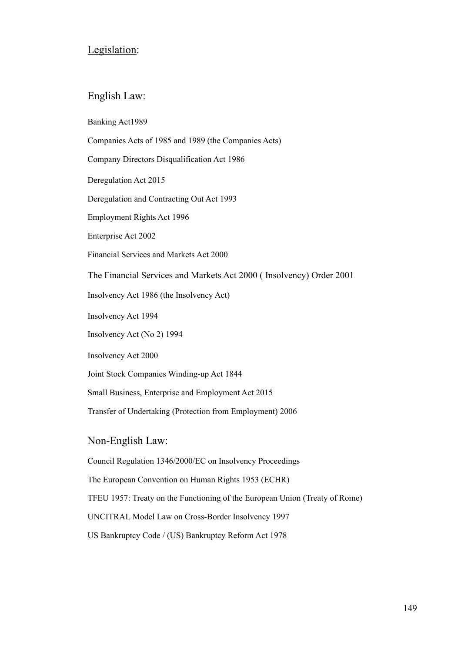## Legislation:

### English Law:

Banking Act1989

Companies Acts of 1985 and 1989 (the Companies Acts)

Company Directors Disqualification Act 1986

Deregulation Act 2015

Deregulation and Contracting Out Act 1993

Employment Rights Act 1996

Enterprise Act 2002

Financial Services and Markets Act 2000

The Financial Services and Markets Act 2000 ( Insolvency) Order 2001

Insolvency Act 1986 (the Insolvency Act)

Insolvency Act 1994

Insolvency Act (No 2) 1994

Insolvency Act 2000

Joint Stock Companies Winding-up Act 1844

Small Business, Enterprise and Employment Act 2015

Transfer of Undertaking (Protection from Employment) 2006

Non-English Law:

Council Regulation 1346/2000/EC on Insolvency Proceedings

The European Convention on Human Rights 1953 (ECHR)

TFEU 1957: Treaty on the Functioning of the European Union (Treaty of Rome)

UNCITRAL Model Law on Cross-Border Insolvency 1997

US Bankruptcy Code / (US) Bankruptcy Reform Act 1978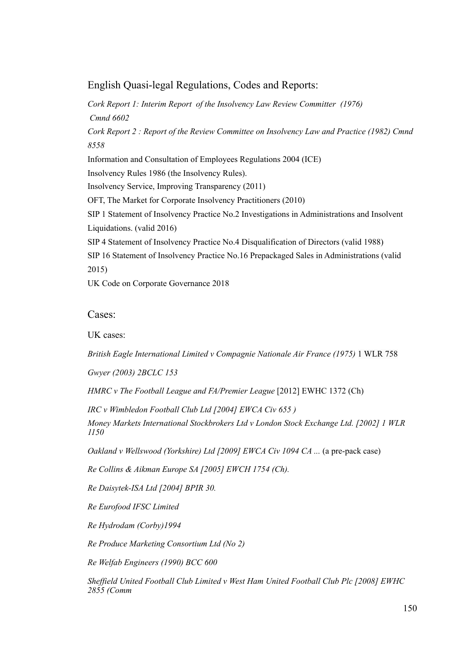English Quasi-legal Regulations, Codes and Reports:

*Cork Report 1: Interim Report of the Insolvency Law Review Committer (1976) Cmnd 6602 Cork Report 2 : Report of the Review Committee on Insolvency Law and Practice (1982) Cmnd 8558*  Information and Consultation of Employees Regulations 2004 (ICE) Insolvency Rules 1986 (the Insolvency Rules). Insolvency Service, Improving Transparency (2011) OFT, The Market for Corporate Insolvency Practitioners (2010) SIP 1 Statement of Insolvency Practice No.2 Investigations in Administrations and Insolvent Liquidations. (valid 2016) SIP 4 Statement of Insolvency Practice No.4 Disqualification of Directors (valid 1988) SIP 16 Statement of Insolvency Practice No.16 Prepackaged Sales in Administrations (valid 2015) UK Code on Corporate Governance 2018

Cases:

UK cases:

*British Eagle International Limited v Compagnie Nationale Air France (1975)* 1 WLR 758

*Gwyer (2003) 2BCLC 153* 

*HMRC v The Football League and FA/Premier League* [2012] EWHC 1372 (Ch)

*IRC v Wimbledon Football Club Ltd [2004] EWCA Civ 655 )* 

*Money Markets International Stockbrokers Ltd v London Stock Exchange Ltd. [2002] 1 WLR 1150* 

*Oakland v Wellswood (Yorkshire) Ltd [2009] EWCA Civ 1094 CA ...* (a pre-pack case)

*Re Collins & Aikman Europe SA [2005] EWCH 1754 (Ch).* 

*Re Daisytek-ISA Ltd [2004] BPIR 30.* 

*Re Eurofood IFSC Limited* 

*Re Hydrodam (Corby)1994* 

*Re Produce Marketing Consortium Ltd (No 2)* 

*Re Welfab Engineers (1990) BCC 600* 

*Sheffield United Football Club Limited v West Ham United Football Club Plc [2008] EWHC 2855 (Comm*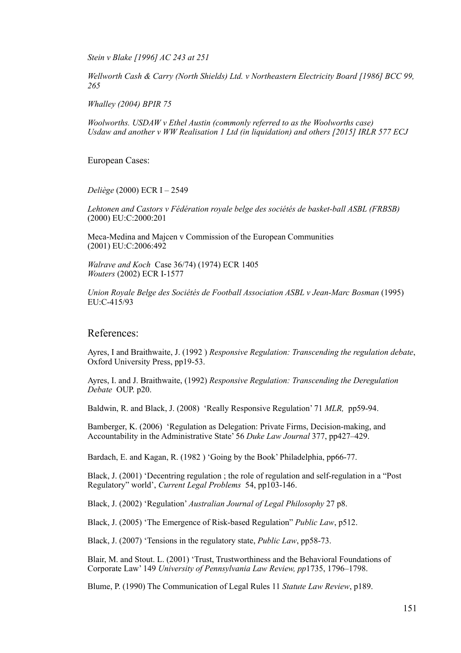*Stein v Blake [1996] AC 243 at 251* 

*Wellworth Cash & Carry (North Shields) Ltd. v Northeastern Electricity Board [1986] BCC 99, 265* 

*Whalley (2004) BPIR 75* 

*Woolworths. USDAW v Ethel Austin (commonly referred to as the Woolworths case) Usdaw and another v WW Realisation 1 Ltd (in liquidation) and others [2015] IRLR 577 ECJ* 

European Cases:

*Deliège* (2000) ECR I – 2549

*Lehtonen and Castors v Fédération royale belge des sociétés de basket-ball ASBL (FRBSB)*  (2000) EU:C:2000:201

Meca-Medina and Majcen v Commission of the European Communities (2001) EU:C:2006:492

*Walrave and Koch*Case 36/74) (1974) ECR 1405 *Wouters* (2002) ECR I-1577

*Union Royale Belge des Sociétés de Football Association ASBL v Jean-Marc Bosman* (1995) EU:C-415/93

References:

Ayres, I and Braithwaite, J. (1992 ) *Responsive Regulation: Transcending the regulation debate*, Oxford University Press, pp19-53.

Ayres, I. and J. Braithwaite, (1992) *Responsive Regulation: Transcending the Deregulation Debate* OUP. p20.

Baldwin, R. and Black, J. (2008) 'Really Responsive Regulation' 71 *MLR,* pp59-94.

Bamberger, K. (2006) 'Regulation as Delegation: Private Firms, Decision-making, and Accountability in the Administrative State' 56 *Duke Law Journal* 377, pp427–429.

Bardach, E. and Kagan, R. (1982) 'Going by the Book' Philadelphia, pp66-77.

Black, J. (2001) 'Decentring regulation ; the role of regulation and self-regulation in a "Post Regulatory" world', *Current Legal Problems* 54, pp103-146.

Black, J. (2002) 'Regulation' *Australian Journal of Legal Philosophy* 27 p8.

Black, J. (2005) 'The Emergence of Risk-based Regulation" *Public Law*, p512.

Black, J. (2007) 'Tensions in the regulatory state, *Public Law*, pp58-73.

Blair, M. and Stout. L. (2001) 'Trust, Trustworthiness and the Behavioral Foundations of Corporate Law' 149 *University of Pennsylvania Law Review, pp*1735, 1796–1798.

Blume, P. (1990) The Communication of Legal Rules 11 *Statute Law Review*, p189.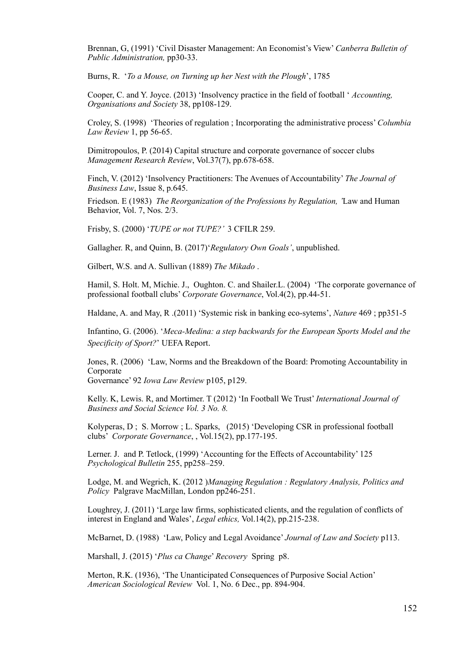Brennan, G, (1991) 'Civil Disaster Management: An Economist's View' *Canberra Bulletin of Public Administration,* pp30-33.

Burns, R. '*To a Mouse, on Turning up her Nest with the Plough*', 1785

Cooper, C. and Y. Joyce. (2013) 'Insolvency practice in the field of football ' *Accounting, Organisations and Society* 38, pp108-129.

Croley, S. (1998) 'Theories of regulation ; Incorporating the administrative process' *Columbia Law Review* 1, pp 56-65.

Dimitropoulos, P. (2014) Capital structure and corporate governance of soccer clubs *Management Research Review*, Vol.37(7), pp.678-658.

Finch, V. (2012) 'Insolvency Practitioners: The Avenues of Accountability' *The Journal of Business Law*, Issue 8, p.645.

Friedson. E (1983) *The Reorganization of the Professions by Regulation, '*Law and Human Behavior, Vol. 7, Nos. 2/3.

Frisby, S. (2000) '*TUPE or not TUPE?'* 3 CFILR 259.

Gallagher. R, and Quinn, B. (2017)'*Regulatory Own Goals'*, unpublished.

Gilbert, W.S. and A. Sullivan (1889) *The Mikado* .

Hamil, S. Holt. M, Michie. J., Oughton. C. and Shailer. L. (2004) 'The corporate governance of professional football clubs' *Corporate Governance*, Vol.4(2), pp.44-51.

Haldane, A. and May, R .(2011) 'Systemic risk in banking eco-sytems', *Nature* 469 ; pp351-5

Infantino, G. (2006). '*Meca-Medina: a step backwards for the European Sports Model and the Specificity of Sport?*' UEFA Report.

Jones, R. (2006) 'Law, Norms and the Breakdown of the Board: Promoting Accountability in **Corporate** 

Governance' 92 *Iowa Law Review* p105, p129.

Kelly. K, Lewis. R, and Mortimer. T (2012) 'In Football We Trust' *International Journal of Business and Social Science Vol. 3 No. 8.*

Kolyperas, D ; S. Morrow ; L. Sparks, (2015) 'Developing CSR in professional football clubs' *Corporate Governance*, , Vol.15(2), pp.177-195.

Lerner. J. and P. Tetlock, (1999) 'Accounting for the Effects of Accountability' 125 *Psychological Bulletin* 255, pp258–259.

Lodge, M. and Wegrich, K. (2012 )*Managing Regulation : Regulatory Analysis, Politics and Policy* Palgrave MacMillan, London pp246-251.

Loughrey, J. (2011) 'Large law firms, sophisticated clients, and the regulation of conflicts of interest in England and Wales', *Legal ethics,* Vol.14(2), pp.215-238.

McBarnet, D. (1988) 'Law, Policy and Legal Avoidance' *Journal of Law and Society* p113.

Marshall, J. (2015) '*Plus ca Change*' *Recovery* Spring p8.

Merton, R.K. (1936), 'The Unanticipated Consequences of Purposive Social Action' *American Sociological Review* Vol. 1, No. 6 Dec., pp. 894-904.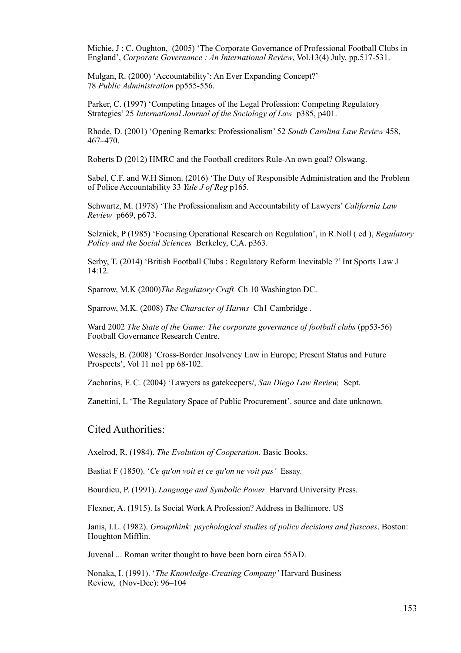Michie, J ; C. Oughton, (2005) 'The Corporate Governance of Professional Football Clubs in England', *Corporate Governance : An International Review*, Vol.13(4) July, pp.517-531.

Mulgan, R. (2000) 'Accountability': An Ever Expanding Concept?' 78 *Public Administration* pp555-556.

Parker, C. (1997) 'Competing Images of the Legal Profession: Competing Regulatory Strategies' 25 *International Journal of the Sociology of Law* p385, p401.

Rhode, D. (2001) 'Opening Remarks: Professionalism' 52 *South Carolina Law Review* 458, 467–470.

Roberts D (2012) HMRC and the Football creditors Rule-An own goal? Olswang.

Sabel, C.F. and W.H Simon. (2016) 'The Duty of Responsible Administration and the Problem of Police Accountability 33 *Yale J of Reg* p165.

Schwartz, M. (1978) 'The Professionalism and Accountability of Lawyers' *California Law Review* p669, p673.

Selznick, P (1985) 'Focusing Operational Research on Regulation', in R.Noll ( ed ), *Regulatory Policy and the Social Sciences* Berkeley, C,A. p363.

Serby, T. (2014) 'British Football Clubs : Regulatory Reform Inevitable ?' Int Sports Law J 14:12.

Sparrow, M.K (2000)*The Regulatory Craft* Ch 10 Washington DC.

Sparrow, M.K. (2008) *The Character of Harms* Ch1 Cambridge .

Ward 2002 *The State of the Game: The corporate governance of football clubs* (pp53-56) Football Governance Research Centre.

Wessels, B. (2008) 'Cross-Border Insolvency Law in Europe; Present Status and Future Prospects', Vol 11 no1 pp 68-102.

Zacharias, F. C. (2004) 'Lawyers as gatekeepers/, *San Diego Law Review,* Sept.

Zanettini, L 'The Regulatory Space of Public Procurement'. source and date unknown.

#### Cited Authorities:

Axelrod, R. (1984). *The Evolution of Cooperation*. Basic Books.

Bastiat F (1850). '*Ce qu'on voit et ce qu'on ne voit pas'* Essay.

Bourdieu, P. (1991). *Language and Symbolic Power* Harvard University Press.

Flexner, A. (1915). Is Social Work A Profession? Address in Baltimore. US

Janis, I.L. (1982). *Groupthink: psychological studies of policy decisions and fiascoes*. Boston: Houghton Mifflin.

Juvenal ... Roman writer thought to have been born circa 55AD.

Nonaka, I. (1991). '*The Knowledge-Creating Company'* Harvard Business Review, (Nov-Dec): 96–104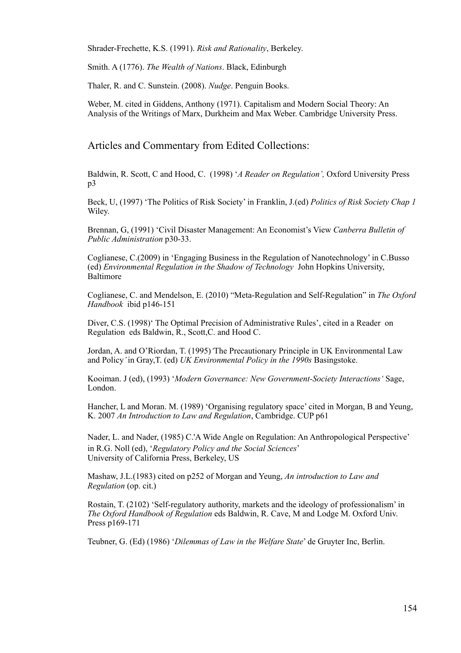Shrader-Frechette, K.S. (1991). *Risk and Rationality*, Berkeley.

Smith. A (1776). *The Wealth of Nations*. Black, Edinburgh

Thaler, R. and C. Sunstein. (2008). *Nudge*. Penguin Books.

Weber, M. cited in Giddens, Anthony (1971). Capitalism and Modern Social Theory: An Analysis of the Writings of Marx, Durkheim and Max Weber. Cambridge University Press.

#### Articles and Commentary from Edited Collections:

Baldwin, R. Scott, C and Hood, C. (1998) '*A Reader on Regulation',* Oxford University Press p3

Beck, U, (1997) 'The Politics of Risk Society' in Franklin, J.(ed) *Politics of Risk Society Chap 1*  Wiley.

Brennan, G, (1991) 'Civil Disaster Management: An Economist's View *Canberra Bulletin of Public Administration* p30-33.

Coglianese, C.(2009) in 'Engaging Business in the Regulation of Nanotechnology' in C.Busso (ed) *Environmental Regulation in the Shadow of Technology* John Hopkins University, Baltimore

Coglianese, C. and Mendelson, E. (2010) "Meta-Regulation and Self-Regulation" in *The Oxford Handbook* ibid p146-151

Diver, C.S. (1998)' The Optimal Precision of Administrative Rules', cited in a Reader on Regulation eds Baldwin, R., Scott,C. and Hood C.

Jordan, A. and O'Riordan, T. (1995)*'*The Precautionary Principle in UK Environmental Law and Policy*'* in Gray,T. (ed) *UK Environmental Policy in the 1990s* Basingstoke.

Kooiman. J (ed), (1993) '*Modern Governance: New Government-Society Interactions'* Sage, London.

Hancher, L and Moran. M. (1989) 'Organising regulatory space' cited in Morgan, B and Yeung, K. 2007 *An Introduction to Law and Regulation*, Cambridge. CUP p61

Nader, L. and Nader, (1985) C.'A Wide Angle on Regulation: An Anthropological Perspective' in R.G. Noll (ed), '*Regulatory Policy and the Social Sciences*' University of California Press, Berkeley, US

Mashaw, J.L.(1983) cited on p252 of Morgan and Yeung, *An introduction to Law and Regulation* (op. cit.)

Rostain, T. (2102) 'Self-regulatory authority, markets and the ideology of professionalism' in *The Oxford Handbook of Regulation* eds Baldwin, R. Cave, M and Lodge M. Oxford Univ. Press p<sub>169-171</sub>

Teubner, G. (Ed) (1986) '*Dilemmas of Law in the Welfare State*' de Gruyter Inc, Berlin.